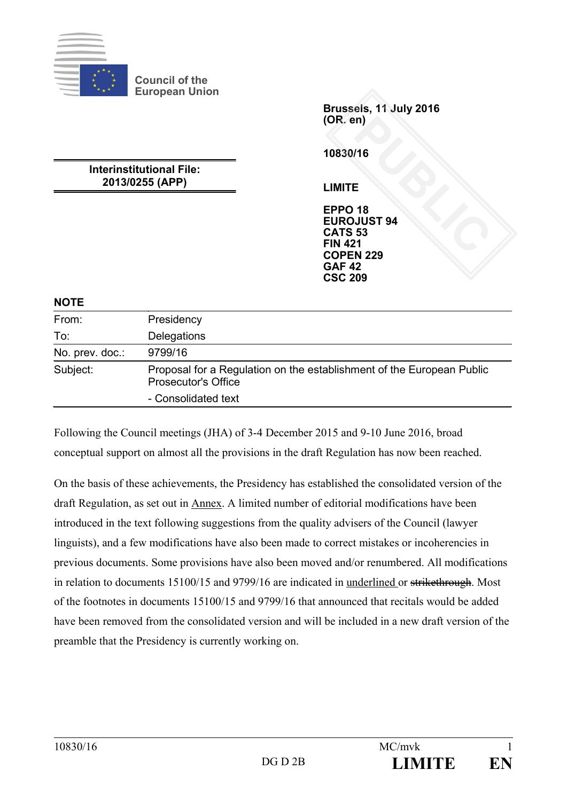

**Council of the European Union**

**Interinstitutional File: 2013/0255 (APP)**

**Brussels, 11 July 2016 (OR. en)**

**10830/16**

**LIMITE**

**EPPO 18 EUROJUST 94 CATS 53 FIN 421 COPEN 229 GAF 42 CSC 209** PUBLIC<br> **PUBLIC SEE**<br> **PUBLIC SEE**<br> **PUBLIC SEE**<br> **PUBLIC**<br> **PUBLIC**<br> **PUBLIC**<br> **PUBLIC**<br> **PUBLIC** 

**NOTE**

| .               |                                                                                                     |
|-----------------|-----------------------------------------------------------------------------------------------------|
| From:           | Presidency                                                                                          |
| To:             | Delegations                                                                                         |
| No. prev. doc.: | 9799/16                                                                                             |
| Subject:        | Proposal for a Regulation on the establishment of the European Public<br><b>Prosecutor's Office</b> |
|                 | - Consolidated text                                                                                 |

Following the Council meetings (JHA) of 3-4 December 2015 and 9-10 June 2016, broad conceptual support on almost all the provisions in the draft Regulation has now been reached.

On the basis of these achievements, the Presidency has established the consolidated version of the draft Regulation, as set out in Annex. A limited number of editorial modifications have been introduced in the text following suggestions from the quality advisers of the Council (lawyer linguists), and a few modifications have also been made to correct mistakes or incoherencies in previous documents. Some provisions have also been moved and/or renumbered. All modifications in relation to documents 15100/15 and 9799/16 are indicated in underlined or strikethrough. Most of the footnotes in documents 15100/15 and 9799/16 that announced that recitals would be added have been removed from the consolidated version and will be included in a new draft version of the preamble that the Presidency is currently working on.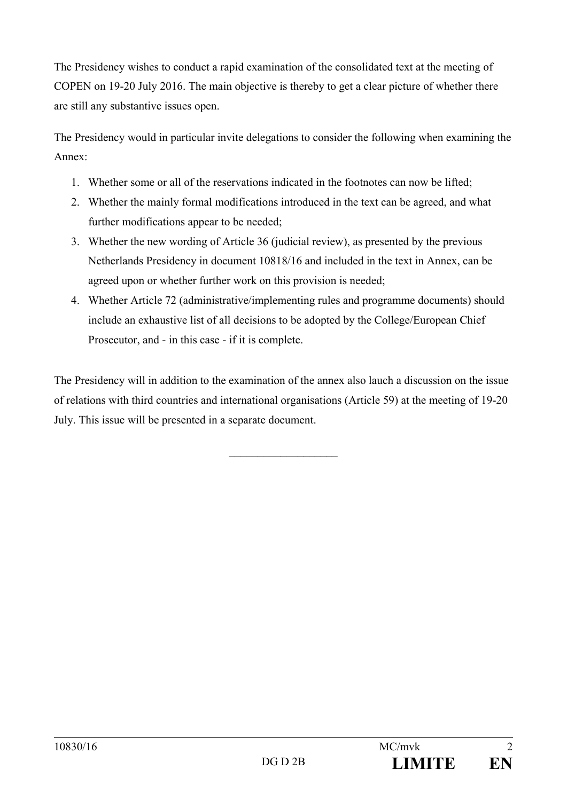The Presidency wishes to conduct a rapid examination of the consolidated text at the meeting of COPEN on 19-20 July 2016. The main objective is thereby to get a clear picture of whether there are still any substantive issues open.

The Presidency would in particular invite delegations to consider the following when examining the Annex:

- 1. Whether some or all of the reservations indicated in the footnotes can now be lifted;
- 2. Whether the mainly formal modifications introduced in the text can be agreed, and what further modifications appear to be needed;
- 3. Whether the new wording of Article 36 (judicial review), as presented by the previous Netherlands Presidency in document 10818/16 and included in the text in Annex, can be agreed upon or whether further work on this provision is needed;
- 4. Whether Article 72 (administrative/implementing rules and programme documents) should include an exhaustive list of all decisions to be adopted by the College/European Chief Prosecutor, and - in this case - if it is complete.

The Presidency will in addition to the examination of the annex also lauch a discussion on the issue of relations with third countries and international organisations (Article 59) at the meeting of 19-20 July. This issue will be presented in a separate document.

 $\mathcal{L}$  , we have the set of the set of the set of the set of the set of the set of the set of the set of the set of the set of the set of the set of the set of the set of the set of the set of the set of the set of the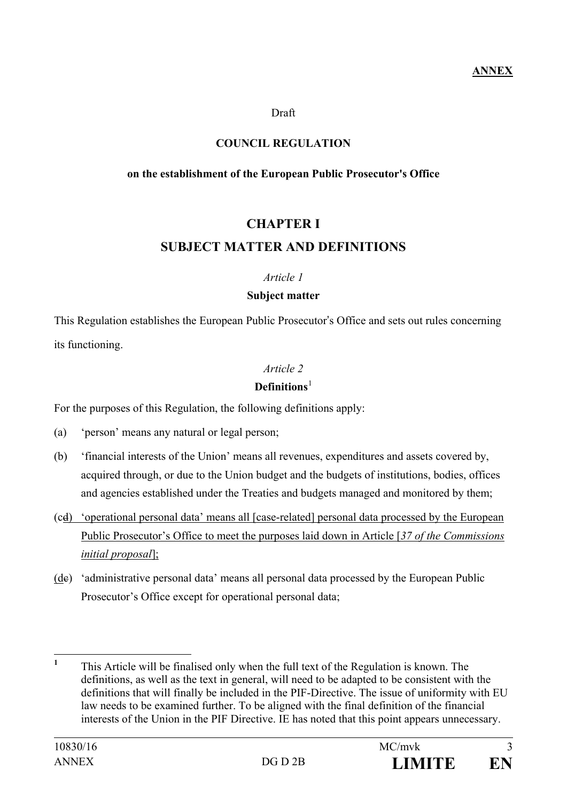Draft

#### **COUNCIL REGULATION**

#### **on the establishment of the European Public Prosecutor's Office**

# **CHAPTER I SUBJECT MATTER AND DEFINITIONS**

#### *Article 1*

#### **Subject matter**

This Regulation establishes the European Public Prosecutor's Office and sets out rules concerning its functioning.

## *Article 2*

## **Definitions**[1](#page-2-0)

For the purposes of this Regulation, the following definitions apply:

(a) 'person' means any natural or legal person;

- (b) 'financial interests of the Union' means all revenues, expenditures and assets covered by, acquired through, or due to the Union budget and the budgets of institutions, bodies, offices and agencies established under the Treaties and budgets managed and monitored by them;
- (cd) 'operational personal data' means all [case-related] personal data processed by the European Public Prosecutor's Office to meet the purposes laid down in Article [*37 of the Commissions initial proposal*];
- (de) 'administrative personal data' means all personal data processed by the European Public Prosecutor's Office except for operational personal data;

<span id="page-2-0"></span>**<sup>1</sup>** This Article will be finalised only when the full text of the Regulation is known. The definitions, as well as the text in general, will need to be adapted to be consistent with the definitions that will finally be included in the PIF-Directive. The issue of uniformity with EU law needs to be examined further. To be aligned with the final definition of the financial interests of the Union in the PIF Directive. IE has noted that this point appears unnecessary.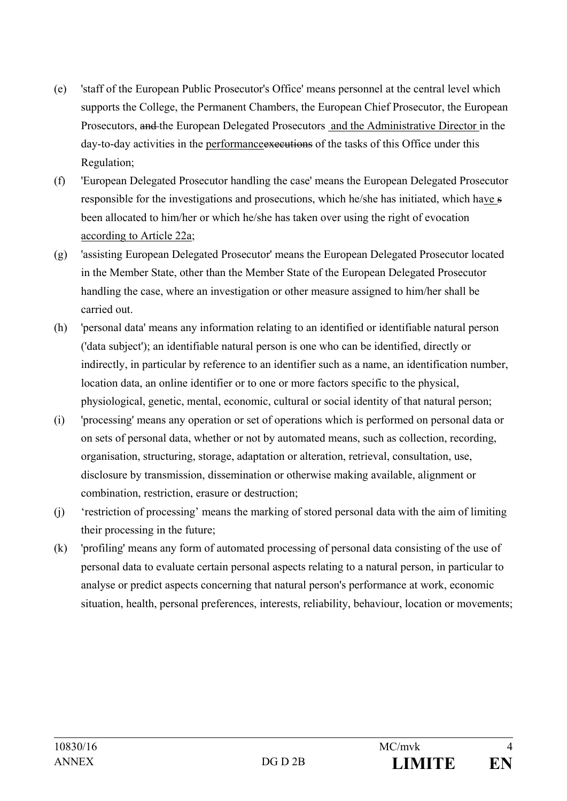- (e) 'staff of the European Public Prosecutor's Office' means personnel at the central level which supports the College, the Permanent Chambers, the European Chief Prosecutor, the European Prosecutors, and the European Delegated Prosecutors and the Administrative Director in the day-to-day activities in the performance executions of the tasks of this Office under this Regulation;
- (f) 'European Delegated Prosecutor handling the case' means the European Delegated Prosecutor responsible for the investigations and prosecutions, which he/she has initiated, which have s been allocated to him/her or which he/she has taken over using the right of evocation according to Article 22a;
- (g) 'assisting European Delegated Prosecutor' means the European Delegated Prosecutor located in the Member State, other than the Member State of the European Delegated Prosecutor handling the case, where an investigation or other measure assigned to him/her shall be carried out.
- (h) 'personal data' means any information relating to an identified or identifiable natural person ('data subject'); an identifiable natural person is one who can be identified, directly or indirectly, in particular by reference to an identifier such as a name, an identification number, location data, an online identifier or to one or more factors specific to the physical, physiological, genetic, mental, economic, cultural or social identity of that natural person;
- (i) 'processing' means any operation or set of operations which is performed on personal data or on sets of personal data, whether or not by automated means, such as collection, recording, organisation, structuring, storage, adaptation or alteration, retrieval, consultation, use, disclosure by transmission, dissemination or otherwise making available, alignment or combination, restriction, erasure or destruction;
- (j) 'restriction of processing' means the marking of stored personal data with the aim of limiting their processing in the future;
- (k) 'profiling' means any form of automated processing of personal data consisting of the use of personal data to evaluate certain personal aspects relating to a natural person, in particular to analyse or predict aspects concerning that natural person's performance at work, economic situation, health, personal preferences, interests, reliability, behaviour, location or movements;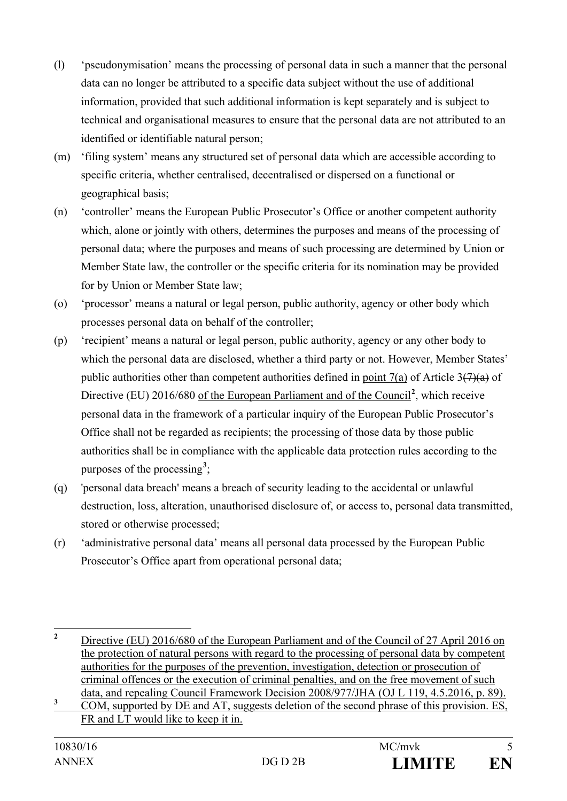- (l) 'pseudonymisation' means the processing of personal data in such a manner that the personal data can no longer be attributed to a specific data subject without the use of additional information, provided that such additional information is kept separately and is subject to technical and organisational measures to ensure that the personal data are not attributed to an identified or identifiable natural person;
- (m) 'filing system' means any structured set of personal data which are accessible according to specific criteria, whether centralised, decentralised or dispersed on a functional or geographical basis;
- (n) 'controller' means the European Public Prosecutor's Office or another competent authority which, alone or jointly with others, determines the purposes and means of the processing of personal data; where the purposes and means of such processing are determined by Union or Member State law, the controller or the specific criteria for its nomination may be provided for by Union or Member State law;
- (o) 'processor' means a natural or legal person, public authority, agency or other body which processes personal data on behalf of the controller;
- (p) 'recipient' means a natural or legal person, public authority, agency or any other body to which the personal data are disclosed, whether a third party or not. However, Member States' public authorities other than competent authorities defined in point 7(a) of Article  $3(7)(a)$  of Directive (EU) [2](#page-4-0)016/680 of the European Parliament and of the Council<sup>2</sup>, which receive personal data in the framework of a particular inquiry of the European Public Prosecutor's Office shall not be regarded as recipients; the processing of those data by those public authorities shall be in compliance with the applicable data protection rules according to the purposes of the processing**[3](#page-4-1)** ;
- (q) 'personal data breach' means a breach of security leading to the accidental or unlawful destruction, loss, alteration, unauthorised disclosure of, or access to, personal data transmitted, stored or otherwise processed;
- (r) 'administrative personal data' means all personal data processed by the European Public Prosecutor's Office apart from operational personal data;

<span id="page-4-0"></span><sup>&</sup>lt;sup>2</sup> Directive (EU) 2016/680 of the European Parliament and of the Council of 27 April 2016 on the protection of natural persons with regard to the processing of personal data by competent authorities for the purposes of the prevention, investigation, detection or prosecution of criminal offences or the execution of criminal penalties, and on the free movement of such data, and repealing Council Framework Decision 2008/977/JHA (OJ L 119, 4.5.2016, p. 89).

<span id="page-4-1"></span><sup>&</sup>lt;sup>3</sup> COM, supported by DE and AT, suggests deletion of the second phrase of this provision. ES, FR and LT would like to keep it in.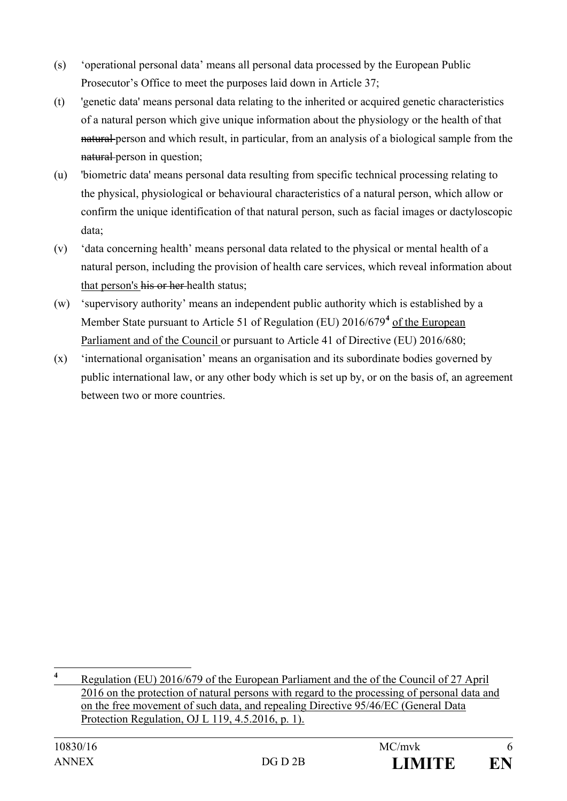- (s) 'operational personal data' means all personal data processed by the European Public Prosecutor's Office to meet the purposes laid down in Article 37;
- (t) 'genetic data' means personal data relating to the inherited or acquired genetic characteristics of a natural person which give unique information about the physiology or the health of that natural person and which result, in particular, from an analysis of a biological sample from the natural person in question;
- (u) 'biometric data' means personal data resulting from specific technical processing relating to the physical, physiological or behavioural characteristics of a natural person, which allow or confirm the unique identification of that natural person, such as facial images or dactyloscopic data;
- (v) 'data concerning health' means personal data related to the physical or mental health of a natural person, including the provision of health care services, which reveal information about that person's his or her health status;
- (w) 'supervisory authority' means an independent public authority which is established by a Member State pursuant to Article 51 of Regulation (EU) 2016/679**[4](#page-5-0)** of the European Parliament and of the Council or pursuant to Article 41 of Directive (EU) 2016/680;
- (x) 'international organisation' means an organisation and its subordinate bodies governed by public international law, or any other body which is set up by, or on the basis of, an agreement between two or more countries.

<span id="page-5-0"></span>**<sup>4</sup>** Regulation (EU) 2016/679 of the European Parliament and the of the Council of 27 April 2016 on the protection of natural persons with regard to the processing of personal data and on the free movement of such data, and repealing Directive 95/46/EC (General Data Protection Regulation, OJ L 119, 4.5.2016, p. 1).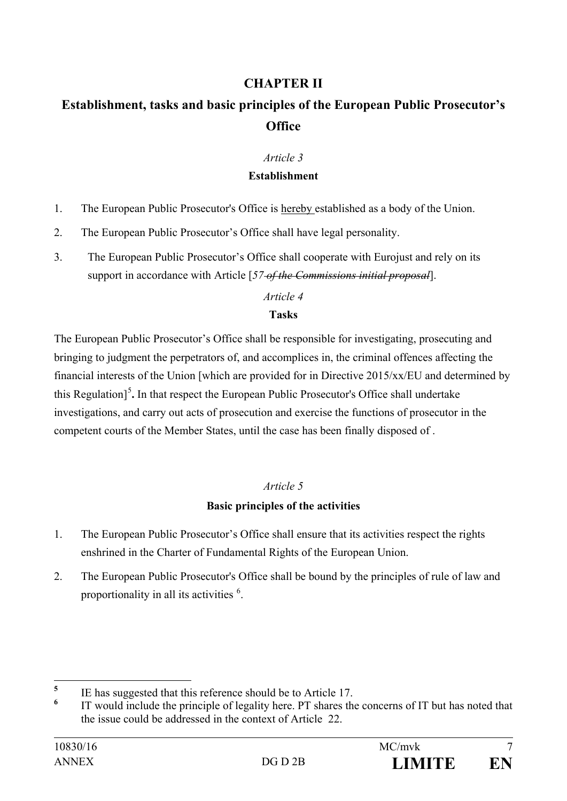## **CHAPTER II**

# **Establishment, tasks and basic principles of the European Public Prosecutor's Office**

#### *Article 3*

#### **Establishment**

- 1. The European Public Prosecutor's Office is hereby established as a body of the Union.
- 2. The European Public Prosecutor's Office shall have legal personality.
- 3. The European Public Prosecutor's Office shall cooperate with Eurojust and rely on its support in accordance with Article [*57 of the Commissions initial proposal*].

#### *Article 4*

## **Tasks**

The European Public Prosecutor's Office shall be responsible for investigating, prosecuting and bringing to judgment the perpetrators of, and accomplices in, the criminal offences affecting the financial interests of the Union [which are provided for in Directive 2015/xx/EU and determined by this Regulation]<sup>[5](#page-6-0)</sup>. In that respect the European Public Prosecutor's Office shall undertake investigations, and carry out acts of prosecution and exercise the functions of prosecutor in the competent courts of the Member States, until the case has been finally disposed of .

## *Article 5*

## **Basic principles of the activities**

- 1. The European Public Prosecutor's Office shall ensure that its activities respect the rights enshrined in the Charter of Fundamental Rights of the European Union.
- 2. The European Public Prosecutor's Office shall be bound by the principles of rule of law and proportionality in all its activities <sup>[6](#page-6-1)</sup>.

<span id="page-6-0"></span><sup>&</sup>lt;sup>5</sup> IE has suggested that this reference should be to Article 17.

<span id="page-6-1"></span>**<sup>6</sup>** IT would include the principle of legality here. PT shares the concerns of IT but has noted that the issue could be addressed in the context of Article 22.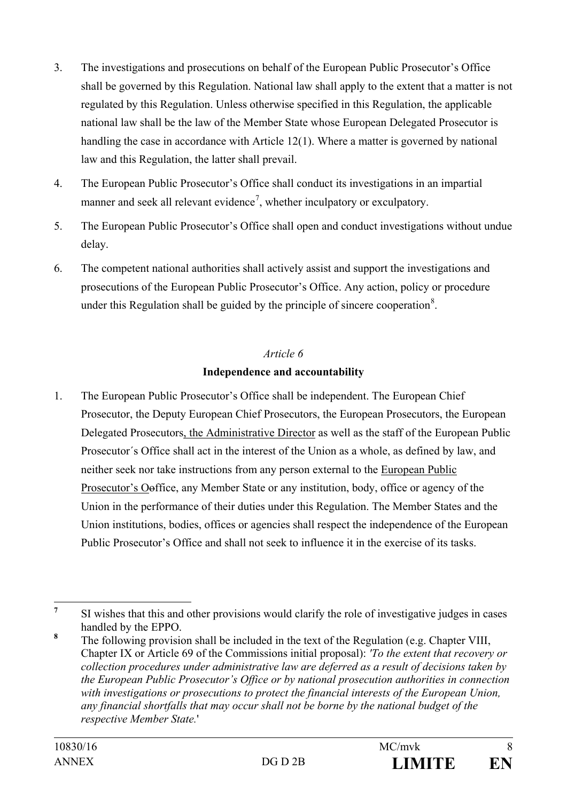- 3. The investigations and prosecutions on behalf of the European Public Prosecutor's Office shall be governed by this Regulation. National law shall apply to the extent that a matter is not regulated by this Regulation. Unless otherwise specified in this Regulation, the applicable national law shall be the law of the Member State whose European Delegated Prosecutor is handling the case in accordance with Article 12(1). Where a matter is governed by national law and this Regulation, the latter shall prevail.
- 4. The European Public Prosecutor's Office shall conduct its investigations in an impartial manner and seek all relevant evidence<sup>[7](#page-7-0)</sup>, whether inculpatory or exculpatory.
- 5. The European Public Prosecutor's Office shall open and conduct investigations without undue delay.
- 6. The competent national authorities shall actively assist and support the investigations and prosecutions of the European Public Prosecutor's Office. Any action, policy or procedure under this Regulation shall be guided by the principle of sincere cooperation<sup>[8](#page-7-1)</sup>.

# *Article 6* **Independence and accountability**

1. The European Public Prosecutor's Office shall be independent. The European Chief Prosecutor, the Deputy European Chief Prosecutors, the European Prosecutors, the European Delegated Prosecutors, the Administrative Director as well as the staff of the European Public Prosecutor´s Office shall act in the interest of the Union as a whole, as defined by law, and neither seek nor take instructions from any person external to the European Public Prosecutor's Ooffice, any Member State or any institution, body, office or agency of the Union in the performance of their duties under this Regulation. The Member States and the Union institutions, bodies, offices or agencies shall respect the independence of the European Public Prosecutor's Office and shall not seek to influence it in the exercise of its tasks.

<span id="page-7-0"></span><sup>&</sup>lt;sup>7</sup> SI wishes that this and other provisions would clarify the role of investigative judges in cases handled by the EPPO.

<span id="page-7-1"></span>**<sup>8</sup>** The following provision shall be included in the text of the Regulation (e.g. Chapter VIII, Chapter IX or Article 69 of the Commissions initial proposal): *'To the extent that recovery or collection procedures under administrative law are deferred as a result of decisions taken by the European Public Prosecutor's Office or by national prosecution authorities in connection with investigations or prosecutions to protect the financial interests of the European Union, any financial shortfalls that may occur shall not be borne by the national budget of the respective Member State.*'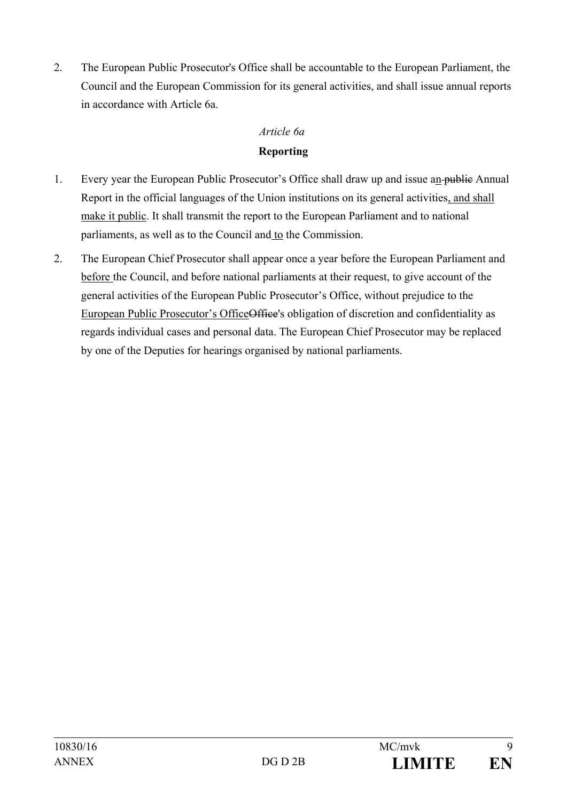2. The European Public Prosecutor's Office shall be accountable to the European Parliament, the Council and the European Commission for its general activities, and shall issue annual reports in accordance with Article 6a.

# *Article 6a* **Reporting**

- 1. Every year the European Public Prosecutor's Office shall draw up and issue an public Annual Report in the official languages of the Union institutions on its general activities, and shall make it public. It shall transmit the report to the European Parliament and to national parliaments, as well as to the Council and to the Commission.
- 2. The European Chief Prosecutor shall appear once a year before the European Parliament and before the Council, and before national parliaments at their request, to give account of the general activities of the European Public Prosecutor's Office, without prejudice to the European Public Prosecutor's OfficeOffice's obligation of discretion and confidentiality as regards individual cases and personal data. The European Chief Prosecutor may be replaced by one of the Deputies for hearings organised by national parliaments.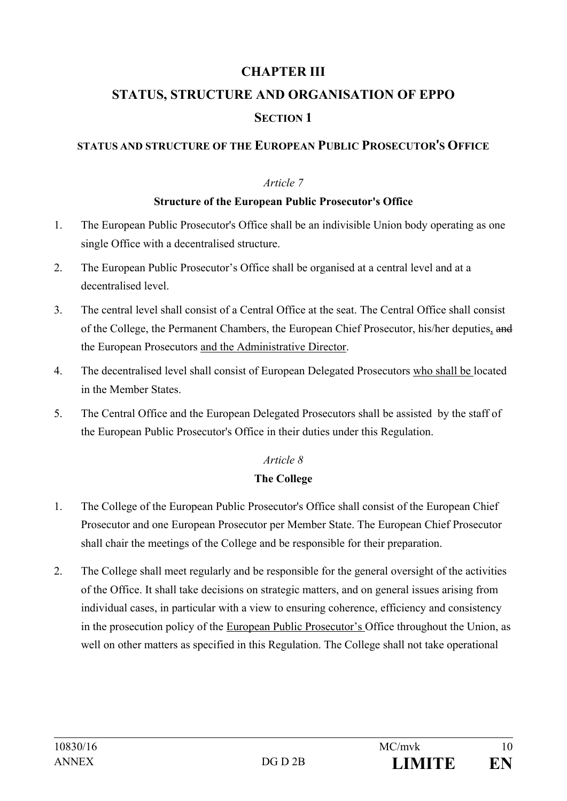# **CHAPTER III**

# **STATUS, STRUCTURE AND ORGANISATION OF EPPO SECTION 1**

## **STATUS AND STRUCTURE OF THE EUROPEAN PUBLIC PROSECUTOR**'**S OFFICE**

#### *Article 7*

#### **Structure of the European Public Prosecutor's Office**

- 1. The European Public Prosecutor's Office shall be an indivisible Union body operating as one single Office with a decentralised structure.
- 2. The European Public Prosecutor's Office shall be organised at a central level and at a decentralised level.
- 3. The central level shall consist of a Central Office at the seat. The Central Office shall consist of the College, the Permanent Chambers, the European Chief Prosecutor, his/her deputies, and the European Prosecutors and the Administrative Director.
- 4. The decentralised level shall consist of European Delegated Prosecutors who shall be located in the Member States.
- 5. The Central Office and the European Delegated Prosecutors shall be assisted by the staff of the European Public Prosecutor's Office in their duties under this Regulation.

## *Article 8*

#### **The College**

- 1. The College of the European Public Prosecutor's Office shall consist of the European Chief Prosecutor and one European Prosecutor per Member State. The European Chief Prosecutor shall chair the meetings of the College and be responsible for their preparation.
- 2. The College shall meet regularly and be responsible for the general oversight of the activities of the Office. It shall take decisions on strategic matters, and on general issues arising from individual cases, in particular with a view to ensuring coherence, efficiency and consistency in the prosecution policy of the European Public Prosecutor's Office throughout the Union, as well on other matters as specified in this Regulation. The College shall not take operational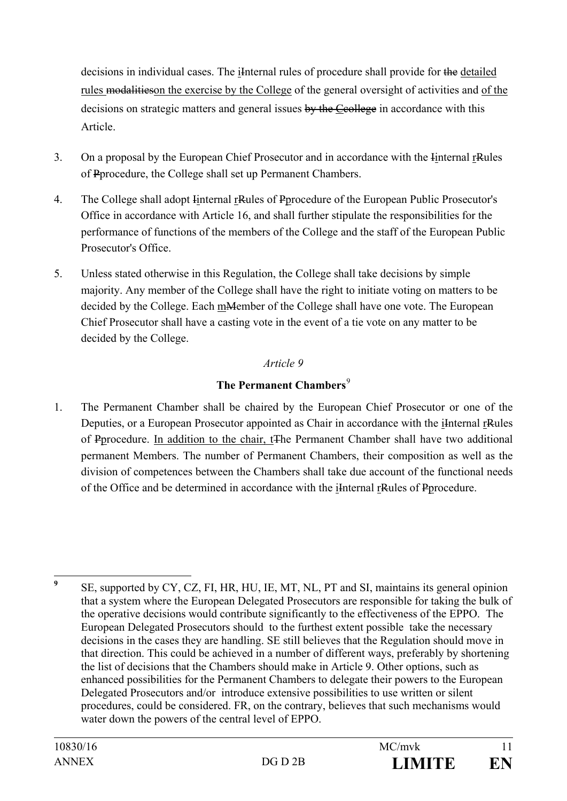decisions in individual cases. The iInternal rules of procedure shall provide for the detailed rules modalitieson the exercise by the College of the general oversight of activities and of the decisions on strategic matters and general issues by the Ccollege in accordance with this Article.

- 3. On a proposal by the European Chief Prosecutor and in accordance with the Iinternal rRules of Pprocedure, the College shall set up Permanent Chambers.
- 4. The College shall adopt Iinternal rRules of Pprocedure of the European Public Prosecutor's Office in accordance with Article 16, and shall further stipulate the responsibilities for the performance of functions of the members of the College and the staff of the European Public Prosecutor's Office.
- 5. Unless stated otherwise in this Regulation, the College shall take decisions by simple majority. Any member of the College shall have the right to initiate voting on matters to be decided by the College. Each m<del>M</del>ember of the College shall have one vote. The European Chief Prosecutor shall have a casting vote in the event of a tie vote on any matter to be decided by the College.

## *Article 9*

## **The Permanent Chambers**<sup>[9](#page-10-0)</sup>

1. The Permanent Chamber shall be chaired by the European Chief Prosecutor or one of the Deputies, or a European Prosecutor appointed as Chair in accordance with the iInternal rRules of Pprocedure. In addition to the chair, tThe Permanent Chamber shall have two additional permanent Members. The number of Permanent Chambers, their composition as well as the division of competences between the Chambers shall take due account of the functional needs of the Office and be determined in accordance with the iInternal rRules of Pprocedure.

<span id="page-10-0"></span><sup>&</sup>lt;sup>9</sup> SE, supported by CY, CZ, FI, HR, HU, IE, MT, NL, PT and SI, maintains its general opinion that a system where the European Delegated Prosecutors are responsible for taking the bulk of the operative decisions would contribute significantly to the effectiveness of the EPPO. The European Delegated Prosecutors should to the furthest extent possible take the necessary decisions in the cases they are handling. SE still believes that the Regulation should move in that direction. This could be achieved in a number of different ways, preferably by shortening the list of decisions that the Chambers should make in Article 9. Other options, such as enhanced possibilities for the Permanent Chambers to delegate their powers to the European Delegated Prosecutors and/or introduce extensive possibilities to use written or silent procedures, could be considered. FR, on the contrary, believes that such mechanisms would water down the powers of the central level of EPPO.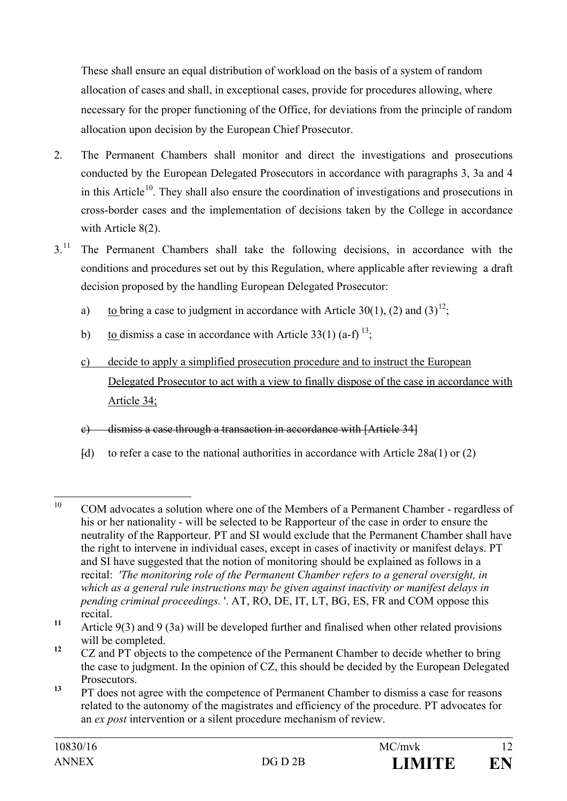These shall ensure an equal distribution of workload on the basis of a system of random allocation of cases and shall, in exceptional cases, provide for procedures allowing, where necessary for the proper functioning of the Office, for deviations from the principle of random allocation upon decision by the European Chief Prosecutor.

- 2. The Permanent Chambers shall monitor and direct the investigations and prosecutions conducted by the European Delegated Prosecutors in accordance with paragraphs 3, 3a and 4 in this Article<sup>10</sup>. They shall also ensure the coordination of investigations and prosecutions in cross-border cases and the implementation of decisions taken by the College in accordance with Article 8(2).
- 3.<sup>[11](#page-11-1)</sup> The Permanent Chambers shall take the following decisions, in accordance with the conditions and procedures set out by this Regulation, where applicable after reviewing a draft decision proposed by the handling European Delegated Prosecutor:
	- a) to bring a case to judgment in accordance with Article 30(1), (2) and (3)<sup>[12](#page-11-2)</sup>;
	- b) to dismiss a case in accordance with Article  $33(1)$  (a-f)  $^{13}$  $^{13}$  $^{13}$ ;
	- c) decide to apply a simplified prosecution procedure and to instruct the European Delegated Prosecutor to act with a view to finally dispose of the case in accordance with Article 34;
	- c) dismiss a case through a transaction in accordance with [Article 34]
	- $[d]$  to refer a case to the national authorities in accordance with Article 28a(1) or (2)

<span id="page-11-3"></span>**<sup>13</sup>** PT does not agree with the competence of Permanent Chamber to dismiss a case for reasons related to the autonomy of the magistrates and efficiency of the procedure. PT advocates for an *ex post* intervention or a silent procedure mechanism of review.

<span id="page-11-0"></span><sup>&</sup>lt;sup>10</sup> COM advocates a solution where one of the Members of a Permanent Chamber - regardless of his or her nationality - will be selected to be Rapporteur of the case in order to ensure the neutrality of the Rapporteur. PT and SI would exclude that the Permanent Chamber shall have the right to intervene in individual cases, except in cases of inactivity or manifest delays. PT and SI have suggested that the notion of monitoring should be explained as follows in a recital: *'The monitoring role of the Permanent Chamber refers to a general oversight, in which as a general rule instructions may be given against inactivity or manifest delays in pending criminal proceedings.* '. AT, RO, DE, IT, LT, BG, ES, FR and COM oppose this recital.

<span id="page-11-1"></span>**<sup>11</sup>** Article 9(3) and 9 (3a) will be developed further and finalised when other related provisions will be completed.

<span id="page-11-2"></span><sup>&</sup>lt;sup>12</sup> CZ and PT objects to the competence of the Permanent Chamber to decide whether to bring the case to judgment. In the opinion of CZ, this should be decided by the European Delegated Prosecutors.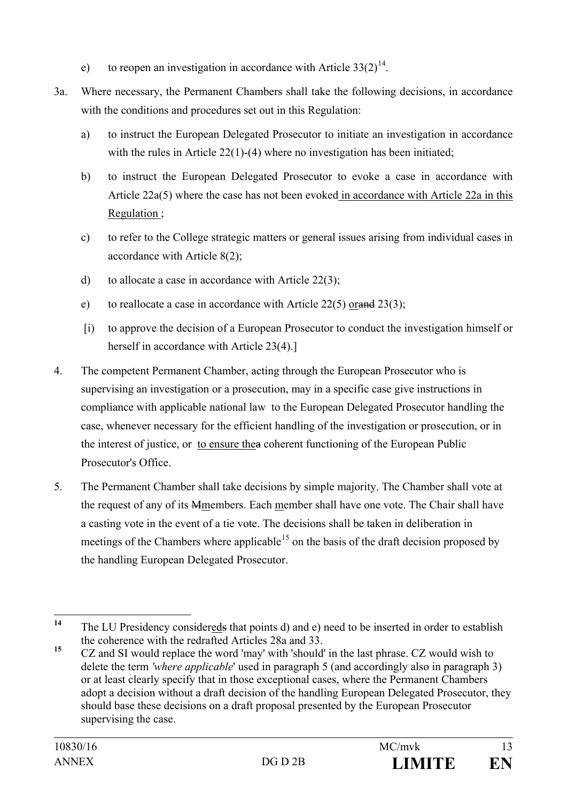- e) to reopen an investigation in accordance with Article  $33(2)^{14}$  $33(2)^{14}$  $33(2)^{14}$ .
- 3a. Where necessary, the Permanent Chambers shall take the following decisions, in accordance with the conditions and procedures set out in this Regulation:
	- a) to instruct the European Delegated Prosecutor to initiate an investigation in accordance with the rules in Article 22(1)-(4) where no investigation has been initiated;
	- b) to instruct the European Delegated Prosecutor to evoke a case in accordance with Article 22a(5) where the case has not been evoked in accordance with Article 22a in this Regulation ;
	- c) to refer to the College strategic matters or general issues arising from individual cases in accordance with Article 8(2);
	- d) to allocate a case in accordance with Article 22(3);
	- e) to reallocate a case in accordance with Article  $22(5)$  orand  $23(3)$ ;
	- [i) to approve the decision of a European Prosecutor to conduct the investigation himself or herself in accordance with Article 23(4).]
- 4. The competent Permanent Chamber, acting through the European Prosecutor who is supervising an investigation or a prosecution, may in a specific case give instructions in compliance with applicable national law to the European Delegated Prosecutor handling the case, whenever necessary for the efficient handling of the investigation or prosecution, or in the interest of justice, or to ensure thea coherent functioning of the European Public Prosecutor's Office.
- 5. The Permanent Chamber shall take decisions by simple majority. The Chamber shall vote at the request of any of its Mmembers. Each member shall have one vote. The Chair shall have a casting vote in the event of a tie vote. The decisions shall be taken in deliberation in meetings of the Chambers where applicable<sup>[15](#page-12-1)</sup> on the basis of the draft decision proposed by the handling European Delegated Prosecutor.

<span id="page-12-0"></span><sup>&</sup>lt;sup>14</sup> The LU Presidency considereds that points d) and e) need to be inserted in order to establish the coherence with the redrafted Articles 28a and 33.

<span id="page-12-1"></span><sup>&</sup>lt;sup>15</sup> CZ and SI would replace the word 'may' with 'should' in the last phrase. CZ would wish to delete the term *'where applicable*' used in paragraph 5 (and accordingly also in paragraph 3) or at least clearly specify that in those exceptional cases, where the Permanent Chambers adopt a decision without a draft decision of the handling European Delegated Prosecutor, they should base these decisions on a draft proposal presented by the European Prosecutor supervising the case.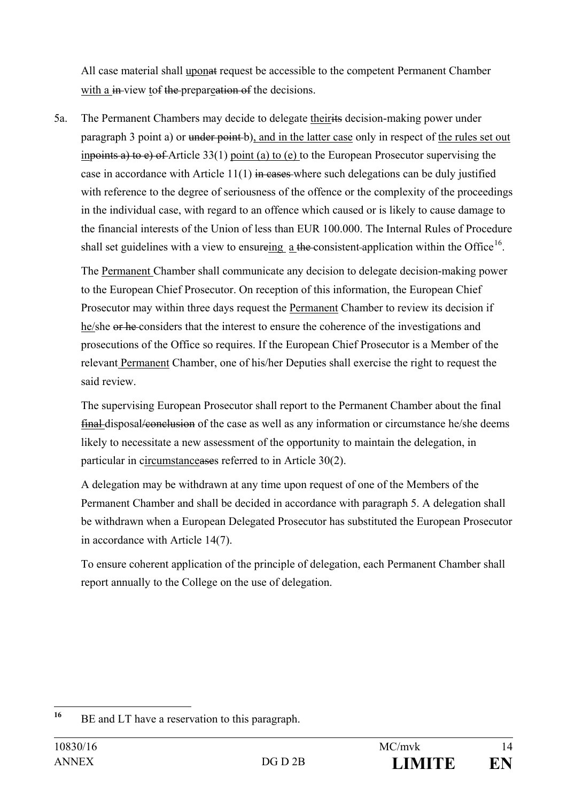All case material shall uponat request be accessible to the competent Permanent Chamber with a in-view tof the prepareation of the decisions.

5a. The Permanent Chambers may decide to delegate theirits decision-making power under paragraph 3 point a) or under point b), and in the latter case only in respect of the rules set out inpoints a) to  $e$ ) of Article 33(1) point (a) to (e) to the European Prosecutor supervising the case in accordance with Article  $11(1)$  in cases where such delegations can be duly justified with reference to the degree of seriousness of the offence or the complexity of the proceedings in the individual case, with regard to an offence which caused or is likely to cause damage to the financial interests of the Union of less than EUR 100.000. The Internal Rules of Procedure shall set guidelines with a view to ensureing a the consistent-application within the Office<sup>[16](#page-13-0)</sup>.

The Permanent Chamber shall communicate any decision to delegate decision-making power to the European Chief Prosecutor. On reception of this information, the European Chief Prosecutor may within three days request the Permanent Chamber to review its decision if he/she or he considers that the interest to ensure the coherence of the investigations and prosecutions of the Office so requires. If the European Chief Prosecutor is a Member of the relevant Permanent Chamber, one of his/her Deputies shall exercise the right to request the said review.

The supervising European Prosecutor shall report to the Permanent Chamber about the final final disposal/conclusion of the case as well as any information or circumstance he/she deems likely to necessitate a new assessment of the opportunity to maintain the delegation, in particular in circumstanceases referred to in Article 30(2).

A delegation may be withdrawn at any time upon request of one of the Members of the Permanent Chamber and shall be decided in accordance with paragraph 5. A delegation shall be withdrawn when a European Delegated Prosecutor has substituted the European Prosecutor in accordance with Article 14(7).

To ensure coherent application of the principle of delegation, each Permanent Chamber shall report annually to the College on the use of delegation.

<span id="page-13-0"></span>**<sup>16</sup>** BE and LT have a reservation to this paragraph.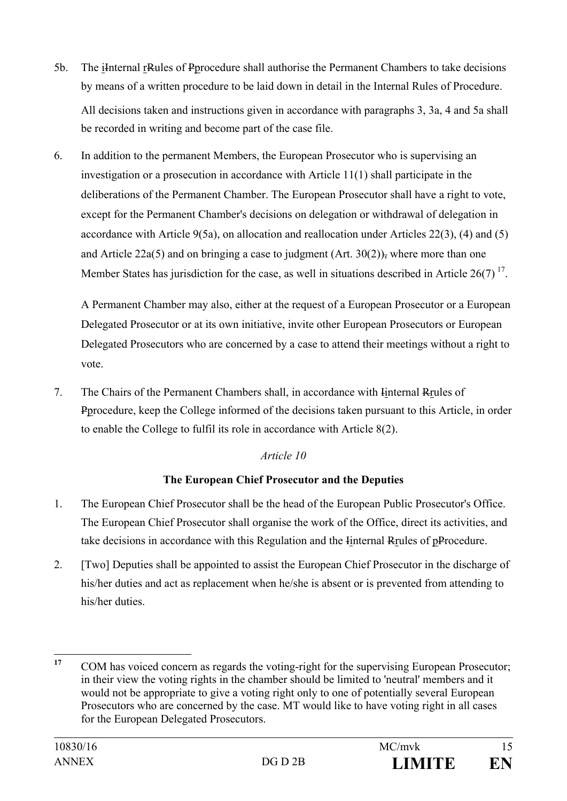- 5b. The iInternal rRules of Pprocedure shall authorise the Permanent Chambers to take decisions by means of a written procedure to be laid down in detail in the Internal Rules of Procedure. All decisions taken and instructions given in accordance with paragraphs 3, 3a, 4 and 5a shall be recorded in writing and become part of the case file.
- 6. In addition to the permanent Members, the European Prosecutor who is supervising an investigation or a prosecution in accordance with Article 11(1) shall participate in the deliberations of the Permanent Chamber. The European Prosecutor shall have a right to vote, except for the Permanent Chamber's decisions on delegation or withdrawal of delegation in accordance with Article 9(5a), on allocation and reallocation under Articles 22(3), (4) and (5) and Article 22a(5) and on bringing a case to judgment (Art.  $30(2)$ ), where more than one Member States has jurisdiction for the case, as well in situations described in Article 26(7)<sup>[17](#page-14-0)</sup>.

A Permanent Chamber may also, either at the request of a European Prosecutor or a European Delegated Prosecutor or at its own initiative, invite other European Prosecutors or European Delegated Prosecutors who are concerned by a case to attend their meetings without a right to vote.

7. The Chairs of the Permanent Chambers shall, in accordance with Iinternal Rrules of Pprocedure, keep the College informed of the decisions taken pursuant to this Article, in order to enable the College to fulfil its role in accordance with Article 8(2).

## *Article 10*

# **The European Chief Prosecutor and the Deputies**

- 1. The European Chief Prosecutor shall be the head of the European Public Prosecutor's Office. The European Chief Prosecutor shall organise the work of the Office, direct its activities, and take decisions in accordance with this Regulation and the Iinternal Rrules of pProcedure.
- 2. [Two] Deputies shall be appointed to assist the European Chief Prosecutor in the discharge of his/her duties and act as replacement when he/she is absent or is prevented from attending to his/her duties.

<span id="page-14-0"></span><sup>&</sup>lt;sup>17</sup> COM has voiced concern as regards the voting-right for the supervising European Prosecutor; in their view the voting rights in the chamber should be limited to 'neutral' members and it would not be appropriate to give a voting right only to one of potentially several European Prosecutors who are concerned by the case. MT would like to have voting right in all cases for the European Delegated Prosecutors.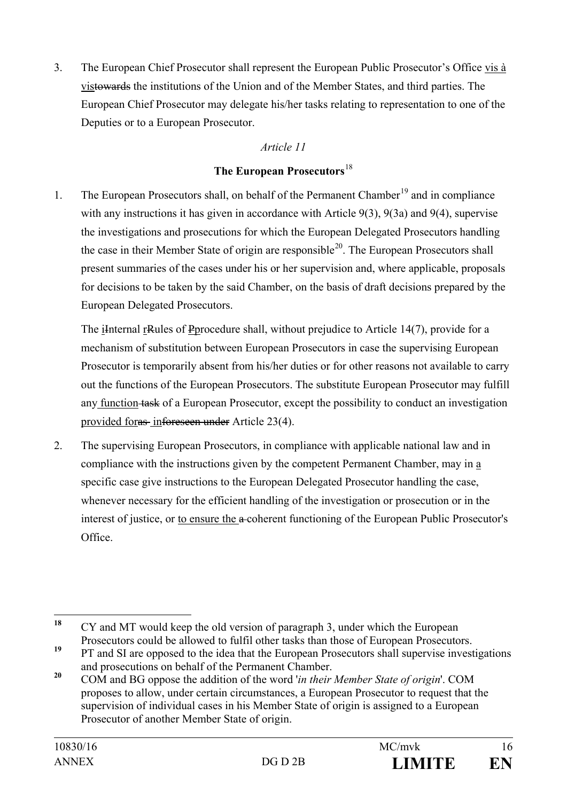3. The European Chief Prosecutor shall represent the European Public Prosecutor's Office vis à vistowards the institutions of the Union and of the Member States, and third parties. The European Chief Prosecutor may delegate his/her tasks relating to representation to one of the Deputies or to a European Prosecutor.

## *Article 11*

## **The European Prosecutors**[18](#page-15-0)

1. The European Prosecutors shall, on behalf of the Permanent Chamber<sup>[19](#page-15-1)</sup> and in compliance with any instructions it has given in accordance with Article 9(3), 9(3a) and 9(4), supervise the investigations and prosecutions for which the European Delegated Prosecutors handling the case in their Member State of origin are responsible<sup>20</sup>. The European Prosecutors shall present summaries of the cases under his or her supervision and, where applicable, proposals for decisions to be taken by the said Chamber, on the basis of draft decisions prepared by the European Delegated Prosecutors.

The iInternal rRules of Pprocedure shall, without prejudice to Article 14(7), provide for a mechanism of substitution between European Prosecutors in case the supervising European Prosecutor is temporarily absent from his/her duties or for other reasons not available to carry out the functions of the European Prosecutors. The substitute European Prosecutor may fulfill any function task of a European Prosecutor, except the possibility to conduct an investigation provided foras inforeseen under Article 23(4).

2. The supervising European Prosecutors, in compliance with applicable national law and in compliance with the instructions given by the competent Permanent Chamber, may in a specific case give instructions to the European Delegated Prosecutor handling the case, whenever necessary for the efficient handling of the investigation or prosecution or in the interest of justice, or to ensure the a-coherent functioning of the European Public Prosecutor's Office.

<span id="page-15-0"></span>**<sup>18</sup>** CY and MT would keep the old version of paragraph 3, under which the European Prosecutors could be allowed to fulfil other tasks than those of European Prosecutors.

<span id="page-15-1"></span><sup>&</sup>lt;sup>19</sup> PT and SI are opposed to the idea that the European Prosecutors shall supervise investigations and prosecutions on behalf of the Permanent Chamber.

<span id="page-15-2"></span>**<sup>20</sup>** COM and BG oppose the addition of the word '*in their Member State of origin*'. COM proposes to allow, under certain circumstances, a European Prosecutor to request that the supervision of individual cases in his Member State of origin is assigned to a European Prosecutor of another Member State of origin.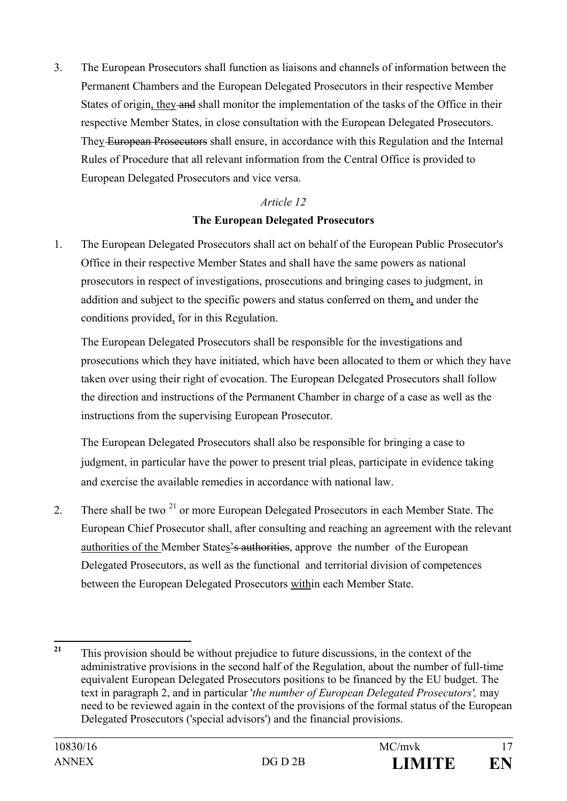3. The European Prosecutors shall function as liaisons and channels of information between the Permanent Chambers and the European Delegated Prosecutors in their respective Member States of origin, they and shall monitor the implementation of the tasks of the Office in their respective Member States, in close consultation with the European Delegated Prosecutors. They European Prosecutors shall ensure, in accordance with this Regulation and the Internal Rules of Procedure that all relevant information from the Central Office is provided to European Delegated Prosecutors and vice versa.

# *Article 12* **The European Delegated Prosecutors**

1. The European Delegated Prosecutors shall act on behalf of the European Public Prosecutor's Office in their respective Member States and shall have the same powers as national prosecutors in respect of investigations, prosecutions and bringing cases to judgment, in addition and subject to the specific powers and status conferred on them, and under the conditions provided, for in this Regulation.

The European Delegated Prosecutors shall be responsible for the investigations and prosecutions which they have initiated, which have been allocated to them or which they have taken over using their right of evocation. The European Delegated Prosecutors shall follow the direction and instructions of the Permanent Chamber in charge of a case as well as the instructions from the supervising European Prosecutor.

The European Delegated Prosecutors shall also be responsible for bringing a case to judgment, in particular have the power to present trial pleas, participate in evidence taking and exercise the available remedies in accordance with national law.

2. There shall be two  $2^{1}$  or more European Delegated Prosecutors in each Member State. The European Chief Prosecutor shall, after consulting and reaching an agreement with the relevant authorities of the Member States's authorities, approve the number of the European Delegated Prosecutors, as well as the functional and territorial division of competences between the European Delegated Prosecutors within each Member State.

<span id="page-16-0"></span>**<sup>21</sup>** This provision should be without prejudice to future discussions, in the context of the administrative provisions in the second half of the Regulation, about the number of full-time equivalent European Delegated Prosecutors positions to be financed by the EU budget. The text in paragraph 2, and in particular '*the number of European Delegated Prosecutors',* may need to be reviewed again in the context of the provisions of the formal status of the European Delegated Prosecutors ('special advisors') and the financial provisions.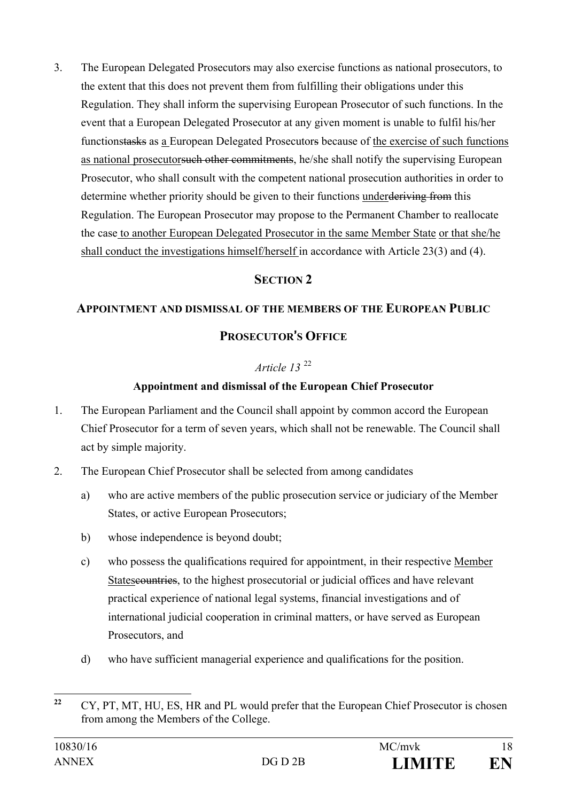3. The European Delegated Prosecutors may also exercise functions as national prosecutors, to the extent that this does not prevent them from fulfilling their obligations under this Regulation. They shall inform the supervising European Prosecutor of such functions. In the event that a European Delegated Prosecutor at any given moment is unable to fulfil his/her functionstasks as a European Delegated Prosecutors because of the exercise of such functions as national prosecutorsuch other commitments, he/she shall notify the supervising European Prosecutor, who shall consult with the competent national prosecution authorities in order to determine whether priority should be given to their functions underderiving from this Regulation. The European Prosecutor may propose to the Permanent Chamber to reallocate the case to another European Delegated Prosecutor in the same Member State or that she/he shall conduct the investigations himself/herself in accordance with Article 23(3) and (4).

# **SECTION 2**

## **APPOINTMENT AND DISMISSAL OF THE MEMBERS OF THE EUROPEAN PUBLIC**

## **PROSECUTOR**'**S OFFICE**

## *Article 13* [22](#page-17-0)

## **Appointment and dismissal of the European Chief Prosecutor**

- 1. The European Parliament and the Council shall appoint by common accord the European Chief Prosecutor for a term of seven years, which shall not be renewable. The Council shall act by simple majority.
- 2. The European Chief Prosecutor shall be selected from among candidates
	- a) who are active members of the public prosecution service or judiciary of the Member States, or active European Prosecutors;
	- b) whose independence is beyond doubt;
	- c) who possess the qualifications required for appointment, in their respective Member States countries, to the highest prosecutorial or judicial offices and have relevant practical experience of national legal systems, financial investigations and of international judicial cooperation in criminal matters, or have served as European Prosecutors, and
	- d) who have sufficient managerial experience and qualifications for the position.

<span id="page-17-0"></span><sup>&</sup>lt;sup>22</sup> CY, PT, MT, HU, ES, HR and PL would prefer that the European Chief Prosecutor is chosen from among the Members of the College.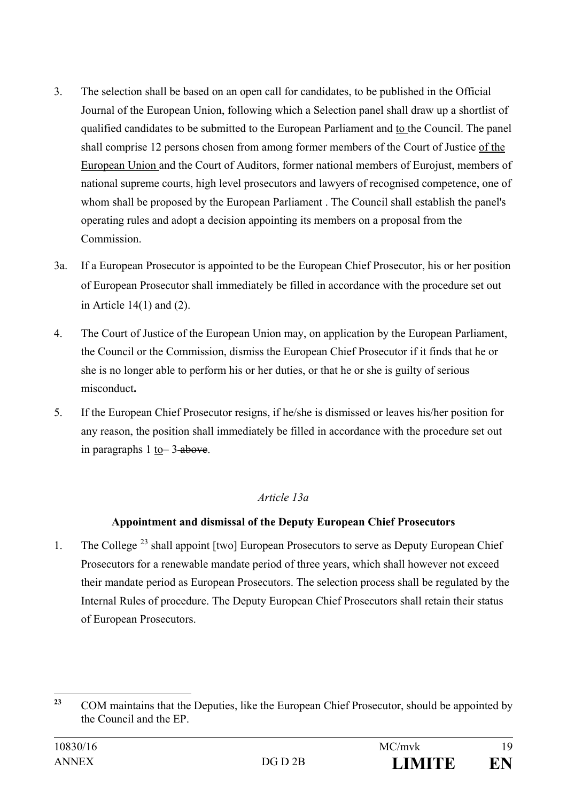- 3. The selection shall be based on an open call for candidates, to be published in the Official Journal of the European Union, following which a Selection panel shall draw up a shortlist of qualified candidates to be submitted to the European Parliament and to the Council. The panel shall comprise 12 persons chosen from among former members of the Court of Justice of the European Union and the Court of Auditors, former national members of Eurojust, members of national supreme courts, high level prosecutors and lawyers of recognised competence, one of whom shall be proposed by the European Parliament . The Council shall establish the panel's operating rules and adopt a decision appointing its members on a proposal from the Commission.
- 3a. If a European Prosecutor is appointed to be the European Chief Prosecutor, his or her position of European Prosecutor shall immediately be filled in accordance with the procedure set out in Article 14(1) and (2).
- 4. The Court of Justice of the European Union may, on application by the European Parliament, the Council or the Commission, dismiss the European Chief Prosecutor if it finds that he or she is no longer able to perform his or her duties, or that he or she is guilty of serious misconduct**.**
- 5. If the European Chief Prosecutor resigns, if he/she is dismissed or leaves his/her position for any reason, the position shall immediately be filled in accordance with the procedure set out in paragraphs  $1$  to  $3$ -above.

## *Article 13a*

## **Appointment and dismissal of the Deputy European Chief Prosecutors**

1. The College<sup>[23](#page-18-0)</sup> shall appoint [two] European Prosecutors to serve as Deputy European Chief Prosecutors for a renewable mandate period of three years, which shall however not exceed their mandate period as European Prosecutors. The selection process shall be regulated by the Internal Rules of procedure. The Deputy European Chief Prosecutors shall retain their status of European Prosecutors.

<span id="page-18-0"></span><sup>&</sup>lt;sup>23</sup> COM maintains that the Deputies, like the European Chief Prosecutor, should be appointed by the Council and the EP.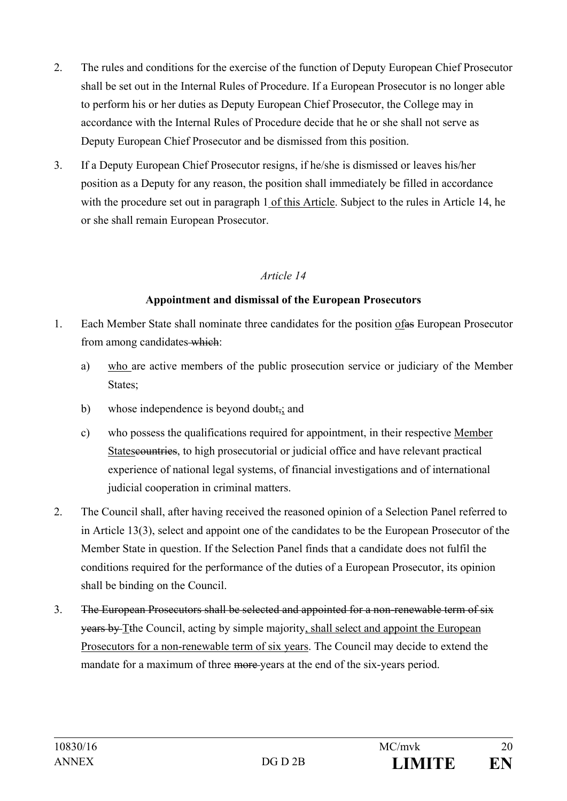- 2. The rules and conditions for the exercise of the function of Deputy European Chief Prosecutor shall be set out in the Internal Rules of Procedure. If a European Prosecutor is no longer able to perform his or her duties as Deputy European Chief Prosecutor, the College may in accordance with the Internal Rules of Procedure decide that he or she shall not serve as Deputy European Chief Prosecutor and be dismissed from this position.
- 3. If a Deputy European Chief Prosecutor resigns, if he/she is dismissed or leaves his/her position as a Deputy for any reason, the position shall immediately be filled in accordance with the procedure set out in paragraph 1 of this Article. Subject to the rules in Article 14, he or she shall remain European Prosecutor.

## *Article 14*

#### **Appointment and dismissal of the European Prosecutors**

- 1. Each Member State shall nominate three candidates for the position ofas European Prosecutor from among candidates which:
	- a) who are active members of the public prosecution service or judiciary of the Member States;
	- b) whose independence is beyond doubt<sub>7</sub>; and
	- c) who possess the qualifications required for appointment, in their respective Member States countries, to high prosecutorial or judicial office and have relevant practical experience of national legal systems, of financial investigations and of international judicial cooperation in criminal matters.
- 2. The Council shall, after having received the reasoned opinion of a Selection Panel referred to in Article 13(3), select and appoint one of the candidates to be the European Prosecutor of the Member State in question. If the Selection Panel finds that a candidate does not fulfil the conditions required for the performance of the duties of a European Prosecutor, its opinion shall be binding on the Council.
- 3. The European Prosecutors shall be selected and appointed for a non-renewable term of six years by Tthe Council, acting by simple majority, shall select and appoint the European Prosecutors for a non-renewable term of six years. The Council may decide to extend the mandate for a maximum of three more years at the end of the six-years period.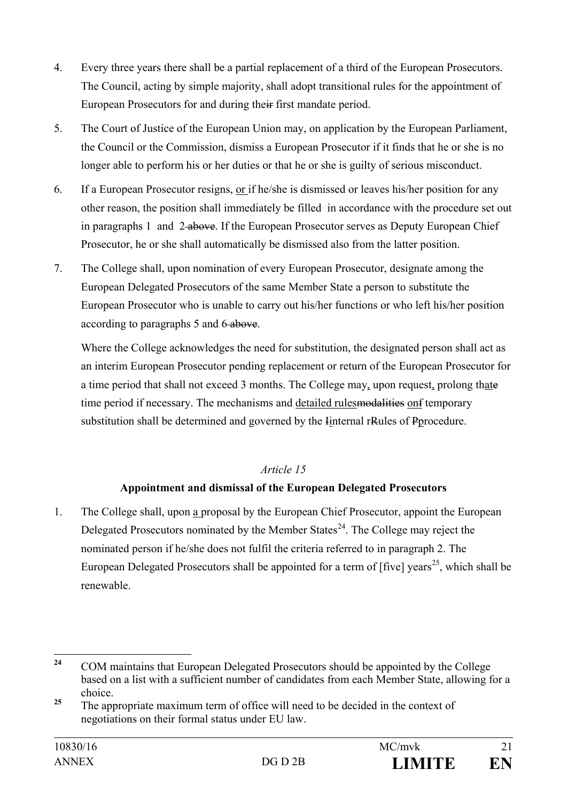- 4. Every three years there shall be a partial replacement of a third of the European Prosecutors. The Council, acting by simple majority, shall adopt transitional rules for the appointment of European Prosecutors for and during their first mandate period.
- 5. The Court of Justice of the European Union may, on application by the European Parliament, the Council or the Commission, dismiss a European Prosecutor if it finds that he or she is no longer able to perform his or her duties or that he or she is guilty of serious misconduct.
- 6. If a European Prosecutor resigns, or if he/she is dismissed or leaves his/her position for any other reason, the position shall immediately be filled in accordance with the procedure set out in paragraphs 1 and 2-above. If the European Prosecutor serves as Deputy European Chief Prosecutor, he or she shall automatically be dismissed also from the latter position.
- 7. The College shall, upon nomination of every European Prosecutor, designate among the European Delegated Prosecutors of the same Member State a person to substitute the European Prosecutor who is unable to carry out his/her functions or who left his/her position according to paragraphs 5 and 6 above.

Where the College acknowledges the need for substitution, the designated person shall act as an interim European Prosecutor pending replacement or return of the European Prosecutor for a time period that shall not exceed 3 months. The College may, upon request, prolong thate time period if necessary. The mechanisms and detailed rules modellities on f temporary substitution shall be determined and governed by the Iinternal rRules of Pprocedure.

## *Article 15*

# **Appointment and dismissal of the European Delegated Prosecutors**

1. The College shall, upon a proposal by the European Chief Prosecutor, appoint the European Delegated Prosecutors nominated by the Member States<sup>24</sup>. The College may reject the nominated person if he/she does not fulfil the criteria referred to in paragraph 2. The European Delegated Prosecutors shall be appointed for a term of  $[\text{five}]\text{ years}^{25}$ , which shall be renewable.

<span id="page-20-0"></span><sup>&</sup>lt;sup>24</sup> COM maintains that European Delegated Prosecutors should be appointed by the College based on a list with a sufficient number of candidates from each Member State, allowing for a choice.

<span id="page-20-1"></span><sup>&</sup>lt;sup>25</sup> The appropriate maximum term of office will need to be decided in the context of negotiations on their formal status under EU law.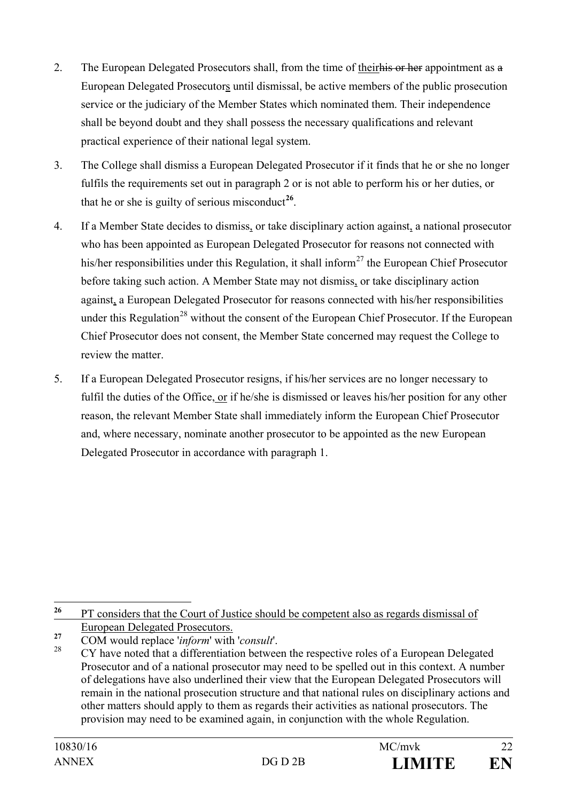- 2. The European Delegated Prosecutors shall, from the time of their his or her appointment as a European Delegated Prosecutors until dismissal, be active members of the public prosecution service or the judiciary of the Member States which nominated them. Their independence shall be beyond doubt and they shall possess the necessary qualifications and relevant practical experience of their national legal system.
- 3. The College shall dismiss a European Delegated Prosecutor if it finds that he or she no longer fulfils the requirements set out in paragraph 2 or is not able to perform his or her duties, or that he or she is guilty of serious misconduct<sup>[26](#page-21-0)</sup>.
- 4. If a Member State decides to dismiss, or take disciplinary action against, a national prosecutor who has been appointed as European Delegated Prosecutor for reasons not connected with his/her responsibilities under this Regulation, it shall inform<sup>[27](#page-21-1)</sup> the European Chief Prosecutor before taking such action. A Member State may not dismiss, or take disciplinary action against, a European Delegated Prosecutor for reasons connected with his/her responsibilities under this Regulation<sup>[28](#page-21-2)</sup> without the consent of the European Chief Prosecutor. If the European Chief Prosecutor does not consent, the Member State concerned may request the College to review the matter.
- 5. If a European Delegated Prosecutor resigns, if his/her services are no longer necessary to fulfil the duties of the Office, or if he/she is dismissed or leaves his/her position for any other reason, the relevant Member State shall immediately inform the European Chief Prosecutor and, where necessary, nominate another prosecutor to be appointed as the new European Delegated Prosecutor in accordance with paragraph 1.

<span id="page-21-0"></span><sup>&</sup>lt;sup>26</sup> PT considers that the Court of Justice should be competent also as regards dismissal of European Delegated Prosecutors.

<span id="page-21-2"></span><span id="page-21-1"></span>**<sup>27</sup>** COM would replace '*inform*' with '*consult*'.

<sup>28</sup> CY have noted that a differentiation between the respective roles of a European Delegated Prosecutor and of a national prosecutor may need to be spelled out in this context. A number of delegations have also underlined their view that the European Delegated Prosecutors will remain in the national prosecution structure and that national rules on disciplinary actions and other matters should apply to them as regards their activities as national prosecutors. The provision may need to be examined again, in conjunction with the whole Regulation.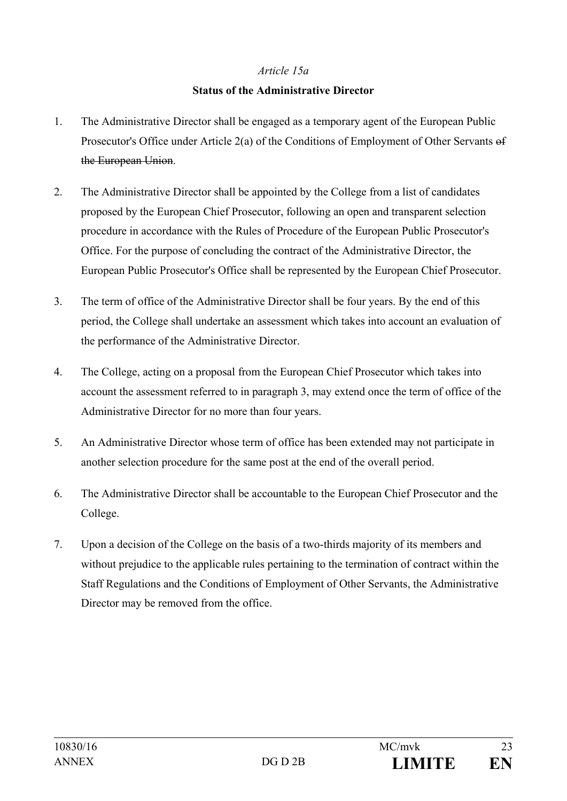#### *Article 15a*

#### **Status of the Administrative Director**

- 1. The Administrative Director shall be engaged as a temporary agent of the European Public Prosecutor's Office under Article 2(a) of the Conditions of Employment of Other Servants of the European Union.
- 2. The Administrative Director shall be appointed by the College from a list of candidates proposed by the European Chief Prosecutor, following an open and transparent selection procedure in accordance with the Rules of Procedure of the European Public Prosecutor's Office. For the purpose of concluding the contract of the Administrative Director, the European Public Prosecutor's Office shall be represented by the European Chief Prosecutor.
- 3. The term of office of the Administrative Director shall be four years. By the end of this period, the College shall undertake an assessment which takes into account an evaluation of the performance of the Administrative Director.
- 4. The College, acting on a proposal from the European Chief Prosecutor which takes into account the assessment referred to in paragraph 3, may extend once the term of office of the Administrative Director for no more than four years.
- 5. An Administrative Director whose term of office has been extended may not participate in another selection procedure for the same post at the end of the overall period.
- 6. The Administrative Director shall be accountable to the European Chief Prosecutor and the College.
- 7. Upon a decision of the College on the basis of a two-thirds majority of its members and without prejudice to the applicable rules pertaining to the termination of contract within the Staff Regulations and the Conditions of Employment of Other Servants, the Administrative Director may be removed from the office.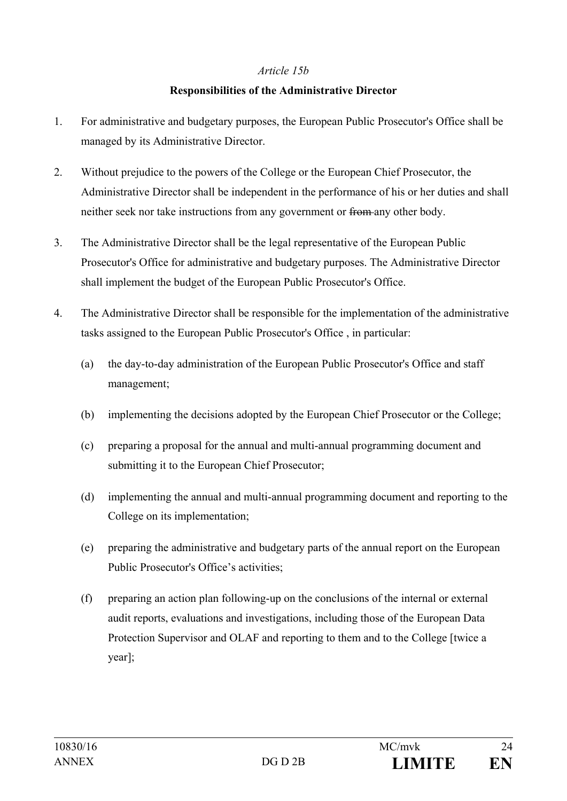#### *Article 15b*

#### **Responsibilities of the Administrative Director**

- 1. For administrative and budgetary purposes, the European Public Prosecutor's Office shall be managed by its Administrative Director.
- 2. Without prejudice to the powers of the College or the European Chief Prosecutor, the Administrative Director shall be independent in the performance of his or her duties and shall neither seek nor take instructions from any government or from any other body.
- 3. The Administrative Director shall be the legal representative of the European Public Prosecutor's Office for administrative and budgetary purposes. The Administrative Director shall implement the budget of the European Public Prosecutor's Office.
- 4. The Administrative Director shall be responsible for the implementation of the administrative tasks assigned to the European Public Prosecutor's Office , in particular:
	- (a) the day-to-day administration of the European Public Prosecutor's Office and staff management;
	- (b) implementing the decisions adopted by the European Chief Prosecutor or the College;
	- (c) preparing a proposal for the annual and multi-annual programming document and submitting it to the European Chief Prosecutor;
	- (d) implementing the annual and multi-annual programming document and reporting to the College on its implementation;
	- (e) preparing the administrative and budgetary parts of the annual report on the European Public Prosecutor's Office's activities;
	- (f) preparing an action plan following-up on the conclusions of the internal or external audit reports, evaluations and investigations, including those of the European Data Protection Supervisor and OLAF and reporting to them and to the College [twice a year];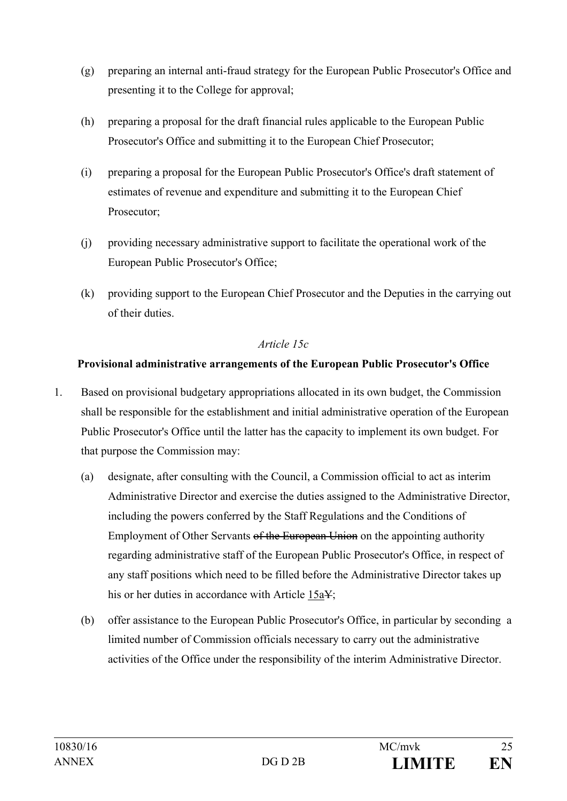- (g) preparing an internal anti-fraud strategy for the European Public Prosecutor's Office and presenting it to the College for approval;
- (h) preparing a proposal for the draft financial rules applicable to the European Public Prosecutor's Office and submitting it to the European Chief Prosecutor;
- (i) preparing a proposal for the European Public Prosecutor's Office's draft statement of estimates of revenue and expenditure and submitting it to the European Chief Prosecutor;
- (j) providing necessary administrative support to facilitate the operational work of the European Public Prosecutor's Office;
- (k) providing support to the European Chief Prosecutor and the Deputies in the carrying out of their duties.

## *Article 15c*

## **Provisional administrative arrangements of the European Public Prosecutor's Office**

- 1. Based on provisional budgetary appropriations allocated in its own budget, the Commission shall be responsible for the establishment and initial administrative operation of the European Public Prosecutor's Office until the latter has the capacity to implement its own budget. For that purpose the Commission may:
	- (a) designate, after consulting with the Council, a Commission official to act as interim Administrative Director and exercise the duties assigned to the Administrative Director, including the powers conferred by the Staff Regulations and the Conditions of Employment of Other Servants of the European Union on the appointing authority regarding administrative staff of the European Public Prosecutor's Office, in respect of any staff positions which need to be filled before the Administrative Director takes up his or her duties in accordance with Article 15a¥;
	- (b) offer assistance to the European Public Prosecutor's Office, in particular by seconding a limited number of Commission officials necessary to carry out the administrative activities of the Office under the responsibility of the interim Administrative Director.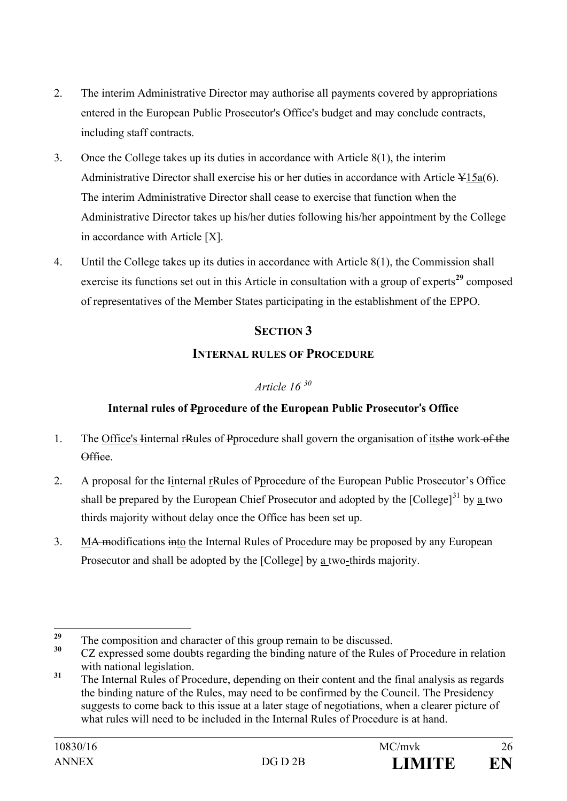- 2. The interim Administrative Director may authorise all payments covered by appropriations entered in the European Public Prosecutor's Office's budget and may conclude contracts, including staff contracts.
- 3. Once the College takes up its duties in accordance with Article 8(1), the interim Administrative Director shall exercise his or her duties in accordance with Article ¥15a(6). The interim Administrative Director shall cease to exercise that function when the Administrative Director takes up his/her duties following his/her appointment by the College in accordance with Article [X].
- 4. Until the College takes up its duties in accordance with Article 8(1), the Commission shall exercise its functions set out in this Article in consultation with a group of experts<sup>[29](#page-25-0)</sup> composed of representatives of the Member States participating in the establishment of the EPPO.

## **SECTION 3**

## **INTERNAL RULES OF PROCEDURE**

## *Article 16 [30](#page-25-1)*

# **Internal rules of Pprocedure of the European Public Prosecutor**'**s Office**

- 1. The Office's Internal rRules of Pprocedure shall govern the organisation of its the work of the Office.
- 2. A proposal for the Internal reveals of Perocedure of the European Public Prosecutor's Office shall be prepared by the European Chief Prosecutor and adopted by the [College]<sup>[31](#page-25-2)</sup> by a two thirds majority without delay once the Office has been set up.
- 3. M<del>A m</del>odifications into the Internal Rules of Procedure may be proposed by any European Prosecutor and shall be adopted by the [College] by a two-thirds majority.

<span id="page-25-0"></span><sup>&</sup>lt;sup>29</sup> The composition and character of this group remain to be discussed.<br> $\frac{30}{27}$  composed agree dealth associates the hinding actual fitter polar

<span id="page-25-1"></span>**<sup>30</sup>** CZ expressed some doubts regarding the binding nature of the Rules of Procedure in relation with national legislation.

<span id="page-25-2"></span><sup>&</sup>lt;sup>31</sup> The Internal Rules of Procedure, depending on their content and the final analysis as regards the binding nature of the Rules, may need to be confirmed by the Council. The Presidency suggests to come back to this issue at a later stage of negotiations, when a clearer picture of what rules will need to be included in the Internal Rules of Procedure is at hand.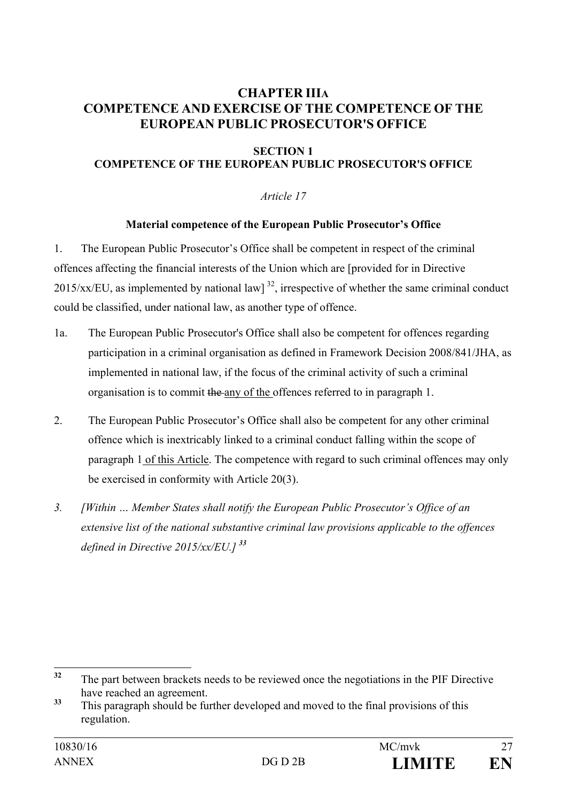## **CHAPTER IIIA COMPETENCE AND EXERCISE OF THE COMPETENCE OF THE EUROPEAN PUBLIC PROSECUTOR'S OFFICE**

#### **SECTION 1 COMPETENCE OF THE EUROPEAN PUBLIC PROSECUTOR'S OFFICE**

#### *Article 17*

#### **Material competence of the European Public Prosecutor's Office**

1. The European Public Prosecutor's Office shall be competent in respect of the criminal offences affecting the financial interests of the Union which are [provided for in Directive  $2015/xx/EU$ , as implemented by national law]<sup>32</sup>, irrespective of whether the same criminal conduct could be classified, under national law, as another type of offence.

- 1a. The European Public Prosecutor's Office shall also be competent for offences regarding participation in a criminal organisation as defined in Framework Decision 2008/841/JHA, as implemented in national law, if the focus of the criminal activity of such a criminal organisation is to commit the any of the offences referred to in paragraph 1.
- 2. The European Public Prosecutor's Office shall also be competent for any other criminal offence which is inextricably linked to a criminal conduct falling within the scope of paragraph 1 of this Article. The competence with regard to such criminal offences may only be exercised in conformity with Article 20(3).
- *3. [Within … Member States shall notify the European Public Prosecutor's Office of an extensive list of the national substantive criminal law provisions applicable to the offences defined in Directive 2015/xx/EU.] [33](#page-26-1)*

<span id="page-26-0"></span><sup>&</sup>lt;sup>32</sup> The part between brackets needs to be reviewed once the negotiations in the PIF Directive have reached an agreement.

<span id="page-26-1"></span><sup>&</sup>lt;sup>33</sup> This paragraph should be further developed and moved to the final provisions of this regulation.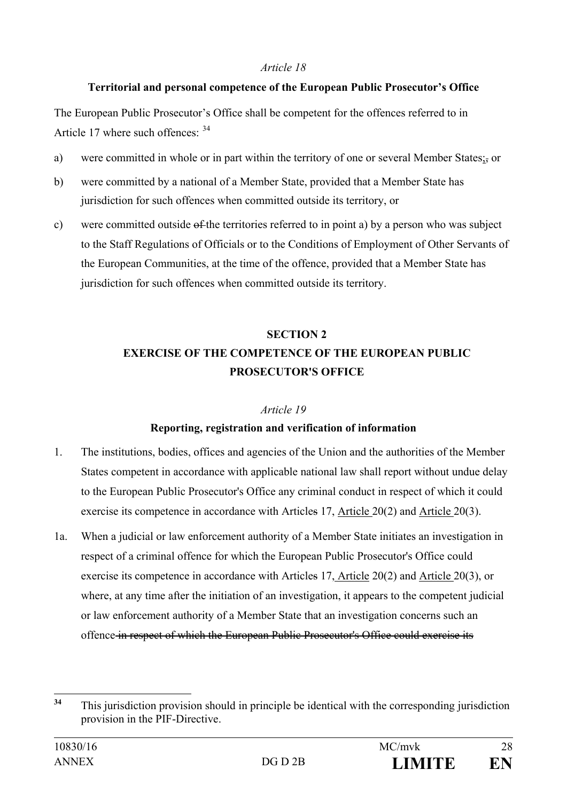#### *Article 18*

## **Territorial and personal competence of the European Public Prosecutor's Office**

The European Public Prosecutor's Office shall be competent for the offences referred to in Article 17 where such offences:  $34$ 

- a) were committed in whole or in part within the territory of one or several Member States; or
- b) were committed by a national of a Member State, provided that a Member State has jurisdiction for such offences when committed outside its territory, or
- c) were committed outside of the territories referred to in point a) by a person who was subject to the Staff Regulations of Officials or to the Conditions of Employment of Other Servants of the European Communities, at the time of the offence, provided that a Member State has jurisdiction for such offences when committed outside its territory.

# **SECTION 2 EXERCISE OF THE COMPETENCE OF THE EUROPEAN PUBLIC PROSECUTOR'S OFFICE**

## *Article 19*

## **Reporting, registration and verification of information**

- 1. The institutions, bodies, offices and agencies of the Union and the authorities of the Member States competent in accordance with applicable national law shall report without undue delay to the European Public Prosecutor's Office any criminal conduct in respect of which it could exercise its competence in accordance with Articles 17, Article 20(2) and Article 20(3).
- 1a. When a judicial or law enforcement authority of a Member State initiates an investigation in respect of a criminal offence for which the European Public Prosecutor's Office could exercise its competence in accordance with Articles 17, Article 20(2) and Article 20(3), or where, at any time after the initiation of an investigation, it appears to the competent judicial or law enforcement authority of a Member State that an investigation concerns such an offence in respect of which the European Public Prosecutor's Office could exercise its

<span id="page-27-0"></span><sup>&</sup>lt;sup>34</sup> This jurisdiction provision should in principle be identical with the corresponding jurisdiction provision in the PIF-Directive.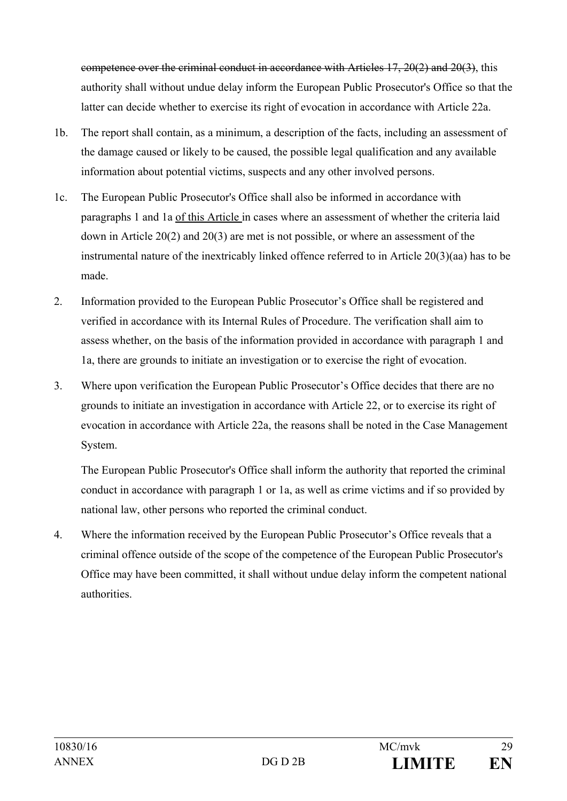competence over the criminal conduct in accordance with Articles 17, 20(2) and 20(3), this authority shall without undue delay inform the European Public Prosecutor's Office so that the latter can decide whether to exercise its right of evocation in accordance with Article 22a.

- 1b. The report shall contain, as a minimum, a description of the facts, including an assessment of the damage caused or likely to be caused, the possible legal qualification and any available information about potential victims, suspects and any other involved persons.
- 1c. The European Public Prosecutor's Office shall also be informed in accordance with paragraphs 1 and 1a of this Article in cases where an assessment of whether the criteria laid down in Article 20(2) and 20(3) are met is not possible, or where an assessment of the instrumental nature of the inextricably linked offence referred to in Article 20(3)(aa) has to be made.
- 2. Information provided to the European Public Prosecutor's Office shall be registered and verified in accordance with its Internal Rules of Procedure. The verification shall aim to assess whether, on the basis of the information provided in accordance with paragraph 1 and 1a, there are grounds to initiate an investigation or to exercise the right of evocation.
- 3. Where upon verification the European Public Prosecutor's Office decides that there are no grounds to initiate an investigation in accordance with Article 22, or to exercise its right of evocation in accordance with Article 22a, the reasons shall be noted in the Case Management System.

The European Public Prosecutor's Office shall inform the authority that reported the criminal conduct in accordance with paragraph 1 or 1a, as well as crime victims and if so provided by national law, other persons who reported the criminal conduct.

4. Where the information received by the European Public Prosecutor's Office reveals that a criminal offence outside of the scope of the competence of the European Public Prosecutor's Office may have been committed, it shall without undue delay inform the competent national authorities.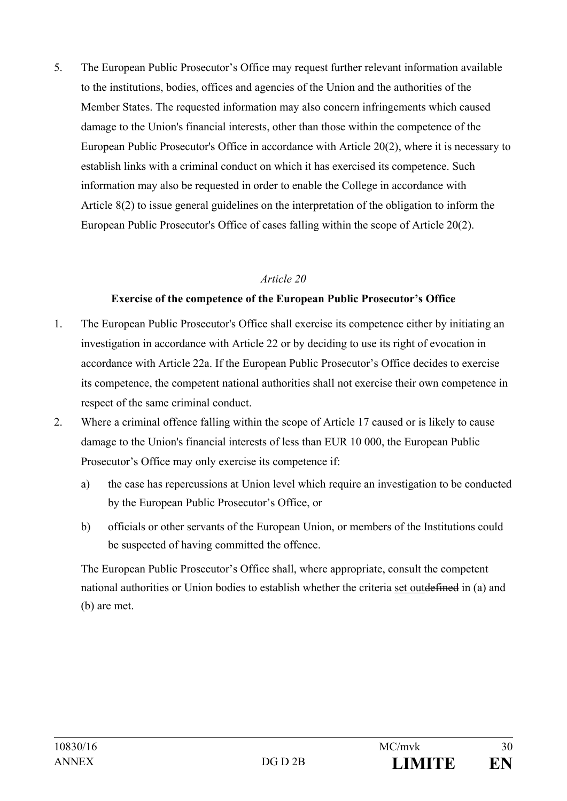5. The European Public Prosecutor's Office may request further relevant information available to the institutions, bodies, offices and agencies of the Union and the authorities of the Member States. The requested information may also concern infringements which caused damage to the Union's financial interests, other than those within the competence of the European Public Prosecutor's Office in accordance with Article 20(2), where it is necessary to establish links with a criminal conduct on which it has exercised its competence. Such information may also be requested in order to enable the College in accordance with Article 8(2) to issue general guidelines on the interpretation of the obligation to inform the European Public Prosecutor's Office of cases falling within the scope of Article 20(2).

#### *Article 20*

#### **Exercise of the competence of the European Public Prosecutor's Office**

- 1. The European Public Prosecutor's Office shall exercise its competence either by initiating an investigation in accordance with Article 22 or by deciding to use its right of evocation in accordance with Article 22a. If the European Public Prosecutor's Office decides to exercise its competence, the competent national authorities shall not exercise their own competence in respect of the same criminal conduct.
- 2. Where a criminal offence falling within the scope of Article 17 caused or is likely to cause damage to the Union's financial interests of less than EUR 10 000, the European Public Prosecutor's Office may only exercise its competence if:
	- a) the case has repercussions at Union level which require an investigation to be conducted by the European Public Prosecutor's Office, or
	- b) officials or other servants of the European Union, or members of the Institutions could be suspected of having committed the offence.

The European Public Prosecutor's Office shall, where appropriate, consult the competent national authorities or Union bodies to establish whether the criteria set outdefined in (a) and (b) are met.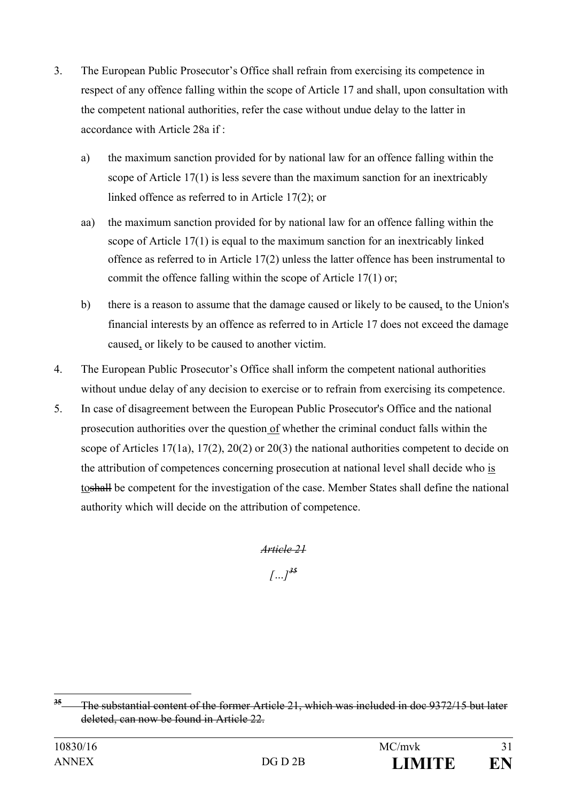- 3. The European Public Prosecutor's Office shall refrain from exercising its competence in respect of any offence falling within the scope of Article 17 and shall, upon consultation with the competent national authorities, refer the case without undue delay to the latter in accordance with Article 28a if :
	- a) the maximum sanction provided for by national law for an offence falling within the scope of Article 17(1) is less severe than the maximum sanction for an inextricably linked offence as referred to in Article 17(2); or
	- aa) the maximum sanction provided for by national law for an offence falling within the scope of Article 17(1) is equal to the maximum sanction for an inextricably linked offence as referred to in Article 17(2) unless the latter offence has been instrumental to commit the offence falling within the scope of Article 17(1) or;
	- b) there is a reason to assume that the damage caused or likely to be caused, to the Union's financial interests by an offence as referred to in Article 17 does not exceed the damage caused, or likely to be caused to another victim.
- 4. The European Public Prosecutor's Office shall inform the competent national authorities without undue delay of any decision to exercise or to refrain from exercising its competence.
- 5. In case of disagreement between the European Public Prosecutor's Office and the national prosecution authorities over the question of whether the criminal conduct falls within the scope of Articles  $17(1a)$ ,  $17(2)$ ,  $20(2)$  or  $20(3)$  the national authorities competent to decide on the attribution of competences concerning prosecution at national level shall decide who is toshall be competent for the investigation of the case. Member States shall define the national authority which will decide on the attribution of competence.

*Article 21 […][35](#page-30-0)*

<span id="page-30-0"></span>**<sup>35</sup>** The substantial content of the former Article 21, which was included in doc 9372/15 but later deleted, can now be found in Article 22.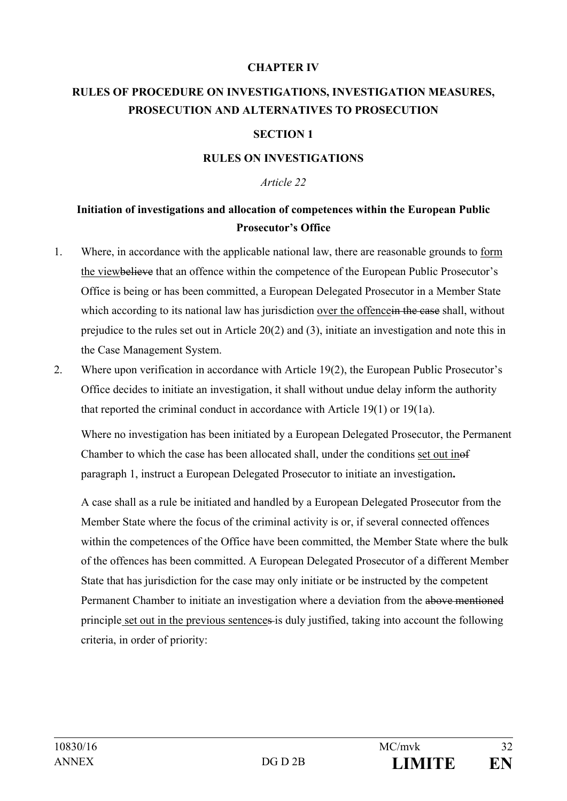#### **CHAPTER IV**

# **RULES OF PROCEDURE ON INVESTIGATIONS, INVESTIGATION MEASURES, PROSECUTION AND ALTERNATIVES TO PROSECUTION**

#### **SECTION 1**

#### **RULES ON INVESTIGATIONS**

#### *Article 22*

# **Initiation of investigations and allocation of competences within the European Public Prosecutor's Office**

- 1. Where, in accordance with the applicable national law, there are reasonable grounds to form the viewbelieve that an offence within the competence of the European Public Prosecutor's Office is being or has been committed, a European Delegated Prosecutor in a Member State which according to its national law has jurisdiction over the offence in the case shall, without prejudice to the rules set out in Article 20(2) and (3), initiate an investigation and note this in the Case Management System.
- 2. Where upon verification in accordance with Article 19(2), the European Public Prosecutor's Office decides to initiate an investigation, it shall without undue delay inform the authority that reported the criminal conduct in accordance with Article 19(1) or 19(1a).

Where no investigation has been initiated by a European Delegated Prosecutor, the Permanent Chamber to which the case has been allocated shall, under the conditions set out inof paragraph 1, instruct a European Delegated Prosecutor to initiate an investigation**.**

A case shall as a rule be initiated and handled by a European Delegated Prosecutor from the Member State where the focus of the criminal activity is or, if several connected offences within the competences of the Office have been committed, the Member State where the bulk of the offences has been committed. A European Delegated Prosecutor of a different Member State that has jurisdiction for the case may only initiate or be instructed by the competent Permanent Chamber to initiate an investigation where a deviation from the above mentioned principle set out in the previous sentences is duly justified, taking into account the following criteria, in order of priority: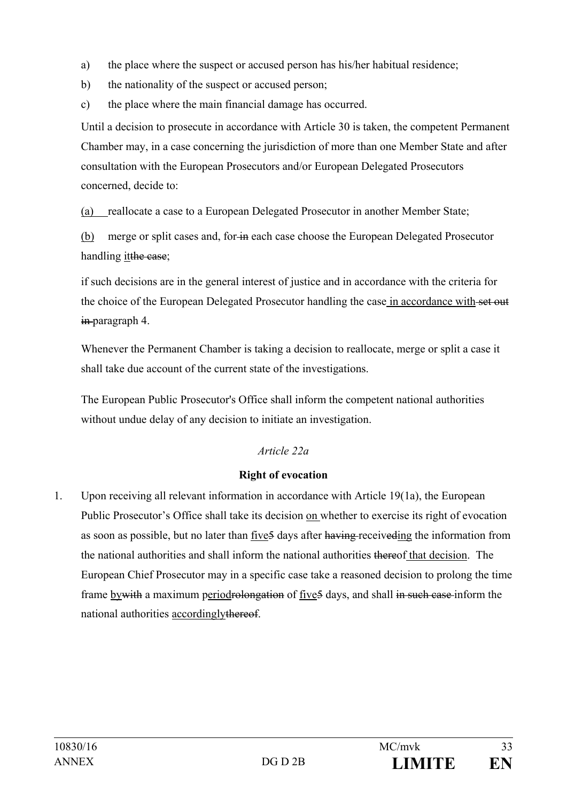- a) the place where the suspect or accused person has his/her habitual residence;
- b) the nationality of the suspect or accused person;
- c) the place where the main financial damage has occurred.

Until a decision to prosecute in accordance with Article 30 is taken, the competent Permanent Chamber may, in a case concerning the jurisdiction of more than one Member State and after consultation with the European Prosecutors and/or European Delegated Prosecutors concerned, decide to:

(a) reallocate a case to a European Delegated Prosecutor in another Member State;

(b) merge or split cases and, for in each case choose the European Delegated Prosecutor handling it the case;

if such decisions are in the general interest of justice and in accordance with the criteria for the choice of the European Delegated Prosecutor handling the case in accordance with set out in-paragraph 4.

Whenever the Permanent Chamber is taking a decision to reallocate, merge or split a case it shall take due account of the current state of the investigations.

The European Public Prosecutor's Office shall inform the competent national authorities without undue delay of any decision to initiate an investigation.

# *Article 22a*

## **Right of evocation**

1. Upon receiving all relevant information in accordance with Article 19(1a), the European Public Prosecutor's Office shall take its decision on whether to exercise its right of evocation as soon as possible, but no later than five 5 days after having receiveding the information from the national authorities and shall inform the national authorities thereof that decision. The European Chief Prosecutor may in a specific case take a reasoned decision to prolong the time frame by with a maximum periodrolongation of five<sup>5</sup> days, and shall in such case inform the national authorities accordinglythereof.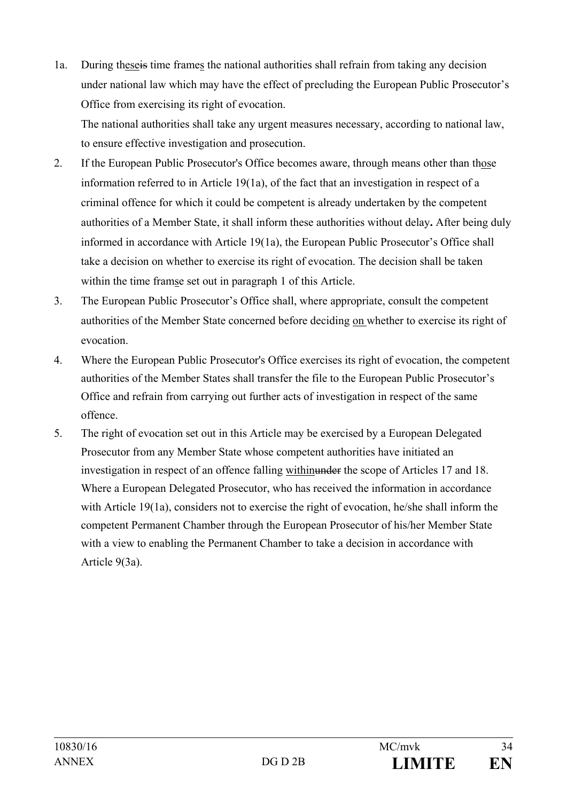- 1a. During theseis time frames the national authorities shall refrain from taking any decision under national law which may have the effect of precluding the European Public Prosecutor's Office from exercising its right of evocation. The national authorities shall take any urgent measures necessary, according to national law, to ensure effective investigation and prosecution.
- 2. If the European Public Prosecutor's Office becomes aware, through means other than those information referred to in Article 19(1a), of the fact that an investigation in respect of a criminal offence for which it could be competent is already undertaken by the competent authorities of a Member State, it shall inform these authorities without delay**.** After being duly informed in accordance with Article 19(1a), the European Public Prosecutor's Office shall take a decision on whether to exercise its right of evocation. The decision shall be taken within the time framse set out in paragraph 1 of this Article.
- 3. The European Public Prosecutor's Office shall, where appropriate, consult the competent authorities of the Member State concerned before deciding on whether to exercise its right of evocation.
- 4. Where the European Public Prosecutor's Office exercises its right of evocation, the competent authorities of the Member States shall transfer the file to the European Public Prosecutor's Office and refrain from carrying out further acts of investigation in respect of the same offence.
- 5. The right of evocation set out in this Article may be exercised by a European Delegated Prosecutor from any Member State whose competent authorities have initiated an investigation in respect of an offence falling withinunder the scope of Articles 17 and 18. Where a European Delegated Prosecutor, who has received the information in accordance with Article 19(1a), considers not to exercise the right of evocation, he/she shall inform the competent Permanent Chamber through the European Prosecutor of his/her Member State with a view to enabling the Permanent Chamber to take a decision in accordance with Article 9(3a).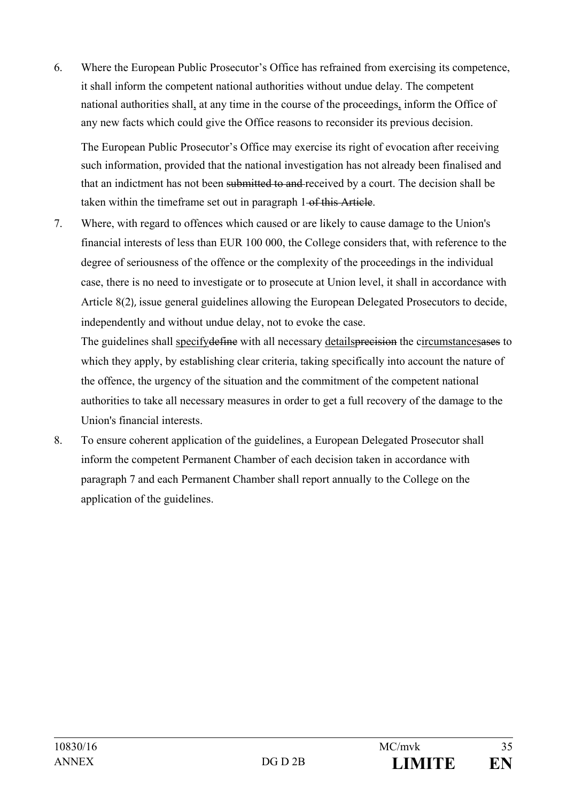6. Where the European Public Prosecutor's Office has refrained from exercising its competence, it shall inform the competent national authorities without undue delay. The competent national authorities shall, at any time in the course of the proceedings, inform the Office of any new facts which could give the Office reasons to reconsider its previous decision.

The European Public Prosecutor's Office may exercise its right of evocation after receiving such information, provided that the national investigation has not already been finalised and that an indictment has not been submitted to and received by a court. The decision shall be taken within the timeframe set out in paragraph 1 of this Article.

7. Where, with regard to offences which caused or are likely to cause damage to the Union's financial interests of less than EUR 100 000, the College considers that, with reference to the degree of seriousness of the offence or the complexity of the proceedings in the individual case, there is no need to investigate or to prosecute at Union level, it shall in accordance with Article 8(2), issue general guidelines allowing the European Delegated Prosecutors to decide, independently and without undue delay, not to evoke the case.

The guidelines shall specifydefine with all necessary details precision the circumstances as to which they apply, by establishing clear criteria, taking specifically into account the nature of the offence, the urgency of the situation and the commitment of the competent national authorities to take all necessary measures in order to get a full recovery of the damage to the Union's financial interests.

8. To ensure coherent application of the guidelines, a European Delegated Prosecutor shall inform the competent Permanent Chamber of each decision taken in accordance with paragraph 7 and each Permanent Chamber shall report annually to the College on the application of the guidelines.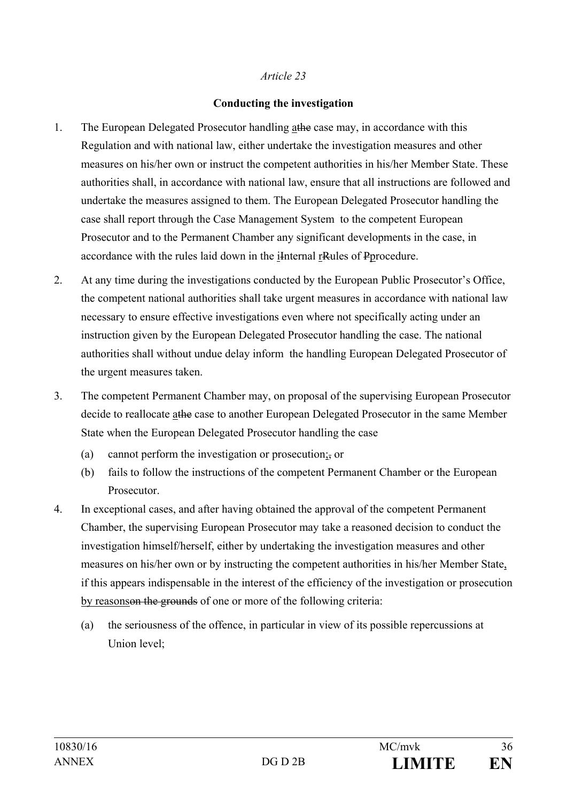#### *Article 23*

#### **Conducting the investigation**

- 1. The European Delegated Prosecutor handling athe case may, in accordance with this Regulation and with national law, either undertake the investigation measures and other measures on his/her own or instruct the competent authorities in his/her Member State. These authorities shall, in accordance with national law, ensure that all instructions are followed and undertake the measures assigned to them. The European Delegated Prosecutor handling the case shall report through the Case Management System to the competent European Prosecutor and to the Permanent Chamber any significant developments in the case, in accordance with the rules laid down in the iInternal rRules of Pprocedure.
- 2. At any time during the investigations conducted by the European Public Prosecutor's Office, the competent national authorities shall take urgent measures in accordance with national law necessary to ensure effective investigations even where not specifically acting under an instruction given by the European Delegated Prosecutor handling the case. The national authorities shall without undue delay inform the handling European Delegated Prosecutor of the urgent measures taken.
- 3. The competent Permanent Chamber may, on proposal of the supervising European Prosecutor decide to reallocate athe case to another European Delegated Prosecutor in the same Member State when the European Delegated Prosecutor handling the case
	- (a) cannot perform the investigation or prosecution;, or
	- (b) fails to follow the instructions of the competent Permanent Chamber or the European Prosecutor.
- 4. In exceptional cases, and after having obtained the approval of the competent Permanent Chamber, the supervising European Prosecutor may take a reasoned decision to conduct the investigation himself/herself, either by undertaking the investigation measures and other measures on his/her own or by instructing the competent authorities in his/her Member State, if this appears indispensable in the interest of the efficiency of the investigation or prosecution by reasonson the grounds of one or more of the following criteria:
	- (a) the seriousness of the offence, in particular in view of its possible repercussions at Union level;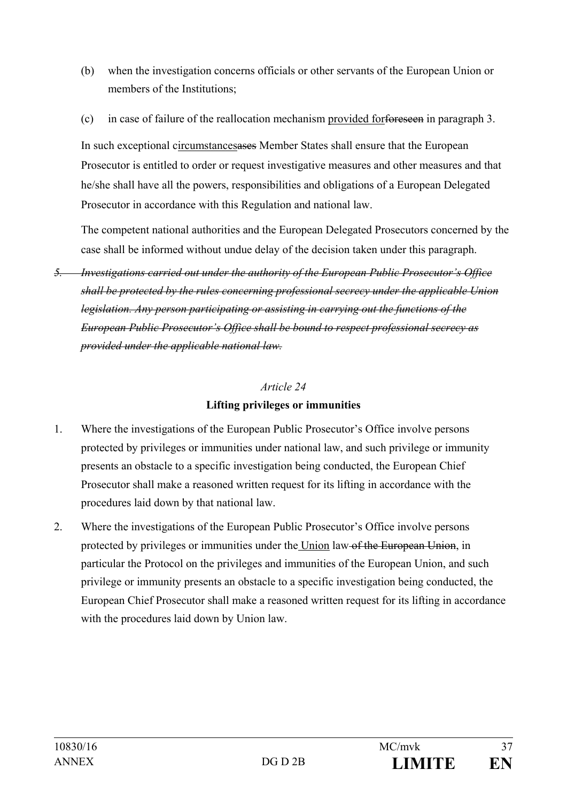- (b) when the investigation concerns officials or other servants of the European Union or members of the Institutions;
- (c) in case of failure of the reallocation mechanism provided forforeseen in paragraph 3.

In such exceptional circumstancesases Member States shall ensure that the European Prosecutor is entitled to order or request investigative measures and other measures and that he/she shall have all the powers, responsibilities and obligations of a European Delegated Prosecutor in accordance with this Regulation and national law.

The competent national authorities and the European Delegated Prosecutors concerned by the case shall be informed without undue delay of the decision taken under this paragraph.

*5. Investigations carried out under the authority of the European Public Prosecutor's Office shall be protected by the rules concerning professional secrecy under the applicable Union legislation. Any person participating or assisting in carrying out the functions of the European Public Prosecutor's Office shall be bound to respect professional secrecy as provided under the applicable national law.*

## *Article 24* **Lifting privileges or immunities**

- 1. Where the investigations of the European Public Prosecutor's Office involve persons protected by privileges or immunities under national law, and such privilege or immunity presents an obstacle to a specific investigation being conducted, the European Chief Prosecutor shall make a reasoned written request for its lifting in accordance with the procedures laid down by that national law.
- 2. Where the investigations of the European Public Prosecutor's Office involve persons protected by privileges or immunities under the Union law of the European Union, in particular the Protocol on the privileges and immunities of the European Union, and such privilege or immunity presents an obstacle to a specific investigation being conducted, the European Chief Prosecutor shall make a reasoned written request for its lifting in accordance with the procedures laid down by Union law.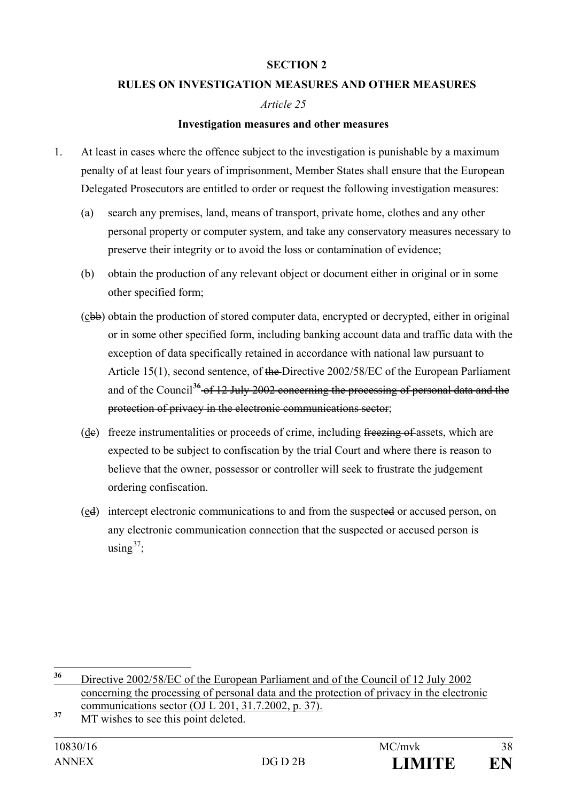#### **SECTION 2**

#### **RULES ON INVESTIGATION MEASURES AND OTHER MEASURES**

#### *Article 25*

#### **Investigation measures and other measures**

- 1. At least in cases where the offence subject to the investigation is punishable by a maximum penalty of at least four years of imprisonment, Member States shall ensure that the European Delegated Prosecutors are entitled to order or request the following investigation measures:
	- (a) search any premises, land, means of transport, private home, clothes and any other personal property or computer system, and take any conservatory measures necessary to preserve their integrity or to avoid the loss or contamination of evidence;
	- (b) obtain the production of any relevant object or document either in original or in some other specified form;
	- (cbb) obtain the production of stored computer data, encrypted or decrypted, either in original or in some other specified form, including banking account data and traffic data with the exception of data specifically retained in accordance with national law pursuant to Article 15(1), second sentence, of the Directive 2002/58/EC of the European Parliament and of the Council**[36](#page-37-0)** of 12 July 2002 concerning the processing of personal data and the protection of privacy in the electronic communications sector;
	- (de) freeze instrumentalities or proceeds of crime, including freezing of assets, which are expected to be subject to confiscation by the trial Court and where there is reason to believe that the owner, possessor or controller will seek to frustrate the judgement ordering confiscation.
	- (ed) intercept electronic communications to and from the suspected or accused person, on any electronic communication connection that the suspected or accused person is using  $37$ ;

<span id="page-37-0"></span>**<sup>36</sup>** Directive 2002/58/EC of the European Parliament and of the Council of 12 July 2002 concerning the processing of personal data and the protection of privacy in the electronic communications sector (OJ L 201, 31.7.2002, p. 37).

<span id="page-37-1"></span><sup>&</sup>lt;sup>37</sup> MT wishes to see this point deleted.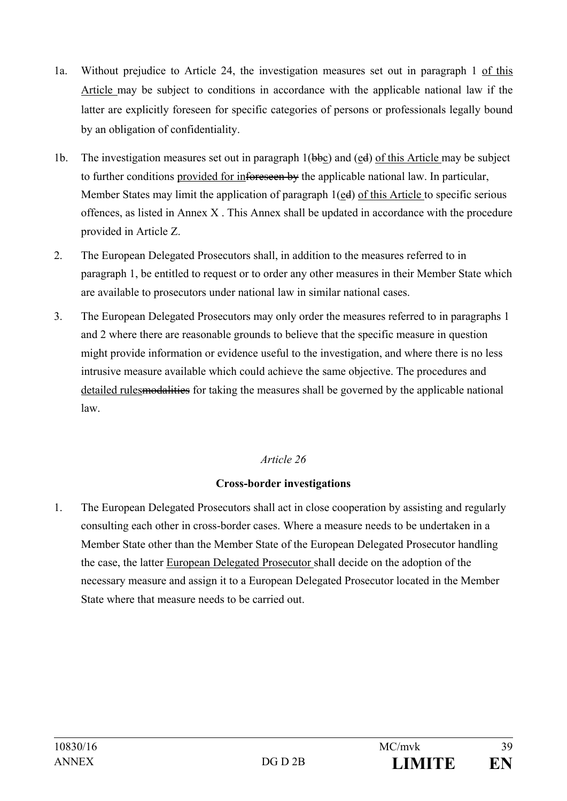- 1a. Without prejudice to Article 24, the investigation measures set out in paragraph 1 of this Article may be subject to conditions in accordance with the applicable national law if the latter are explicitly foreseen for specific categories of persons or professionals legally bound by an obligation of confidentiality.
- 1b. The investigation measures set out in paragraph  $1(bbc)$  and  $(ed)$  of this Article may be subject to further conditions provided for inforeseen by the applicable national law. In particular, Member States may limit the application of paragraph 1(ed) of this Article to specific serious offences, as listed in Annex X . This Annex shall be updated in accordance with the procedure provided in Article Z.
- 2. The European Delegated Prosecutors shall, in addition to the measures referred to in paragraph 1, be entitled to request or to order any other measures in their Member State which are available to prosecutors under national law in similar national cases.
- 3. The European Delegated Prosecutors may only order the measures referred to in paragraphs 1 and 2 where there are reasonable grounds to believe that the specific measure in question might provide information or evidence useful to the investigation, and where there is no less intrusive measure available which could achieve the same objective. The procedures and detailed rules modalities for taking the measures shall be governed by the applicable national law.

## *Article 26*

## **Cross-border investigations**

1. The European Delegated Prosecutors shall act in close cooperation by assisting and regularly consulting each other in cross-border cases. Where a measure needs to be undertaken in a Member State other than the Member State of the European Delegated Prosecutor handling the case, the latter European Delegated Prosecutor shall decide on the adoption of the necessary measure and assign it to a European Delegated Prosecutor located in the Member State where that measure needs to be carried out.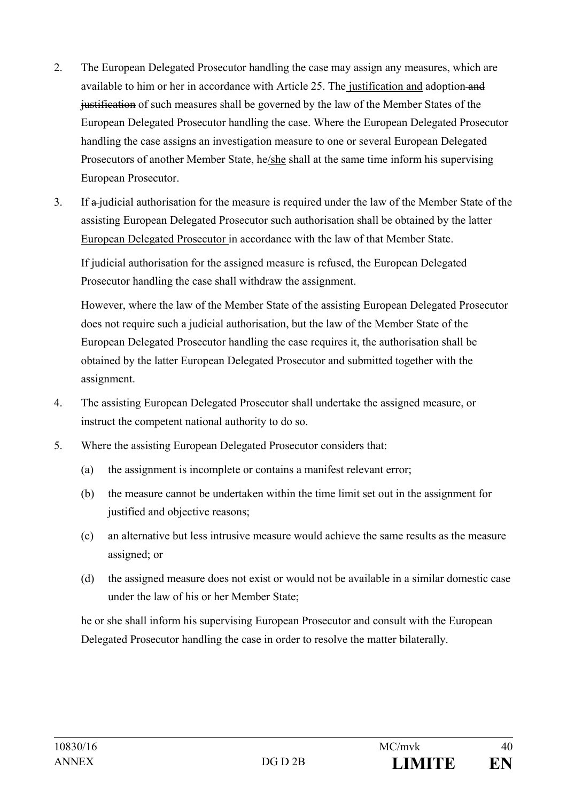- 2. The European Delegated Prosecutor handling the case may assign any measures, which are available to him or her in accordance with Article 25. The justification and adoption-and justification of such measures shall be governed by the law of the Member States of the European Delegated Prosecutor handling the case. Where the European Delegated Prosecutor handling the case assigns an investigation measure to one or several European Delegated Prosecutors of another Member State, he/she shall at the same time inform his supervising European Prosecutor.
- 3. If a judicial authorisation for the measure is required under the law of the Member State of the assisting European Delegated Prosecutor such authorisation shall be obtained by the latter European Delegated Prosecutor in accordance with the law of that Member State.

If judicial authorisation for the assigned measure is refused, the European Delegated Prosecutor handling the case shall withdraw the assignment.

However, where the law of the Member State of the assisting European Delegated Prosecutor does not require such a judicial authorisation, but the law of the Member State of the European Delegated Prosecutor handling the case requires it, the authorisation shall be obtained by the latter European Delegated Prosecutor and submitted together with the assignment.

- 4. The assisting European Delegated Prosecutor shall undertake the assigned measure, or instruct the competent national authority to do so.
- 5. Where the assisting European Delegated Prosecutor considers that:
	- (a) the assignment is incomplete or contains a manifest relevant error;
	- (b) the measure cannot be undertaken within the time limit set out in the assignment for justified and objective reasons;
	- (c) an alternative but less intrusive measure would achieve the same results as the measure assigned; or
	- (d) the assigned measure does not exist or would not be available in a similar domestic case under the law of his or her Member State;

he or she shall inform his supervising European Prosecutor and consult with the European Delegated Prosecutor handling the case in order to resolve the matter bilaterally.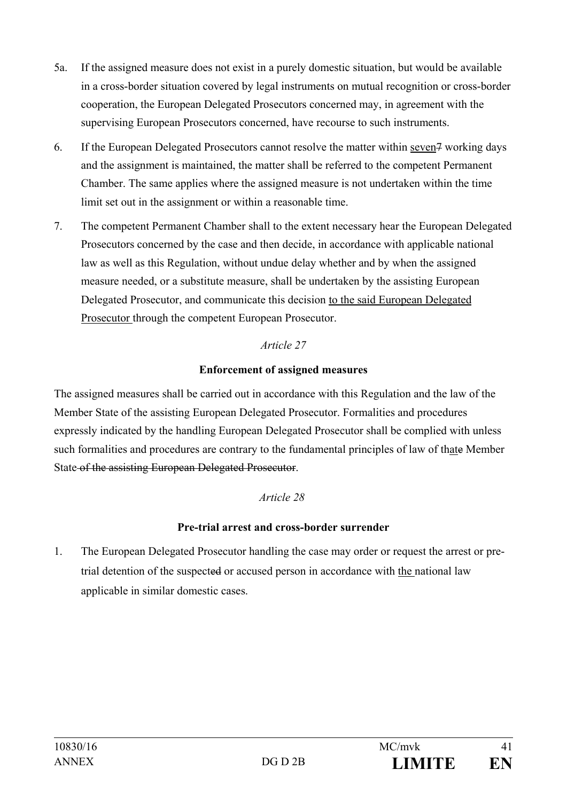- 5a. If the assigned measure does not exist in a purely domestic situation, but would be available in a cross-border situation covered by legal instruments on mutual recognition or cross-border cooperation, the European Delegated Prosecutors concerned may, in agreement with the supervising European Prosecutors concerned, have recourse to such instruments.
- 6. If the European Delegated Prosecutors cannot resolve the matter within seven7 working days and the assignment is maintained, the matter shall be referred to the competent Permanent Chamber. The same applies where the assigned measure is not undertaken within the time limit set out in the assignment or within a reasonable time.
- 7. The competent Permanent Chamber shall to the extent necessary hear the European Delegated Prosecutors concerned by the case and then decide, in accordance with applicable national law as well as this Regulation, without undue delay whether and by when the assigned measure needed, or a substitute measure, shall be undertaken by the assisting European Delegated Prosecutor, and communicate this decision to the said European Delegated Prosecutor through the competent European Prosecutor.

## *Article 27*

#### **Enforcement of assigned measures**

The assigned measures shall be carried out in accordance with this Regulation and the law of the Member State of the assisting European Delegated Prosecutor. Formalities and procedures expressly indicated by the handling European Delegated Prosecutor shall be complied with unless such formalities and procedures are contrary to the fundamental principles of law of thate Member State of the assisting European Delegated Prosecutor.

## *Article 28*

## **Pre-trial arrest and cross-border surrender**

1. The European Delegated Prosecutor handling the case may order or request the arrest or pretrial detention of the suspected or accused person in accordance with the national law applicable in similar domestic cases.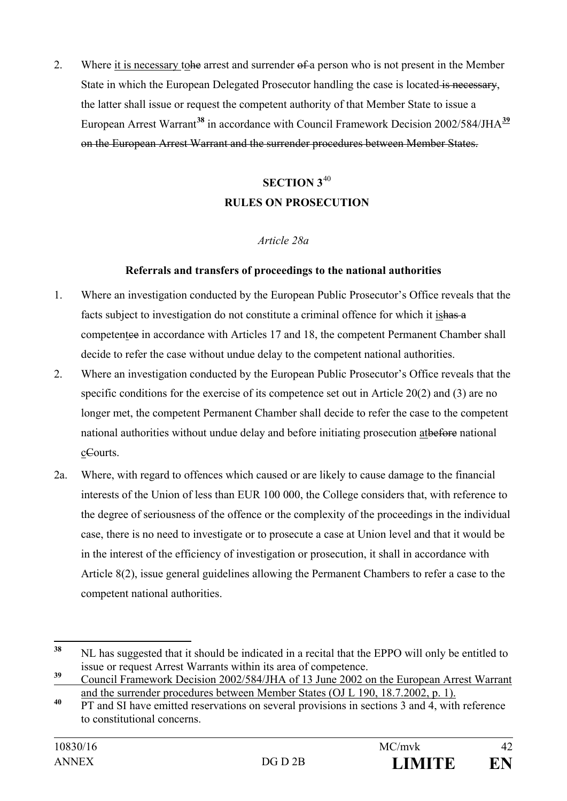2. Where it is necessary to the arrest and surrender of a person who is not present in the Member State in which the European Delegated Prosecutor handling the case is located is necessary, the latter shall issue or request the competent authority of that Member State to issue a European Arrest Warrant**[38](#page-41-0)** in accordance with Council Framework Decision 2002/584/JHA**[39](#page-41-1)** on the European Arrest Warrant and the surrender procedures between Member States.

# **SECTION 3**[40](#page-41-2) **RULES ON PROSECUTION**

## *Article 28a*

#### **Referrals and transfers of proceedings to the national authorities**

- 1. Where an investigation conducted by the European Public Prosecutor's Office reveals that the facts subject to investigation do not constitute a criminal offence for which it is has a competentee in accordance with Articles 17 and 18, the competent Permanent Chamber shall decide to refer the case without undue delay to the competent national authorities.
- 2. Where an investigation conducted by the European Public Prosecutor's Office reveals that the specific conditions for the exercise of its competence set out in Article 20(2) and (3) are no longer met, the competent Permanent Chamber shall decide to refer the case to the competent national authorities without undue delay and before initiating prosecution atbefore national cCourts.
- 2a. Where, with regard to offences which caused or are likely to cause damage to the financial interests of the Union of less than EUR 100 000, the College considers that, with reference to the degree of seriousness of the offence or the complexity of the proceedings in the individual case, there is no need to investigate or to prosecute a case at Union level and that it would be in the interest of the efficiency of investigation or prosecution, it shall in accordance with Article 8(2), issue general guidelines allowing the Permanent Chambers to refer a case to the competent national authorities.

<span id="page-41-0"></span>**<sup>38</sup>** NL has suggested that it should be indicated in a recital that the EPPO will only be entitled to issue or request Arrest Warrants within its area of competence.

<span id="page-41-1"></span>**<sup>39</sup>** Council Framework Decision 2002/584/JHA of 13 June 2002 on the European Arrest Warrant and the surrender procedures between Member States (OJ L 190, 18.7.2002, p. 1).

<span id="page-41-2"></span><sup>&</sup>lt;sup>40</sup> PT and SI have emitted reservations on several provisions in sections 3 and 4, with reference to constitutional concerns.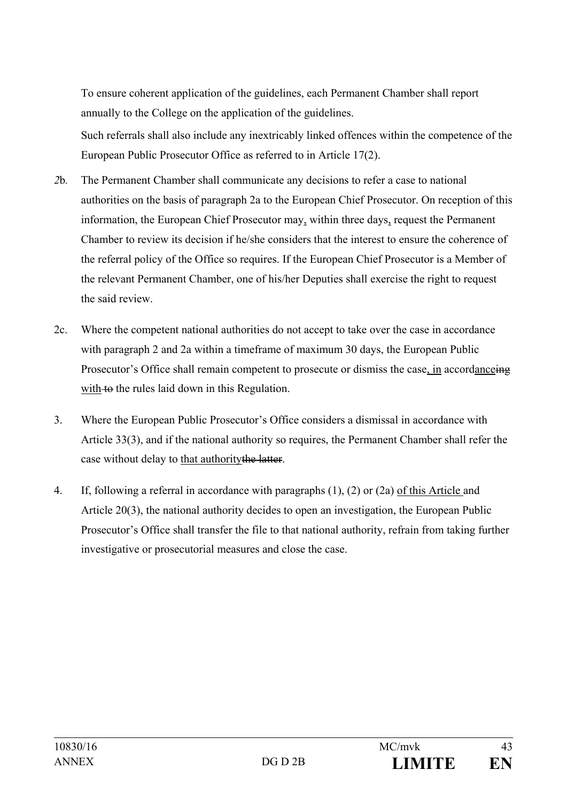To ensure coherent application of the guidelines, each Permanent Chamber shall report annually to the College on the application of the guidelines.

Such referrals shall also include any inextricably linked offences within the competence of the European Public Prosecutor Office as referred to in Article 17(2).

- *2*b*.* The Permanent Chamber shall communicate any decisions to refer a case to national authorities on the basis of paragraph 2a to the European Chief Prosecutor. On reception of this information, the European Chief Prosecutor may, within three days, request the Permanent Chamber to review its decision if he/she considers that the interest to ensure the coherence of the referral policy of the Office so requires. If the European Chief Prosecutor is a Member of the relevant Permanent Chamber, one of his/her Deputies shall exercise the right to request the said review.
- 2c. Where the competent national authorities do not accept to take over the case in accordance with paragraph 2 and 2a within a timeframe of maximum 30 days, the European Public Prosecutor's Office shall remain competent to prosecute or dismiss the case, in accordanceing with to the rules laid down in this Regulation.
- 3. Where the European Public Prosecutor's Office considers a dismissal in accordance with Article 33(3), and if the national authority so requires, the Permanent Chamber shall refer the case without delay to that authority the latter.
- 4. If, following a referral in accordance with paragraphs (1), (2) or (2a) of this Article and Article 20(3), the national authority decides to open an investigation, the European Public Prosecutor's Office shall transfer the file to that national authority, refrain from taking further investigative or prosecutorial measures and close the case.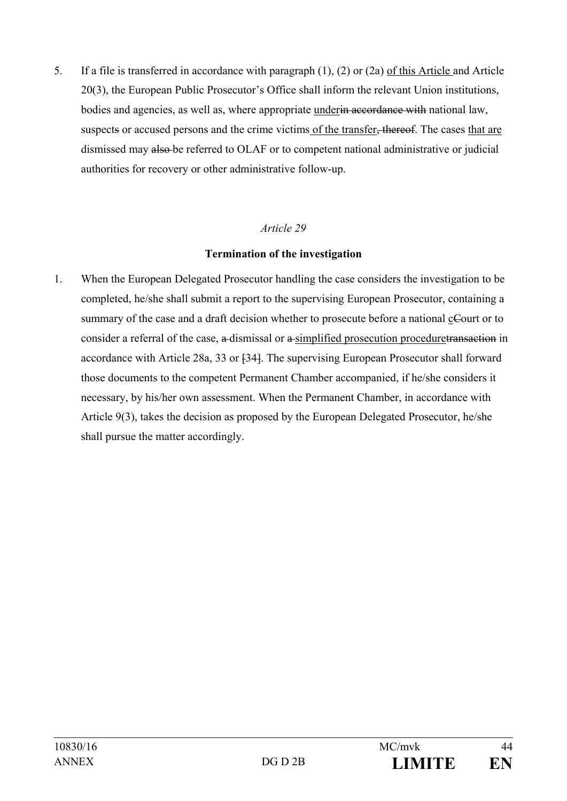5. If a file is transferred in accordance with paragraph (1), (2) or (2a) of this Article and Article 20(3), the European Public Prosecutor's Office shall inform the relevant Union institutions, bodies and agencies, as well as, where appropriate under<del>in accordance with</del> national law, suspects or accused persons and the crime victims of the transfer, thereof. The cases that are dismissed may also be referred to OLAF or to competent national administrative or judicial authorities for recovery or other administrative follow-up.

#### *Article 29*

#### **Termination of the investigation**

1. When the European Delegated Prosecutor handling the case considers the investigation to be completed, he/she shall submit a report to the supervising European Prosecutor, containing a summary of the case and a draft decision whether to prosecute before a national cCourt or to consider a referral of the case, a dismissal or a simplified prosecution proceduretransaction in accordance with Article 28a, 33 or [34]. The supervising European Prosecutor shall forward those documents to the competent Permanent Chamber accompanied, if he/she considers it necessary, by his/her own assessment. When the Permanent Chamber, in accordance with Article 9(3), takes the decision as proposed by the European Delegated Prosecutor, he/she shall pursue the matter accordingly.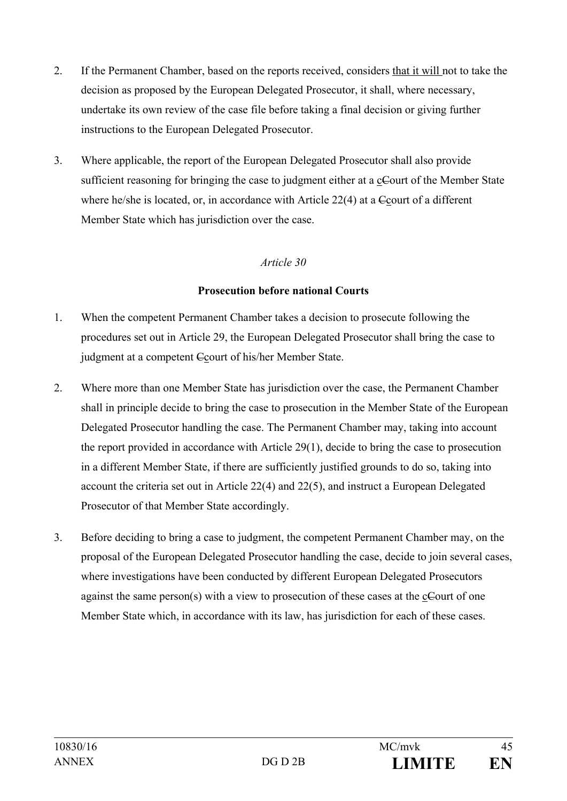- 2. If the Permanent Chamber, based on the reports received, considers that it will not to take the decision as proposed by the European Delegated Prosecutor, it shall, where necessary, undertake its own review of the case file before taking a final decision or giving further instructions to the European Delegated Prosecutor.
- 3. Where applicable, the report of the European Delegated Prosecutor shall also provide sufficient reasoning for bringing the case to judgment either at a cCourt of the Member State where he/she is located, or, in accordance with Article 22(4) at a Court of a different Member State which has jurisdiction over the case.

## *Article 30*

#### **Prosecution before national Courts**

- 1. When the competent Permanent Chamber takes a decision to prosecute following the procedures set out in Article 29, the European Delegated Prosecutor shall bring the case to judgment at a competent Ccourt of his/her Member State.
- 2. Where more than one Member State has jurisdiction over the case, the Permanent Chamber shall in principle decide to bring the case to prosecution in the Member State of the European Delegated Prosecutor handling the case. The Permanent Chamber may, taking into account the report provided in accordance with Article 29(1), decide to bring the case to prosecution in a different Member State, if there are sufficiently justified grounds to do so, taking into account the criteria set out in Article 22(4) and 22(5), and instruct a European Delegated Prosecutor of that Member State accordingly.
- 3. Before deciding to bring a case to judgment, the competent Permanent Chamber may, on the proposal of the European Delegated Prosecutor handling the case, decide to join several cases, where investigations have been conducted by different European Delegated Prosecutors against the same person(s) with a view to prosecution of these cases at the cCourt of one Member State which, in accordance with its law, has jurisdiction for each of these cases.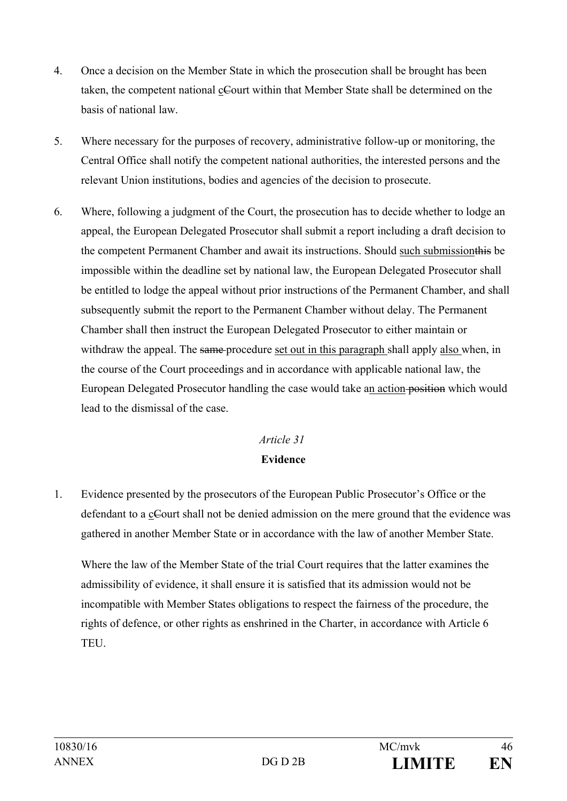- 4. Once a decision on the Member State in which the prosecution shall be brought has been taken, the competent national cCourt within that Member State shall be determined on the basis of national law.
- 5. Where necessary for the purposes of recovery, administrative follow-up or monitoring, the Central Office shall notify the competent national authorities, the interested persons and the relevant Union institutions, bodies and agencies of the decision to prosecute.
- 6. Where, following a judgment of the Court, the prosecution has to decide whether to lodge an appeal, the European Delegated Prosecutor shall submit a report including a draft decision to the competent Permanent Chamber and await its instructions. Should such submissionthis be impossible within the deadline set by national law, the European Delegated Prosecutor shall be entitled to lodge the appeal without prior instructions of the Permanent Chamber, and shall subsequently submit the report to the Permanent Chamber without delay. The Permanent Chamber shall then instruct the European Delegated Prosecutor to either maintain or withdraw the appeal. The same-procedure set out in this paragraph shall apply also when, in the course of the Court proceedings and in accordance with applicable national law, the European Delegated Prosecutor handling the case would take an action position which would lead to the dismissal of the case.

## *Article 31*

## **Evidence**

1. Evidence presented by the prosecutors of the European Public Prosecutor's Office or the defendant to a cCourt shall not be denied admission on the mere ground that the evidence was gathered in another Member State or in accordance with the law of another Member State.

Where the law of the Member State of the trial Court requires that the latter examines the admissibility of evidence, it shall ensure it is satisfied that its admission would not be incompatible with Member States obligations to respect the fairness of the procedure, the rights of defence, or other rights as enshrined in the Charter, in accordance with Article 6 TEU.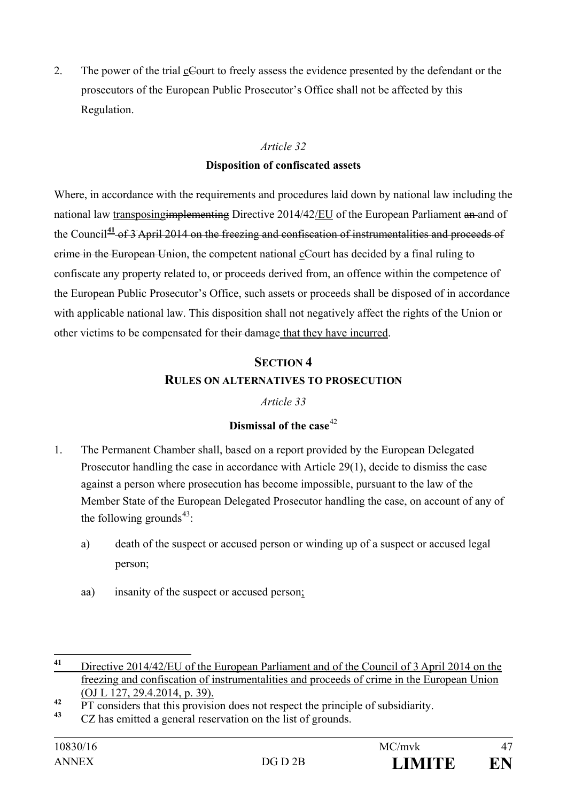2. The power of the trial cCourt to freely assess the evidence presented by the defendant or the prosecutors of the European Public Prosecutor's Office shall not be affected by this Regulation.

#### *Article 32*

#### **Disposition of confiscated assets**

Where, in accordance with the requirements and procedures laid down by national law including the national law transposing implementing Directive 2014/42/EU of the European Parliament an and of the Council**[41](#page-46-0)** of 3 April 2014 on the freezing and confiscation of instrumentalities and proceeds of crime in the European Union, the competent national cCourt has decided by a final ruling to confiscate any property related to, or proceeds derived from, an offence within the competence of the European Public Prosecutor's Office, such assets or proceeds shall be disposed of in accordance with applicable national law. This disposition shall not negatively affect the rights of the Union or other victims to be compensated for their damage that they have incurred.

# **SECTION 4 RULES ON ALTERNATIVES TO PROSECUTION**

## *Article 33*

## **Dismissal of the case**[42](#page-46-1)

- 1. The Permanent Chamber shall, based on a report provided by the European Delegated Prosecutor handling the case in accordance with Article 29(1), decide to dismiss the case against a person where prosecution has become impossible, pursuant to the law of the Member State of the European Delegated Prosecutor handling the case, on account of any of the following grounds<sup>43</sup>:
	- a) death of the suspect or accused person or winding up of a suspect or accused legal person;
	- aa) insanity of the suspect or accused person;

<span id="page-46-0"></span>**<sup>41</sup>** Directive 2014/42/EU of the European Parliament and of the Council of 3 April 2014 on the freezing and confiscation of instrumentalities and proceeds of crime in the European Union (OJ L 127, 29.4.2014, p. 39).

<span id="page-46-1"></span><sup>&</sup>lt;sup>42</sup> PT considers that this provision does not respect the principle of subsidiarity.

<span id="page-46-2"></span>**<sup>43</sup>** CZ has emitted a general reservation on the list of grounds.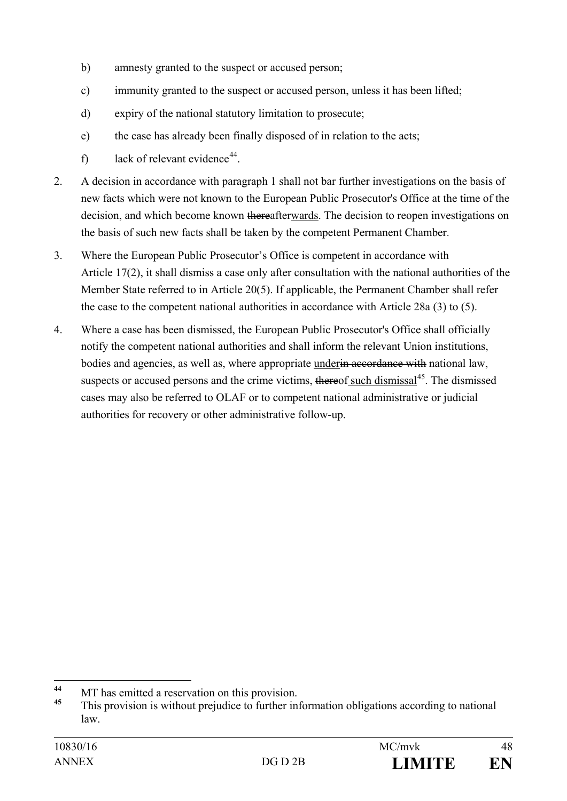- b) amnesty granted to the suspect or accused person;
- c) immunity granted to the suspect or accused person, unless it has been lifted;
- d) expiry of the national statutory limitation to prosecute;
- e) the case has already been finally disposed of in relation to the acts;
- f) lack of relevant evidence<sup>[44](#page-47-0)</sup>.
- 2. A decision in accordance with paragraph 1 shall not bar further investigations on the basis of new facts which were not known to the European Public Prosecutor's Office at the time of the decision, and which become known thereafterwards. The decision to reopen investigations on the basis of such new facts shall be taken by the competent Permanent Chamber.
- 3. Where the European Public Prosecutor's Office is competent in accordance with Article 17(2), it shall dismiss a case only after consultation with the national authorities of the Member State referred to in Article 20(5). If applicable, the Permanent Chamber shall refer the case to the competent national authorities in accordance with Article 28a (3) to (5).
- 4. Where a case has been dismissed, the European Public Prosecutor's Office shall officially notify the competent national authorities and shall inform the relevant Union institutions, bodies and agencies, as well as, where appropriate under<del>in accordance with</del> national law, suspects or accused persons and the crime victims, thereof such dismissal<sup>45</sup>. The dismissed cases may also be referred to OLAF or to competent national administrative or judicial authorities for recovery or other administrative follow-up.

<span id="page-47-0"></span><sup>&</sup>lt;sup>44</sup> MT has emitted a reservation on this provision.

<span id="page-47-1"></span>**<sup>45</sup>** This provision is without prejudice to further information obligations according to national law.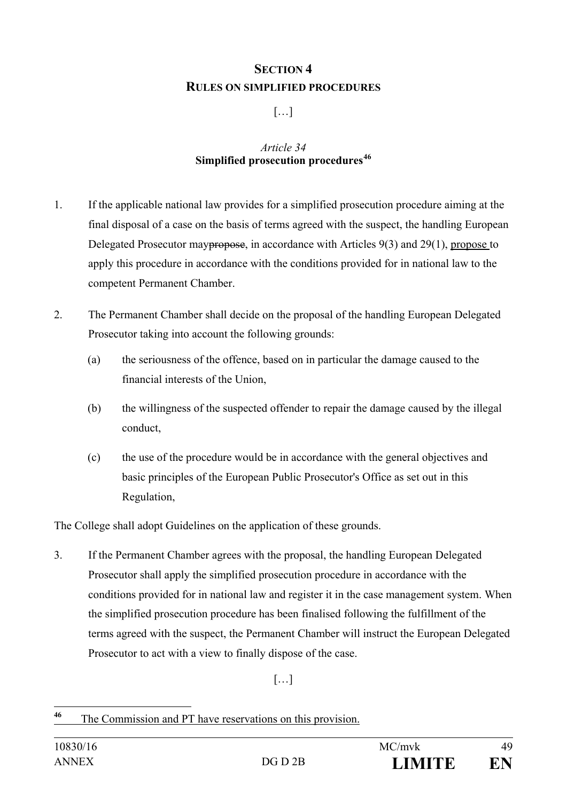# **SECTION 4 RULES ON SIMPLIFIED PROCEDURES**

## […]

#### *Article 34* **Simplified prosecution procedures[46](#page-48-0)**

- 1. If the applicable national law provides for a simplified prosecution procedure aiming at the final disposal of a case on the basis of terms agreed with the suspect, the handling European Delegated Prosecutor may<del>propose</del>, in accordance with Articles 9(3) and 29(1), propose to apply this procedure in accordance with the conditions provided for in national law to the competent Permanent Chamber.
- 2. The Permanent Chamber shall decide on the proposal of the handling European Delegated Prosecutor taking into account the following grounds:
	- (a) the seriousness of the offence, based on in particular the damage caused to the financial interests of the Union,
	- (b) the willingness of the suspected offender to repair the damage caused by the illegal conduct,
	- (c) the use of the procedure would be in accordance with the general objectives and basic principles of the European Public Prosecutor's Office as set out in this Regulation,

The College shall adopt Guidelines on the application of these grounds.

3. If the Permanent Chamber agrees with the proposal, the handling European Delegated Prosecutor shall apply the simplified prosecution procedure in accordance with the conditions provided for in national law and register it in the case management system. When the simplified prosecution procedure has been finalised following the fulfillment of the terms agreed with the suspect, the Permanent Chamber will instruct the European Delegated Prosecutor to act with a view to finally dispose of the case.

 $[\ldots]$ 

<span id="page-48-0"></span>**<sup>46</sup>** The Commission and PT have reservations on this provision.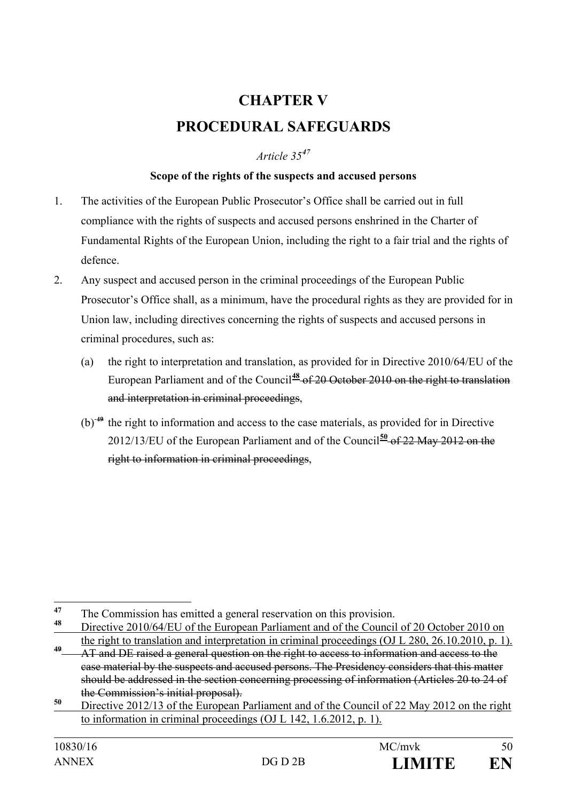# **CHAPTER V PROCEDURAL SAFEGUARDS**

#### *Article 35[47](#page-49-0)*

#### **Scope of the rights of the suspects and accused persons**

- 1. The activities of the European Public Prosecutor's Office shall be carried out in full compliance with the rights of suspects and accused persons enshrined in the Charter of Fundamental Rights of the European Union, including the right to a fair trial and the rights of defence.
- 2. Any suspect and accused person in the criminal proceedings of the European Public Prosecutor's Office shall, as a minimum, have the procedural rights as they are provided for in Union law, including directives concerning the rights of suspects and accused persons in criminal procedures, such as:
	- (a) the right to interpretation and translation, as provided for in Directive 2010/64/EU of the European Parliament and of the Council<sup>[48](#page-49-1)</sup> of 20 October 2010 on the right to translation and interpretation in criminal proceedings,
	- (b) **[49](#page-49-2)** the right to information and access to the case materials, as provided for in Directive 2012/13/EU of the European Parliament and of the Council**[50](#page-49-3)** of 22 May 2012 on the right to information in criminal proceedings,

<span id="page-49-0"></span><sup>&</sup>lt;sup>47</sup> The Commission has emitted a general reservation on this provision.

<span id="page-49-1"></span>**<sup>48</sup>** Directive 2010/64/EU of the European Parliament and of the Council of 20 October 2010 on the right to translation and interpretation in criminal proceedings (OJ L 280, 26.10.2010, p. 1).

<span id="page-49-2"></span>**<sup>49</sup>** AT and DE raised a general question on the right to access to information and access to the case material by the suspects and accused persons. The Presidency considers that this matter should be addressed in the section concerning processing of information (Articles 20 to 24 of the Commission's initial proposal).

<span id="page-49-3"></span>**<sup>50</sup>** Directive 2012/13 of the European Parliament and of the Council of 22 May 2012 on the right to information in criminal proceedings (OJ L 142, 1.6.2012, p. 1).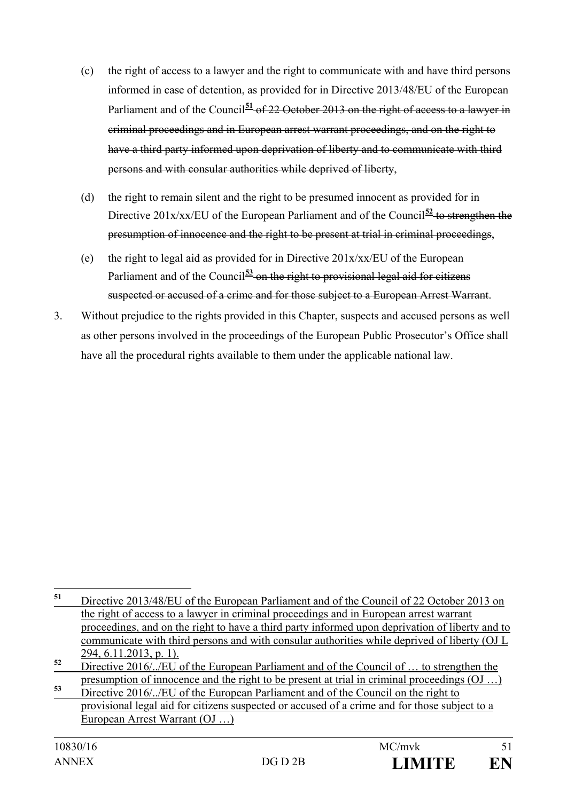- (c) the right of access to a lawyer and the right to communicate with and have third persons informed in case of detention, as provided for in Directive 2013/48/EU of the European Parliament and of the Council<sup>[51](#page-50-0)</sup> of 22 October 2013 on the right of access to a lawyer in criminal proceedings and in European arrest warrant proceedings, and on the right to have a third party informed upon deprivation of liberty and to communicate with third persons and with consular authorities while deprived of liberty,
- (d) the right to remain silent and the right to be presumed innocent as provided for in Directive  $201x/xx/EU$  of the European Parliament and of the Council<sup>[52](#page-50-1)</sup> to strengthen the presumption of innocence and the right to be present at trial in criminal proceedings,
- (e) the right to legal aid as provided for in Directive 201x/xx/EU of the European Parliament and of the Council<sup>[53](#page-50-2)</sup> on the right to provisional legal aid for citizens suspected or accused of a crime and for those subject to a European Arrest Warrant.
- 3. Without prejudice to the rights provided in this Chapter, suspects and accused persons as well as other persons involved in the proceedings of the European Public Prosecutor's Office shall have all the procedural rights available to them under the applicable national law.

<span id="page-50-0"></span>**<sup>51</sup>** Directive 2013/48/EU of the European Parliament and of the Council of <sup>22</sup> October <sup>2013</sup> on the right of access to a lawyer in criminal proceedings and in European arrest warrant proceedings, and on the right to have a third party informed upon deprivation of liberty and to communicate with third persons and with consular authorities while deprived of liberty (OJ L 294, 6.11.2013, p. 1).

<span id="page-50-1"></span>**<sup>52</sup>** Directive 2016/../EU of the European Parliament and of the Council of … to strengthen the presumption of innocence and the right to be present at trial in criminal proceedings (OJ …)

<span id="page-50-2"></span>**<sup>53</sup>** Directive 2016/../EU of the European Parliament and of the Council on the right to provisional legal aid for citizens suspected or accused of a crime and for those subject to a European Arrest Warrant (OJ …)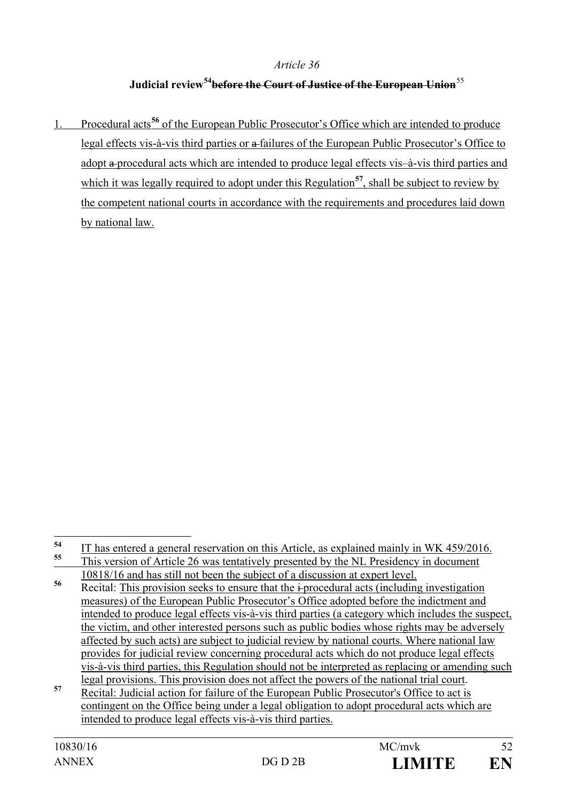#### *Article 36*

## **Judicial review[54](#page-51-0)before the Court of Justice of the European Union**[55](#page-51-1)

1. Procedural acts**[56](#page-51-2)** of the European Public Prosecutor's Office which are intended to produce legal effects vis-à-vis third parties or a failures of the European Public Prosecutor's Office to adopt a procedural acts which are intended to produce legal effects vis–à-vis third parties and which it was legally required to adopt under this Regulation<sup>[57](#page-51-3)</sup>, shall be subject to review by the competent national courts in accordance with the requirements and procedures laid down by national law.

<span id="page-51-0"></span><sup>&</sup>lt;sup>54</sup> IT has entered a general reservation on this Article, as explained mainly in WK 459/2016. **<sup>55</sup>** This version of Article 26 was tentatively presented by the NL Presidency in document

<span id="page-51-2"></span><span id="page-51-1"></span><sup>10818/16</sup> and has still not been the subject of a discussion at expert level. **56** Recital: This provision seeks to ensure that the i-procedural acts (including investigation measures) of the European Public Prosecutor's Office adopted before the indictment and intended to produce legal effects vis-à-vis third parties (a category which includes the suspect, the victim, and other interested persons such as public bodies whose rights may be adversely affected by such acts) are subject to judicial review by national courts. Where national law provides for judicial review concerning procedural acts which do not produce legal effects vis-à-vis third parties, this Regulation should not be interpreted as replacing or amending such

<span id="page-51-3"></span>legal provisions. This provision does not affect the powers of the national trial court. **<sup>57</sup>** Recital: Judicial action for failure of the European Public Prosecutor's Office to act is contingent on the Office being under a legal obligation to adopt procedural acts which are intended to produce legal effects vis-à-vis third parties.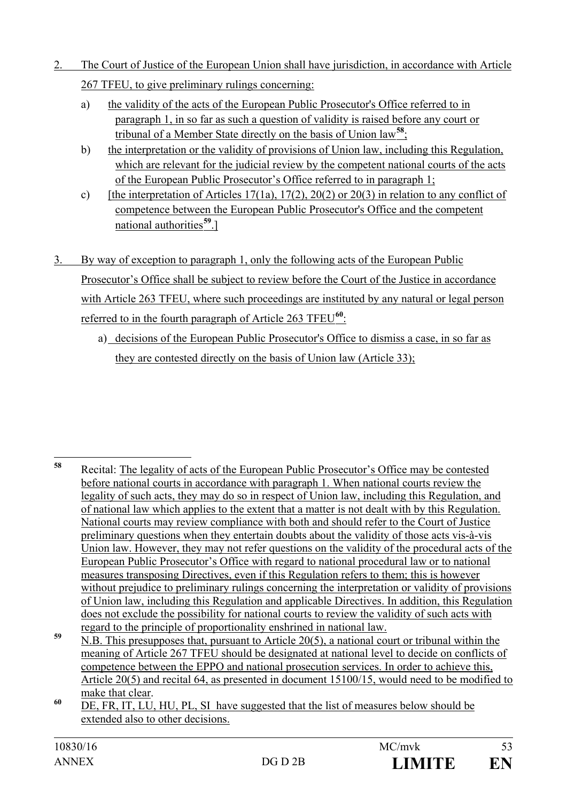- 2. The Court of Justice of the European Union shall have jurisdiction, in accordance with Article 267 TFEU, to give preliminary rulings concerning:
	- a) the validity of the acts of the European Public Prosecutor's Office referred to in paragraph 1, in so far as such a question of validity is raised before any court or tribunal of a Member State directly on the basis of Union law**[58](#page-52-0)**;
	- b) the interpretation or the validity of provisions of Union law, including this Regulation, which are relevant for the judicial review by the competent national courts of the acts of the European Public Prosecutor's Office referred to in paragraph 1;
	- c) [the interpretation of Articles 17(1a), 17(2), 20(2) or 20(3) in relation to any conflict of competence between the European Public Prosecutor's Office and the competent national authorities**[59](#page-52-1)**.]
- 3. By way of exception to paragraph 1, only the following acts of the European Public Prosecutor's Office shall be subject to review before the Court of the Justice in accordance with Article 263 TFEU, where such proceedings are instituted by any natural or legal person referred to in the fourth paragraph of Article 263 TFEU**[60](#page-52-2)**:
	- a) decisions of the European Public Prosecutor's Office to dismiss a case, in so far as they are contested directly on the basis of Union law (Article 33);

<span id="page-52-0"></span>**<sup>58</sup>** Recital: The legality of acts of the European Public Prosecutor's Office may be contested before national courts in accordance with paragraph 1. When national courts review the legality of such acts, they may do so in respect of Union law, including this Regulation, and of national law which applies to the extent that a matter is not dealt with by this Regulation. National courts may review compliance with both and should refer to the Court of Justice preliminary questions when they entertain doubts about the validity of those acts vis-à-vis Union law. However, they may not refer questions on the validity of the procedural acts of the European Public Prosecutor's Office with regard to national procedural law or to national measures transposing Directives, even if this Regulation refers to them; this is however without prejudice to preliminary rulings concerning the interpretation or validity of provisions of Union law, including this Regulation and applicable Directives. In addition, this Regulation does not exclude the possibility for national courts to review the validity of such acts with regard to the principle of proportionality enshrined in national law.

<span id="page-52-1"></span>**<sup>59</sup>** N.B. This presupposes that, pursuant to Article 20(5), a national court or tribunal within the meaning of Article 267 TFEU should be designated at national level to decide on conflicts of competence between the EPPO and national prosecution services. In order to achieve this, Article 20(5) and recital 64, as presented in document 15100/15, would need to be modified to

<span id="page-52-2"></span>make that clear.<br><sup>60</sup> DE, FR, IT, LU, HU, PL, SI have suggested that the list of measures below should be extended also to other decisions.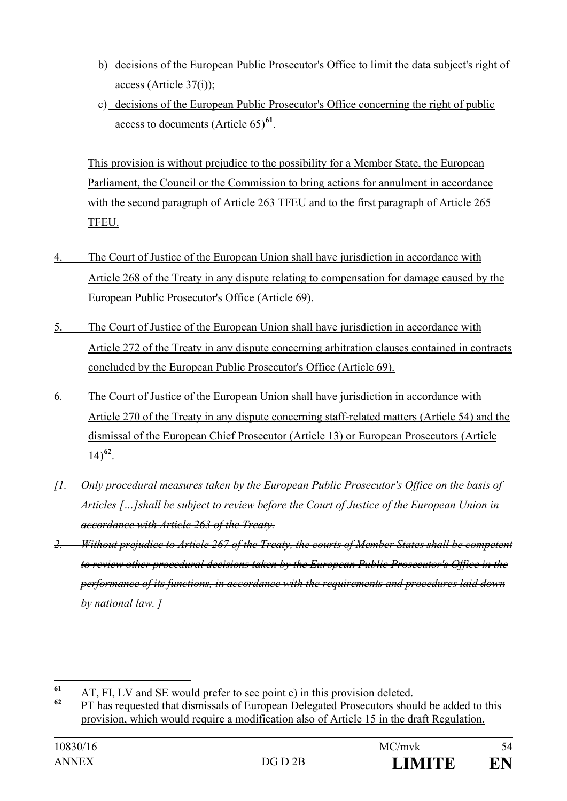- b) decisions of the European Public Prosecutor's Office to limit the data subject's right of access (Article 37(i));
- c) decisions of the European Public Prosecutor's Office concerning the right of public access to documents (Article 65)**[61](#page-53-0)**.

This provision is without prejudice to the possibility for a Member State, the European Parliament, the Council or the Commission to bring actions for annulment in accordance with the second paragraph of Article 263 TFEU and to the first paragraph of Article 265 TFEU.

- 4. The Court of Justice of the European Union shall have jurisdiction in accordance with Article 268 of the Treaty in any dispute relating to compensation for damage caused by the European Public Prosecutor's Office (Article 69).
- 5. The Court of Justice of the European Union shall have jurisdiction in accordance with Article 272 of the Treaty in any dispute concerning arbitration clauses contained in contracts concluded by the European Public Prosecutor's Office (Article 69).
- 6. The Court of Justice of the European Union shall have jurisdiction in accordance with Article 270 of the Treaty in any dispute concerning staff-related matters (Article 54) and the dismissal of the European Chief Prosecutor (Article 13) or European Prosecutors (Article 14)**[62](#page-53-1)**.
- *[1. Only procedural measures taken by the European Public Prosecutor's Office on the basis of Articles […]shall be subject to review before the Court of Justice of the European Union in accordance with Article 263 of the Treaty.*
- *2. Without prejudice to Article 267 of the Treaty, the courts of Member States shall be competent to review other procedural decisions taken by the European Public Prosecutor's Office in the performance of its functions, in accordance with the requirements and procedures laid down by national law. ]*

<span id="page-53-0"></span> $\frac{61}{62}$  AT, FI, LV and SE would prefer to see point c) in this provision deleted.

<span id="page-53-1"></span>**<sup>62</sup>** PT has requested that dismissals of European Delegated Prosecutors should be added to this provision, which would require a modification also of Article 15 in the draft Regulation.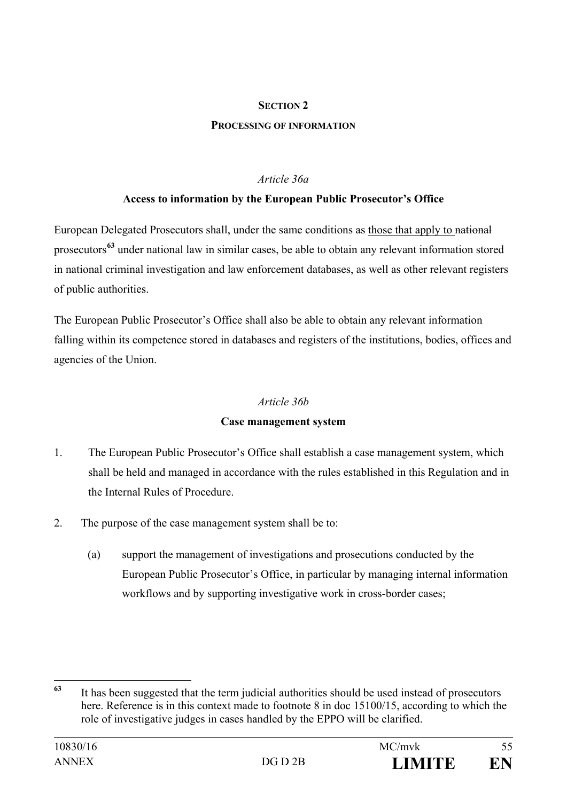#### **SECTION 2**

#### **PROCESSING OF INFORMATION**

#### *Article 36a*

#### **Access to information by the European Public Prosecutor's Office**

European Delegated Prosecutors shall, under the same conditions as those that apply to national prosecutors**[63](#page-54-0)** under national law in similar cases, be able to obtain any relevant information stored in national criminal investigation and law enforcement databases, as well as other relevant registers of public authorities.

The European Public Prosecutor's Office shall also be able to obtain any relevant information falling within its competence stored in databases and registers of the institutions, bodies, offices and agencies of the Union.

#### *Article 36b*

#### **Case management system**

- 1. The European Public Prosecutor's Office shall establish a case management system, which shall be held and managed in accordance with the rules established in this Regulation and in the Internal Rules of Procedure.
- 2. The purpose of the case management system shall be to:
	- (a) support the management of investigations and prosecutions conducted by the European Public Prosecutor's Office, in particular by managing internal information workflows and by supporting investigative work in cross-border cases;

<span id="page-54-0"></span>**<sup>63</sup>** It has been suggested that the term judicial authorities should be used instead of prosecutors here. Reference is in this context made to footnote 8 in doc 15100/15, according to which the role of investigative judges in cases handled by the EPPO will be clarified.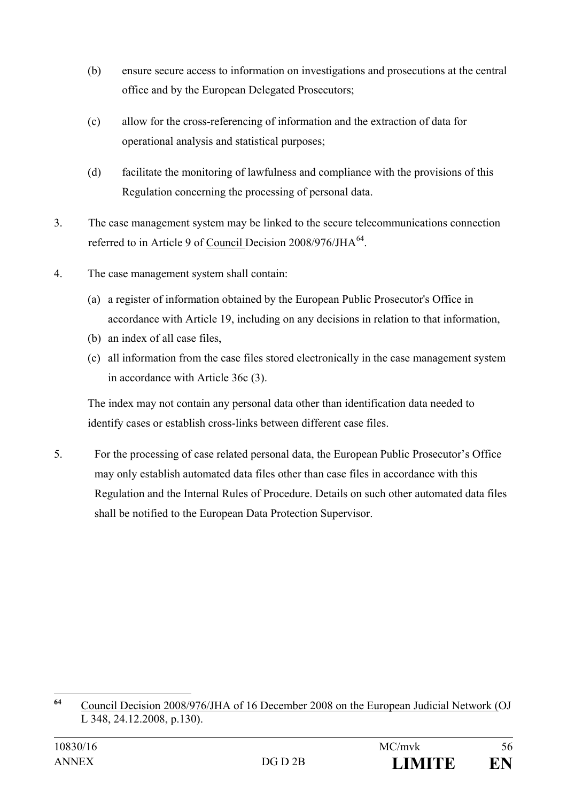- (b) ensure secure access to information on investigations and prosecutions at the central office and by the European Delegated Prosecutors;
- (c) allow for the cross-referencing of information and the extraction of data for operational analysis and statistical purposes;
- (d) facilitate the monitoring of lawfulness and compliance with the provisions of this Regulation concerning the processing of personal data.
- 3. The case management system may be linked to the secure telecommunications connection referred to in Article 9 of Council Decision 2008/976/JHA<sup>[64](#page-55-0)</sup>.
- 4. The case management system shall contain:
	- (a) a register of information obtained by the European Public Prosecutor's Office in accordance with Article 19, including on any decisions in relation to that information,
	- (b) an index of all case files,
	- (c) all information from the case files stored electronically in the case management system in accordance with Article 36c (3).

The index may not contain any personal data other than identification data needed to identify cases or establish cross-links between different case files.

5. For the processing of case related personal data, the European Public Prosecutor's Office may only establish automated data files other than case files in accordance with this Regulation and the Internal Rules of Procedure. Details on such other automated data files shall be notified to the European Data Protection Supervisor.

<span id="page-55-0"></span>**<sup>64</sup>** Council Decision 2008/976/JHA of 16 December 2008 on the European Judicial Network (OJ L 348, 24.12.2008, p.130).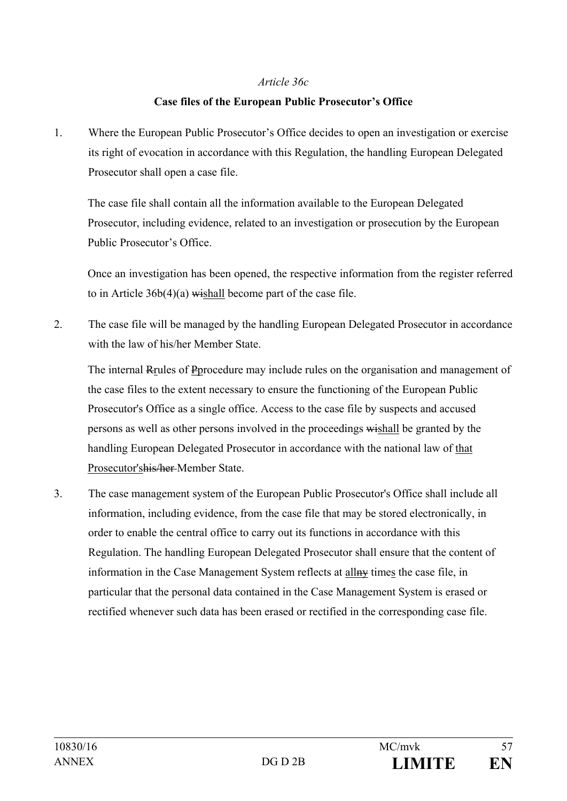#### *Article 36c*

#### **Case files of the European Public Prosecutor's Office**

1. Where the European Public Prosecutor's Office decides to open an investigation or exercise its right of evocation in accordance with this Regulation, the handling European Delegated Prosecutor shall open a case file.

The case file shall contain all the information available to the European Delegated Prosecutor, including evidence, related to an investigation or prosecution by the European Public Prosecutor's Office.

Once an investigation has been opened, the respective information from the register referred to in Article  $36b(4)(a)$  wishall become part of the case file.

2. The case file will be managed by the handling European Delegated Prosecutor in accordance with the law of his/her Member State.

The internal Rrules of Pprocedure may include rules on the organisation and management of the case files to the extent necessary to ensure the functioning of the European Public Prosecutor's Office as a single office. Access to the case file by suspects and accused persons as well as other persons involved in the proceedings wishall be granted by the handling European Delegated Prosecutor in accordance with the national law of that Prosecutor'shis/her Member State.

3. The case management system of the European Public Prosecutor's Office shall include all information, including evidence, from the case file that may be stored electronically, in order to enable the central office to carry out its functions in accordance with this Regulation. The handling European Delegated Prosecutor shall ensure that the content of information in the Case Management System reflects at allay times the case file, in particular that the personal data contained in the Case Management System is erased or rectified whenever such data has been erased or rectified in the corresponding case file.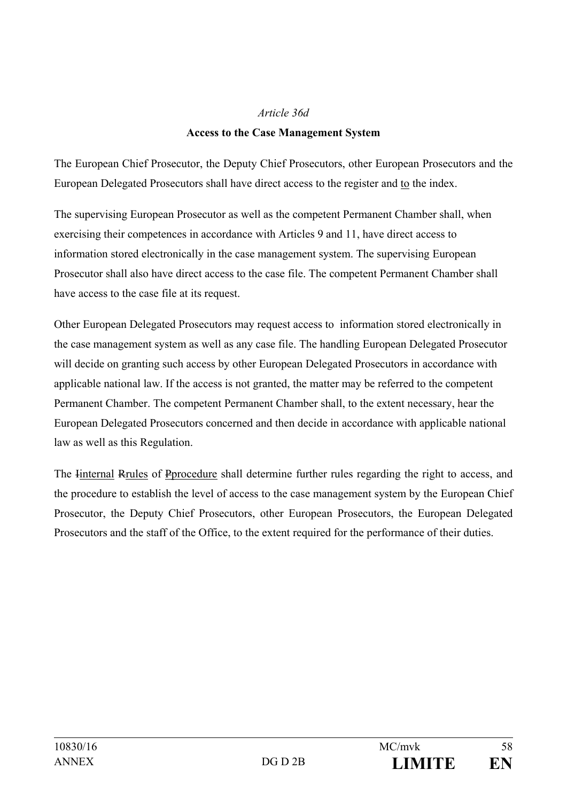#### *Article 36d*

#### **Access to the Case Management System**

The European Chief Prosecutor, the Deputy Chief Prosecutors, other European Prosecutors and the European Delegated Prosecutors shall have direct access to the register and to the index.

The supervising European Prosecutor as well as the competent Permanent Chamber shall, when exercising their competences in accordance with Articles 9 and 11, have direct access to information stored electronically in the case management system. The supervising European Prosecutor shall also have direct access to the case file. The competent Permanent Chamber shall have access to the case file at its request.

Other European Delegated Prosecutors may request access to information stored electronically in the case management system as well as any case file. The handling European Delegated Prosecutor will decide on granting such access by other European Delegated Prosecutors in accordance with applicable national law. If the access is not granted, the matter may be referred to the competent Permanent Chamber. The competent Permanent Chamber shall, to the extent necessary, hear the European Delegated Prosecutors concerned and then decide in accordance with applicable national law as well as this Regulation.

The Iinternal Rrules of Pprocedure shall determine further rules regarding the right to access, and the procedure to establish the level of access to the case management system by the European Chief Prosecutor, the Deputy Chief Prosecutors, other European Prosecutors, the European Delegated Prosecutors and the staff of the Office, to the extent required for the performance of their duties.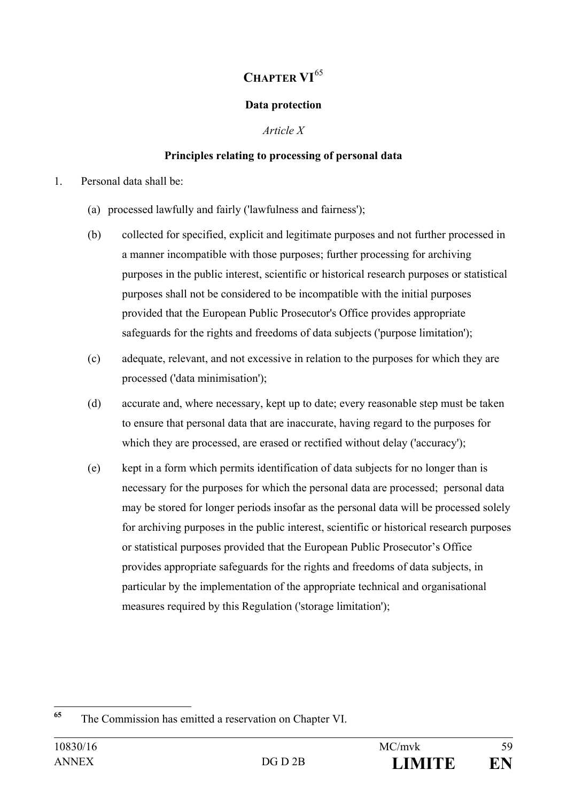# **CHAPTER VI**[65](#page-58-0)

#### **Data protection**

*Article X*

#### **Principles relating to processing of personal data**

- 1. Personal data shall be:
	- (a) processed lawfully and fairly ('lawfulness and fairness');
	- (b) collected for specified, explicit and legitimate purposes and not further processed in a manner incompatible with those purposes; further processing for archiving purposes in the public interest, scientific or historical research purposes or statistical purposes shall not be considered to be incompatible with the initial purposes provided that the European Public Prosecutor's Office provides appropriate safeguards for the rights and freedoms of data subjects ('purpose limitation');
	- (c) adequate, relevant, and not excessive in relation to the purposes for which they are processed ('data minimisation');
	- (d) accurate and, where necessary, kept up to date; every reasonable step must be taken to ensure that personal data that are inaccurate, having regard to the purposes for which they are processed, are erased or rectified without delay ('accuracy');
	- (e) kept in a form which permits identification of data subjects for no longer than is necessary for the purposes for which the personal data are processed; personal data may be stored for longer periods insofar as the personal data will be processed solely for archiving purposes in the public interest, scientific or historical research purposes or statistical purposes provided that the European Public Prosecutor's Office provides appropriate safeguards for the rights and freedoms of data subjects, in particular by the implementation of the appropriate technical and organisational measures required by this Regulation ('storage limitation');

<span id="page-58-0"></span>**<sup>65</sup>** The Commission has emitted a reservation on Chapter VI.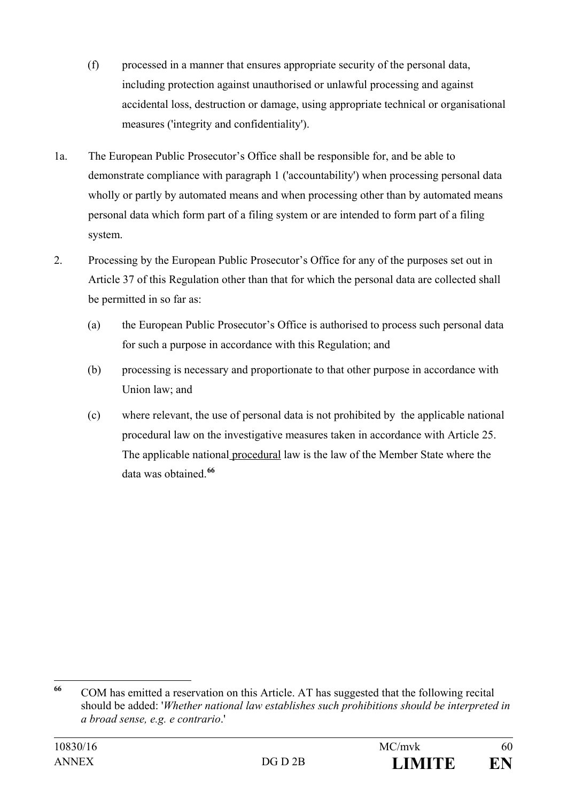- (f) processed in a manner that ensures appropriate security of the personal data, including protection against unauthorised or unlawful processing and against accidental loss, destruction or damage, using appropriate technical or organisational measures ('integrity and confidentiality').
- 1a. The European Public Prosecutor's Office shall be responsible for, and be able to demonstrate compliance with paragraph 1 ('accountability') when processing personal data wholly or partly by automated means and when processing other than by automated means personal data which form part of a filing system or are intended to form part of a filing system.
- 2. Processing by the European Public Prosecutor's Office for any of the purposes set out in Article 37 of this Regulation other than that for which the personal data are collected shall be permitted in so far as:
	- (a) the European Public Prosecutor's Office is authorised to process such personal data for such a purpose in accordance with this Regulation; and
	- (b) processing is necessary and proportionate to that other purpose in accordance with Union law; and
	- (c) where relevant, the use of personal data is not prohibited by the applicable national procedural law on the investigative measures taken in accordance with Article 25. The applicable national procedural law is the law of the Member State where the data was obtained.**[66](#page-59-0)**

<span id="page-59-0"></span>**<sup>66</sup>** COM has emitted a reservation on this Article. AT has suggested that the following recital should be added: '*Whether national law establishes such prohibitions should be interpreted in a broad sense, e.g. e contrario*.'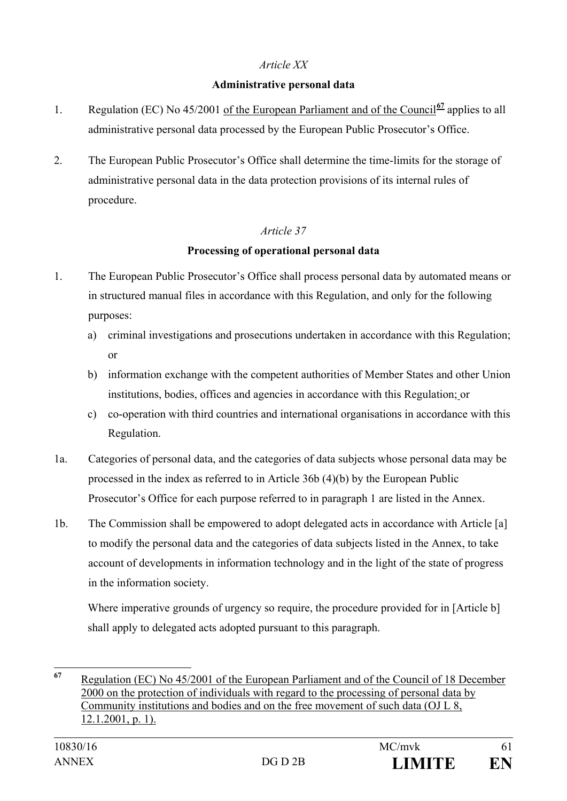#### *Article XX*

#### **Administrative personal data**

- 1. Regulation (EC) No 45/2001 of the European Parliament and of the Council**[67](#page-60-0)** applies to all administrative personal data processed by the European Public Prosecutor's Office.
- 2. The European Public Prosecutor's Office shall determine the time-limits for the storage of administrative personal data in the data protection provisions of its internal rules of procedure.

#### *Article 37*

#### **Processing of operational personal data**

- 1. The European Public Prosecutor's Office shall process personal data by automated means or in structured manual files in accordance with this Regulation, and only for the following purposes:
	- a) criminal investigations and prosecutions undertaken in accordance with this Regulation; or
	- b) information exchange with the competent authorities of Member States and other Union institutions, bodies, offices and agencies in accordance with this Regulation; or
	- c) co-operation with third countries and international organisations in accordance with this Regulation.
- 1a. Categories of personal data, and the categories of data subjects whose personal data may be processed in the index as referred to in Article 36b (4)(b) by the European Public Prosecutor's Office for each purpose referred to in paragraph 1 are listed in the Annex.
- 1b. The Commission shall be empowered to adopt delegated acts in accordance with Article [a] to modify the personal data and the categories of data subjects listed in the Annex, to take account of developments in information technology and in the light of the state of progress in the information society.

Where imperative grounds of urgency so require, the procedure provided for in [Article b] shall apply to delegated acts adopted pursuant to this paragraph.

<span id="page-60-0"></span>**<sup>67</sup>** Regulation (EC) No 45/2001 of the European Parliament and of the Council of 18 December 2000 on the protection of individuals with regard to the processing of personal data by Community institutions and bodies and on the free movement of such data (OJ L 8, 12.1.2001, p. 1).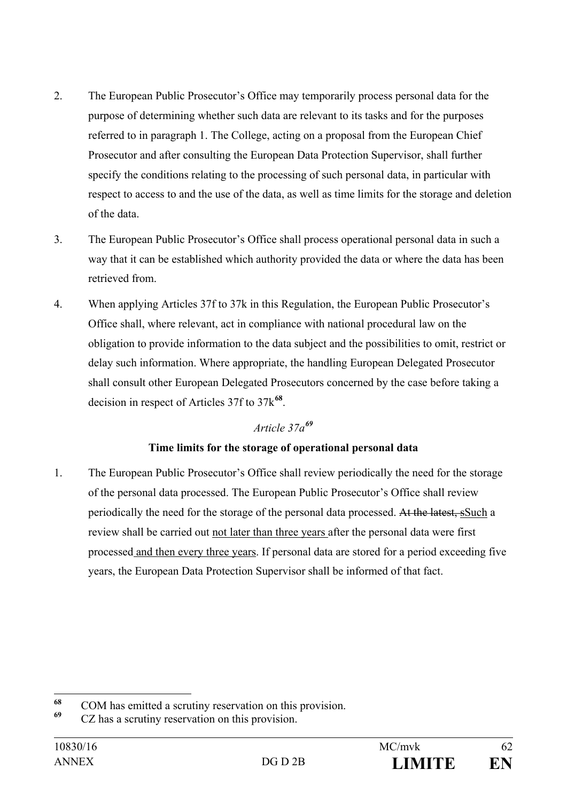- 2. The European Public Prosecutor's Office may temporarily process personal data for the purpose of determining whether such data are relevant to its tasks and for the purposes referred to in paragraph 1. The College, acting on a proposal from the European Chief Prosecutor and after consulting the European Data Protection Supervisor, shall further specify the conditions relating to the processing of such personal data, in particular with respect to access to and the use of the data, as well as time limits for the storage and deletion of the data.
- 3. The European Public Prosecutor's Office shall process operational personal data in such a way that it can be established which authority provided the data or where the data has been retrieved from.
- 4. When applying Articles 37f to 37k in this Regulation, the European Public Prosecutor's Office shall, where relevant, act in compliance with national procedural law on the obligation to provide information to the data subject and the possibilities to omit, restrict or delay such information. Where appropriate, the handling European Delegated Prosecutor shall consult other European Delegated Prosecutors concerned by the case before taking a decision in respect of Articles 37f to 37k**[68](#page-61-0)**.

## *Article 37a[69](#page-61-1)*

## **Time limits for the storage of operational personal data**

1. The European Public Prosecutor's Office shall review periodically the need for the storage of the personal data processed. The European Public Prosecutor's Office shall review periodically the need for the storage of the personal data processed. At the latest, sSuch a review shall be carried out not later than three years after the personal data were first processed and then every three years. If personal data are stored for a period exceeding five years, the European Data Protection Supervisor shall be informed of that fact.

<span id="page-61-0"></span>**<sup>68</sup>** COM has emitted a scrutiny reservation on this provision.

<span id="page-61-1"></span>**<sup>69</sup>** CZ has a scrutiny reservation on this provision.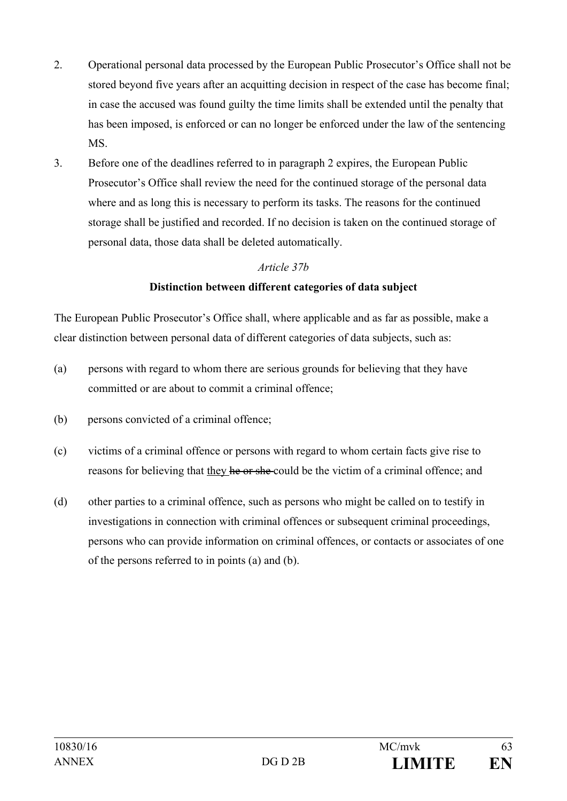- 2. Operational personal data processed by the European Public Prosecutor's Office shall not be stored beyond five years after an acquitting decision in respect of the case has become final; in case the accused was found guilty the time limits shall be extended until the penalty that has been imposed, is enforced or can no longer be enforced under the law of the sentencing MS.
- 3. Before one of the deadlines referred to in paragraph 2 expires, the European Public Prosecutor's Office shall review the need for the continued storage of the personal data where and as long this is necessary to perform its tasks. The reasons for the continued storage shall be justified and recorded. If no decision is taken on the continued storage of personal data, those data shall be deleted automatically.

#### *Article 37b*

#### **Distinction between different categories of data subject**

The European Public Prosecutor's Office shall, where applicable and as far as possible, make a clear distinction between personal data of different categories of data subjects, such as:

- (a) persons with regard to whom there are serious grounds for believing that they have committed or are about to commit a criminal offence;
- (b) persons convicted of a criminal offence;
- (c) victims of a criminal offence or persons with regard to whom certain facts give rise to reasons for believing that they he or she could be the victim of a criminal offence; and
- (d) other parties to a criminal offence, such as persons who might be called on to testify in investigations in connection with criminal offences or subsequent criminal proceedings, persons who can provide information on criminal offences, or contacts or associates of one of the persons referred to in points (a) and (b).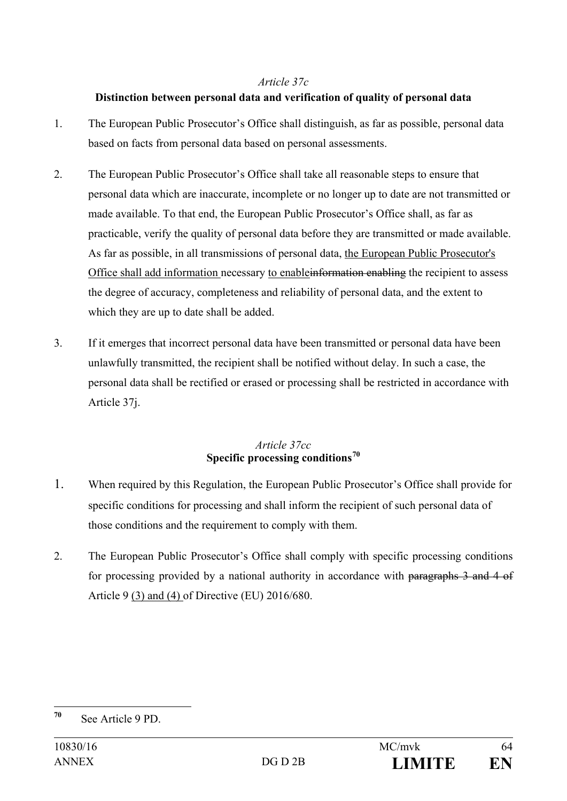#### *Article 37c*

#### **Distinction between personal data and verification of quality of personal data**

- 1. The European Public Prosecutor's Office shall distinguish, as far as possible, personal data based on facts from personal data based on personal assessments.
- 2. The European Public Prosecutor's Office shall take all reasonable steps to ensure that personal data which are inaccurate, incomplete or no longer up to date are not transmitted or made available. To that end, the European Public Prosecutor's Office shall, as far as practicable, verify the quality of personal data before they are transmitted or made available. As far as possible, in all transmissions of personal data, the European Public Prosecutor's Office shall add information necessary to enableinformation enabling the recipient to assess the degree of accuracy, completeness and reliability of personal data, and the extent to which they are up to date shall be added.
- 3. If it emerges that incorrect personal data have been transmitted or personal data have been unlawfully transmitted, the recipient shall be notified without delay. In such a case, the personal data shall be rectified or erased or processing shall be restricted in accordance with Article 37j.

#### *Article 37cc*  **Specific processing conditions[70](#page-63-0)**

- 1. When required by this Regulation, the European Public Prosecutor's Office shall provide for specific conditions for processing and shall inform the recipient of such personal data of those conditions and the requirement to comply with them.
- 2. The European Public Prosecutor's Office shall comply with specific processing conditions for processing provided by a national authority in accordance with paragraphs 3 and 4 of Article 9 (3) and (4) of Directive (EU) 2016/680.

<span id="page-63-0"></span>**<sup>70</sup>** See Article 9 PD.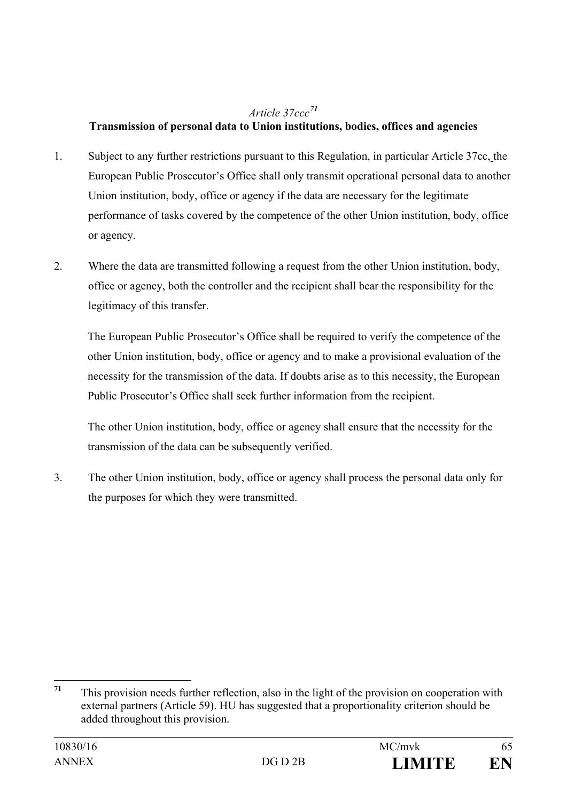## *Article 37ccc[71](#page-64-0)*

## **Transmission of personal data to Union institutions, bodies, offices and agencies**

- 1. Subject to any further restrictions pursuant to this Regulation, in particular Article 37cc, the European Public Prosecutor's Office shall only transmit operational personal data to another Union institution, body, office or agency if the data are necessary for the legitimate performance of tasks covered by the competence of the other Union institution, body, office or agency.
- 2. Where the data are transmitted following a request from the other Union institution, body, office or agency, both the controller and the recipient shall bear the responsibility for the legitimacy of this transfer.

The European Public Prosecutor's Office shall be required to verify the competence of the other Union institution, body, office or agency and to make a provisional evaluation of the necessity for the transmission of the data. If doubts arise as to this necessity, the European Public Prosecutor's Office shall seek further information from the recipient.

The other Union institution, body, office or agency shall ensure that the necessity for the transmission of the data can be subsequently verified.

3. The other Union institution, body, office or agency shall process the personal data only for the purposes for which they were transmitted.

<span id="page-64-0"></span>**<sup>71</sup>** This provision needs further reflection, also in the light of the provision on cooperation with external partners (Article 59). HU has suggested that a proportionality criterion should be added throughout this provision.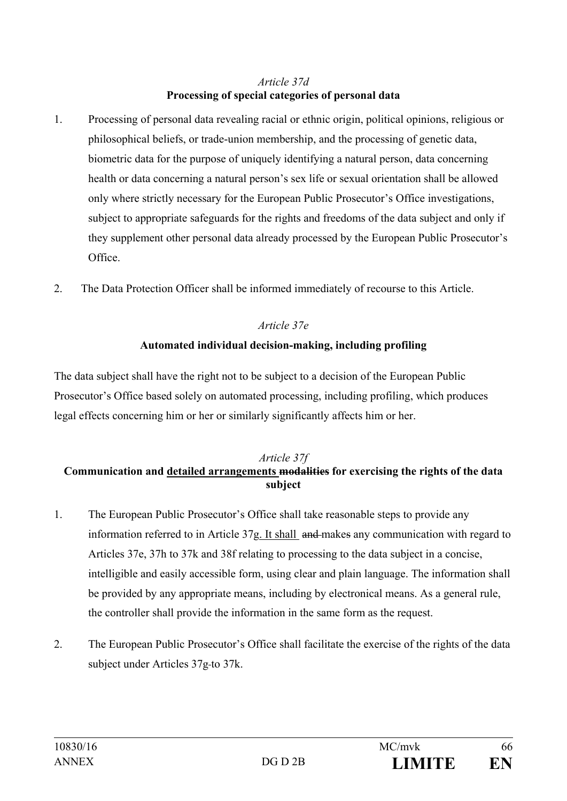#### *Article 37d* **Processing of special categories of personal data**

- 1. Processing of personal data revealing racial or ethnic origin, political opinions, religious or philosophical beliefs, or trade-union membership, and the processing of genetic data, biometric data for the purpose of uniquely identifying a natural person, data concerning health or data concerning a natural person's sex life or sexual orientation shall be allowed only where strictly necessary for the European Public Prosecutor's Office investigations, subject to appropriate safeguards for the rights and freedoms of the data subject and only if they supplement other personal data already processed by the European Public Prosecutor's Office.
- 2. The Data Protection Officer shall be informed immediately of recourse to this Article.

## *Article 37e*

#### **Automated individual decision-making, including profiling**

The data subject shall have the right not to be subject to a decision of the European Public Prosecutor's Office based solely on automated processing, including profiling, which produces legal effects concerning him or her or similarly significantly affects him or her.

#### *Article 37f*  **Communication and detailed arrangements modalities for exercising the rights of the data subject**

- 1. The European Public Prosecutor's Office shall take reasonable steps to provide any information referred to in Article 37g. It shall and makes any communication with regard to Articles 37e, 37h to 37k and 38f relating to processing to the data subject in a concise, intelligible and easily accessible form, using clear and plain language. The information shall be provided by any appropriate means, including by electronical means. As a general rule, the controller shall provide the information in the same form as the request.
- 2. The European Public Prosecutor's Office shall facilitate the exercise of the rights of the data subject under Articles 37g-to 37k.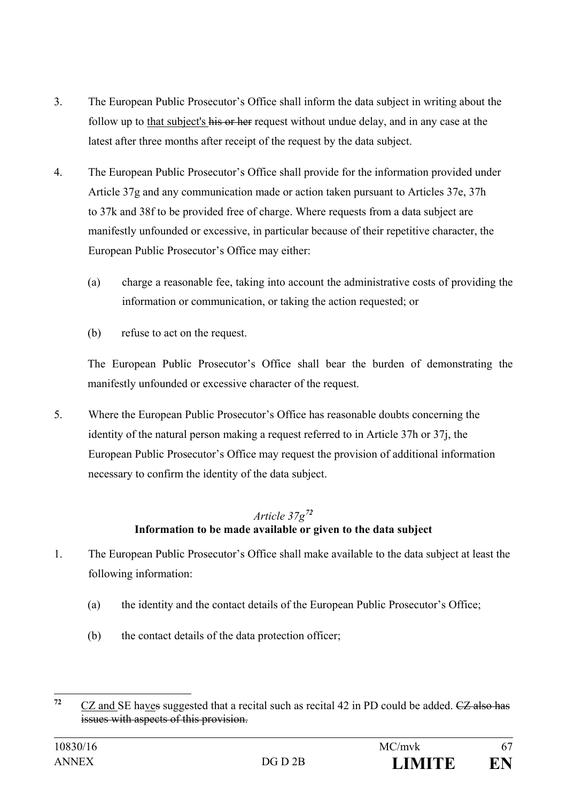- 3. The European Public Prosecutor's Office shall inform the data subject in writing about the follow up to that subject's his or her request without undue delay, and in any case at the latest after three months after receipt of the request by the data subject.
- 4. The European Public Prosecutor's Office shall provide for the information provided under Article 37g and any communication made or action taken pursuant to Articles 37e, 37h to 37k and 38f to be provided free of charge. Where requests from a data subject are manifestly unfounded or excessive, in particular because of their repetitive character, the European Public Prosecutor's Office may either:
	- (a) charge a reasonable fee, taking into account the administrative costs of providing the information or communication, or taking the action requested; or
	- (b) refuse to act on the request.

The European Public Prosecutor's Office shall bear the burden of demonstrating the manifestly unfounded or excessive character of the request.

5. Where the European Public Prosecutor's Office has reasonable doubts concerning the identity of the natural person making a request referred to in Article 37h or 37j, the European Public Prosecutor's Office may request the provision of additional information necessary to confirm the identity of the data subject.

## *Article 37g[72](#page-66-0)* **Information to be made available or given to the data subject**

- 1. The European Public Prosecutor's Office shall make available to the data subject at least the following information:
	- (a) the identity and the contact details of the European Public Prosecutor's Office;
	- (b) the contact details of the data protection officer;

<span id="page-66-0"></span><sup>&</sup>lt;sup>72</sup> CZ and SE haves suggested that a recital such as recital 42 in PD could be added. <del>CZ also has</del> issues with aspects of this provision.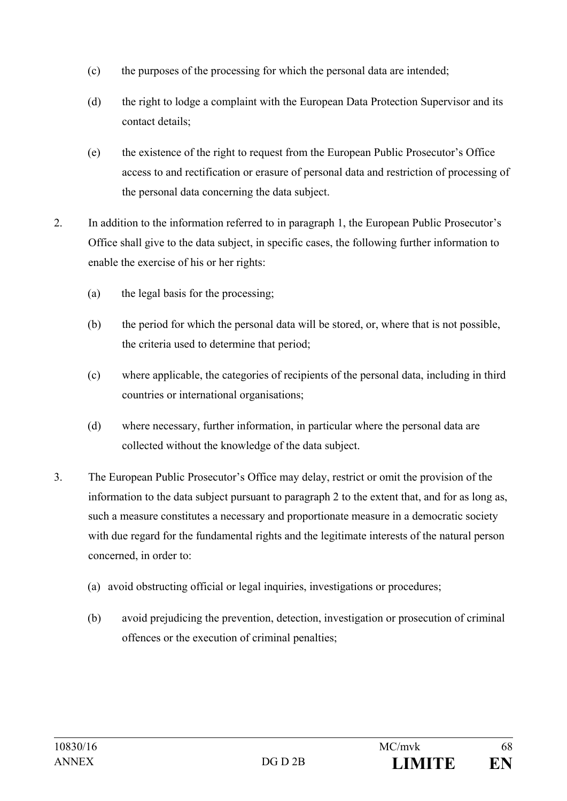- (c) the purposes of the processing for which the personal data are intended;
- (d) the right to lodge a complaint with the European Data Protection Supervisor and its contact details;
- (e) the existence of the right to request from the European Public Prosecutor's Office access to and rectification or erasure of personal data and restriction of processing of the personal data concerning the data subject.
- 2. In addition to the information referred to in paragraph 1, the European Public Prosecutor's Office shall give to the data subject, in specific cases, the following further information to enable the exercise of his or her rights:
	- (a) the legal basis for the processing;
	- (b) the period for which the personal data will be stored, or, where that is not possible, the criteria used to determine that period;
	- (c) where applicable, the categories of recipients of the personal data, including in third countries or international organisations;
	- (d) where necessary, further information, in particular where the personal data are collected without the knowledge of the data subject.
- 3. The European Public Prosecutor's Office may delay, restrict or omit the provision of the information to the data subject pursuant to paragraph 2 to the extent that, and for as long as, such a measure constitutes a necessary and proportionate measure in a democratic society with due regard for the fundamental rights and the legitimate interests of the natural person concerned, in order to:
	- (a) avoid obstructing official or legal inquiries, investigations or procedures;
	- (b) avoid prejudicing the prevention, detection, investigation or prosecution of criminal offences or the execution of criminal penalties;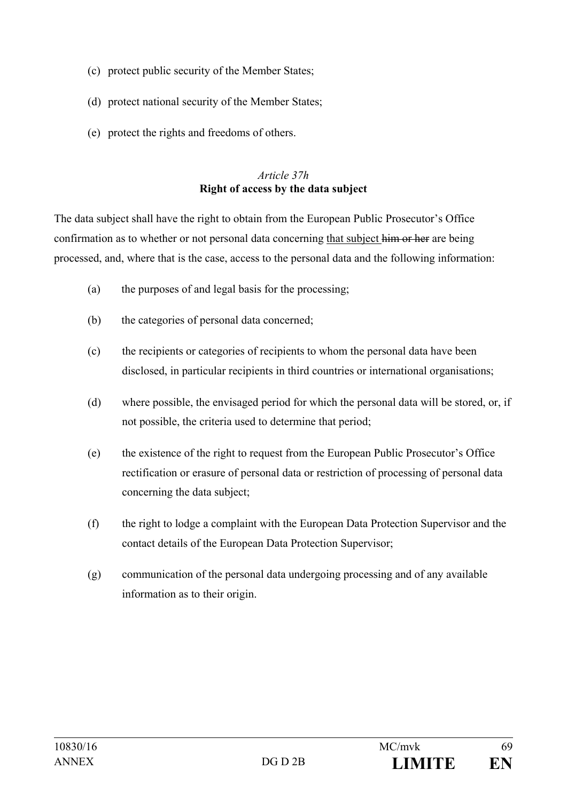- (c) protect public security of the Member States;
- (d) protect national security of the Member States;
- (e) protect the rights and freedoms of others.

#### *Article 37h*  **Right of access by the data subject**

The data subject shall have the right to obtain from the European Public Prosecutor's Office confirmation as to whether or not personal data concerning that subject him or her are being processed, and, where that is the case, access to the personal data and the following information:

- (a) the purposes of and legal basis for the processing;
- (b) the categories of personal data concerned;
- (c) the recipients or categories of recipients to whom the personal data have been disclosed, in particular recipients in third countries or international organisations;
- (d) where possible, the envisaged period for which the personal data will be stored, or, if not possible, the criteria used to determine that period;
- (e) the existence of the right to request from the European Public Prosecutor's Office rectification or erasure of personal data or restriction of processing of personal data concerning the data subject;
- (f) the right to lodge a complaint with the European Data Protection Supervisor and the contact details of the European Data Protection Supervisor;
- (g) communication of the personal data undergoing processing and of any available information as to their origin.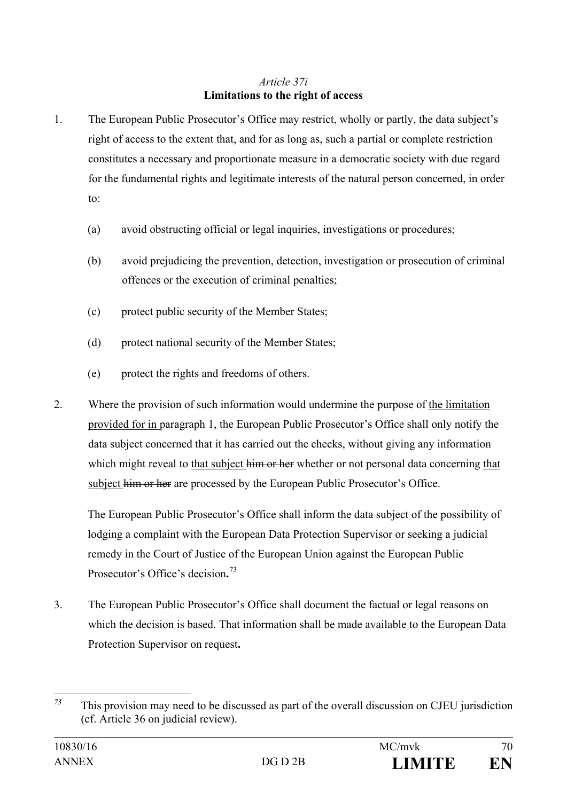#### *Article 37i* **Limitations to the right of access**

- 1. The European Public Prosecutor's Office may restrict, wholly or partly, the data subject's right of access to the extent that, and for as long as, such a partial or complete restriction constitutes a necessary and proportionate measure in a democratic society with due regard for the fundamental rights and legitimate interests of the natural person concerned, in order to:
	- (a) avoid obstructing official or legal inquiries, investigations or procedures;
	- (b) avoid prejudicing the prevention, detection, investigation or prosecution of criminal offences or the execution of criminal penalties;
	- (c) protect public security of the Member States;
	- (d) protect national security of the Member States;
	- (e) protect the rights and freedoms of others.
- 2. Where the provision of such information would undermine the purpose of the limitation provided for in paragraph 1, the European Public Prosecutor's Office shall only notify the data subject concerned that it has carried out the checks, without giving any information which might reveal to that subject him or her whether or not personal data concerning that subject him or her are processed by the European Public Prosecutor's Office.

The European Public Prosecutor's Office shall inform the data subject of the possibility of lodging a complaint with the European Data Protection Supervisor or seeking a judicial remedy in the Court of Justice of the European Union against the European Public Prosecutor's Office's decision**.** [73](#page-69-0)

3. The European Public Prosecutor's Office shall document the factual or legal reasons on which the decision is based. That information shall be made available to the European Data Protection Supervisor on request**.**

<span id="page-69-0"></span>*<sup>73</sup>* This provision may need to be discussed as part of the overall discussion on CJEU jurisdiction (cf. Article 36 on judicial review).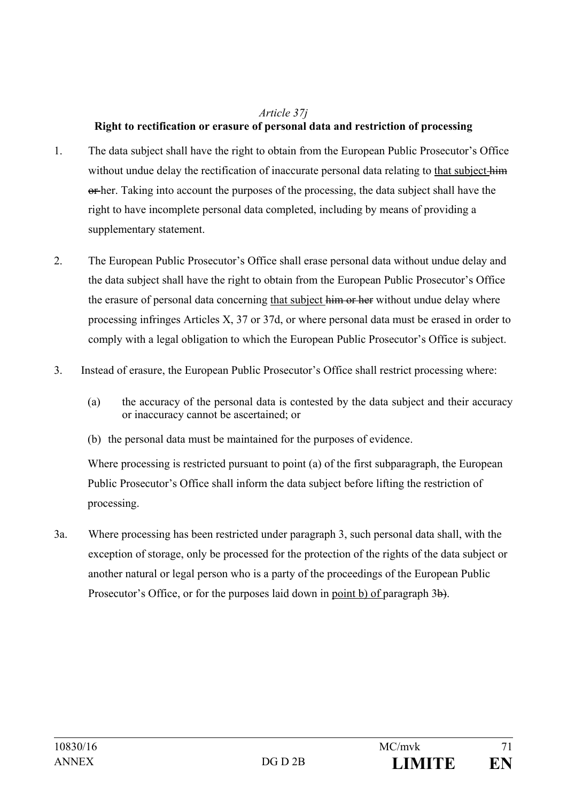#### *Article 37j*

## **Right to rectification or erasure of personal data and restriction of processing**

- 1. The data subject shall have the right to obtain from the European Public Prosecutor's Office without undue delay the rectification of inaccurate personal data relating to that subject him or her. Taking into account the purposes of the processing, the data subject shall have the right to have incomplete personal data completed, including by means of providing a supplementary statement.
- 2. The European Public Prosecutor's Office shall erase personal data without undue delay and the data subject shall have the right to obtain from the European Public Prosecutor's Office the erasure of personal data concerning that subject him or her without undue delay where processing infringes Articles X, 37 or 37d, or where personal data must be erased in order to comply with a legal obligation to which the European Public Prosecutor's Office is subject.
- 3. Instead of erasure, the European Public Prosecutor's Office shall restrict processing where:
	- (a) the accuracy of the personal data is contested by the data subject and their accuracy or inaccuracy cannot be ascertained; or
	- (b) the personal data must be maintained for the purposes of evidence.

Where processing is restricted pursuant to point (a) of the first subparagraph, the European Public Prosecutor's Office shall inform the data subject before lifting the restriction of processing.

3a. Where processing has been restricted under paragraph 3, such personal data shall, with the exception of storage, only be processed for the protection of the rights of the data subject or another natural or legal person who is a party of the proceedings of the European Public Prosecutor's Office, or for the purposes laid down in point b) of paragraph 3b.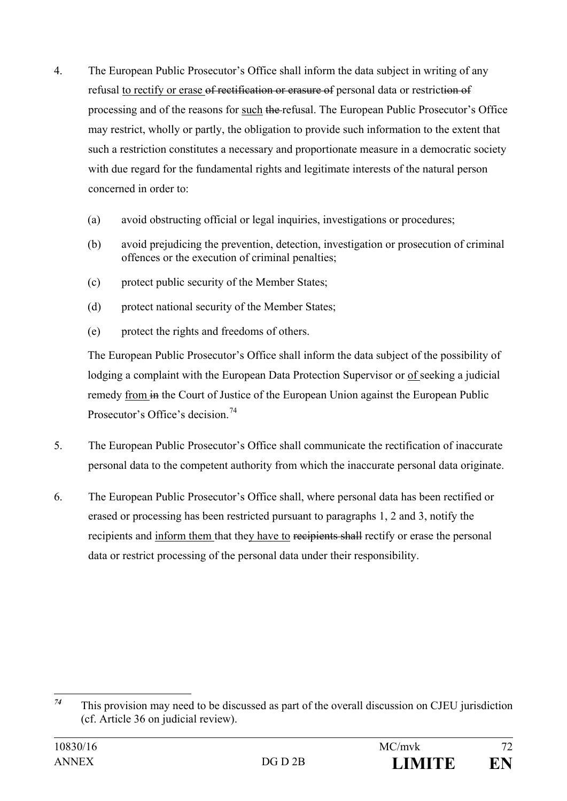- 4. The European Public Prosecutor's Office shall inform the data subject in writing of any refusal to rectify or erase of rectification or erasure of personal data or restriction of processing and of the reasons for such the refusal. The European Public Prosecutor's Office may restrict, wholly or partly, the obligation to provide such information to the extent that such a restriction constitutes a necessary and proportionate measure in a democratic society with due regard for the fundamental rights and legitimate interests of the natural person concerned in order to:
	- (a) avoid obstructing official or legal inquiries, investigations or procedures;
	- (b) avoid prejudicing the prevention, detection, investigation or prosecution of criminal offences or the execution of criminal penalties;
	- (c) protect public security of the Member States;
	- (d) protect national security of the Member States;
	- (e) protect the rights and freedoms of others.

The European Public Prosecutor's Office shall inform the data subject of the possibility of lodging a complaint with the European Data Protection Supervisor or of seeking a judicial remedy from in the Court of Justice of the European Union against the European Public Prosecutor's Office's decision.<sup>[74](#page-71-0)</sup>

- 5. The European Public Prosecutor's Office shall communicate the rectification of inaccurate personal data to the competent authority from which the inaccurate personal data originate.
- 6. The European Public Prosecutor's Office shall, where personal data has been rectified or erased or processing has been restricted pursuant to paragraphs 1, 2 and 3, notify the recipients and inform them that they have to recipients shall rectify or erase the personal data or restrict processing of the personal data under their responsibility.

<span id="page-71-0"></span>*<sup>74</sup>* This provision may need to be discussed as part of the overall discussion on CJEU jurisdiction (cf. Article 36 on judicial review).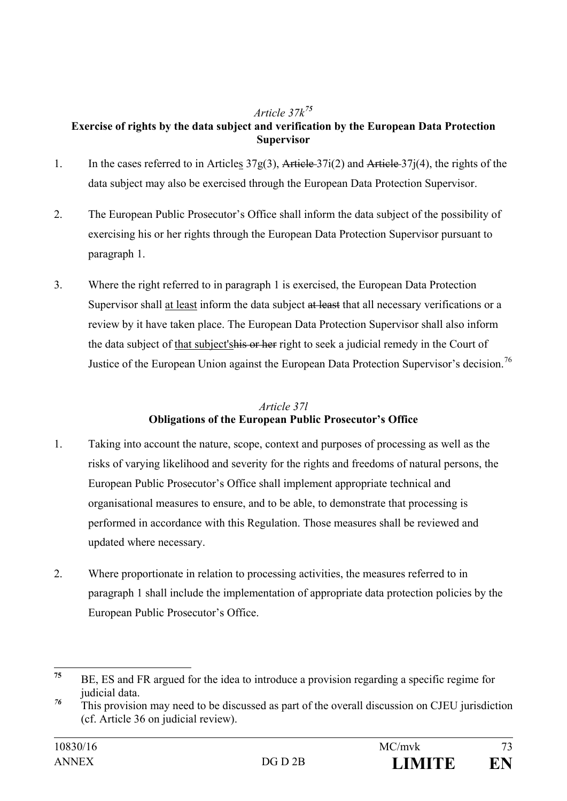## *Article 37k[75](#page-72-0)*

# **Exercise of rights by the data subject and verification by the European Data Protection Supervisor**

- 1. In the cases referred to in Articles 37g(3), Article 37i(2) and Article 37j(4), the rights of the data subject may also be exercised through the European Data Protection Supervisor.
- 2. The European Public Prosecutor's Office shall inform the data subject of the possibility of exercising his or her rights through the European Data Protection Supervisor pursuant to paragraph 1.
- 3. Where the right referred to in paragraph 1 is exercised, the European Data Protection Supervisor shall at least inform the data subject at least that all necessary verifications or a review by it have taken place. The European Data Protection Supervisor shall also inform the data subject of that subject's his or her right to seek a judicial remedy in the Court of Justice of the European Union against the European Data Protection Supervisor's decision.<sup>[76](#page-72-1)</sup>

# *Article 37l* **Obligations of the European Public Prosecutor's Office**

- 1. Taking into account the nature, scope, context and purposes of processing as well as the risks of varying likelihood and severity for the rights and freedoms of natural persons, the European Public Prosecutor's Office shall implement appropriate technical and organisational measures to ensure, and to be able, to demonstrate that processing is performed in accordance with this Regulation. Those measures shall be reviewed and updated where necessary.
- 2. Where proportionate in relation to processing activities, the measures referred to in paragraph 1 shall include the implementation of appropriate data protection policies by the European Public Prosecutor's Office.

<span id="page-72-0"></span>**<sup>75</sup>** BE, ES and FR argued for the idea to introduce a provision regarding a specific regime for judicial data.

<span id="page-72-1"></span>*<sup>76</sup>* This provision may need to be discussed as part of the overall discussion on CJEU jurisdiction (cf. Article 36 on judicial review).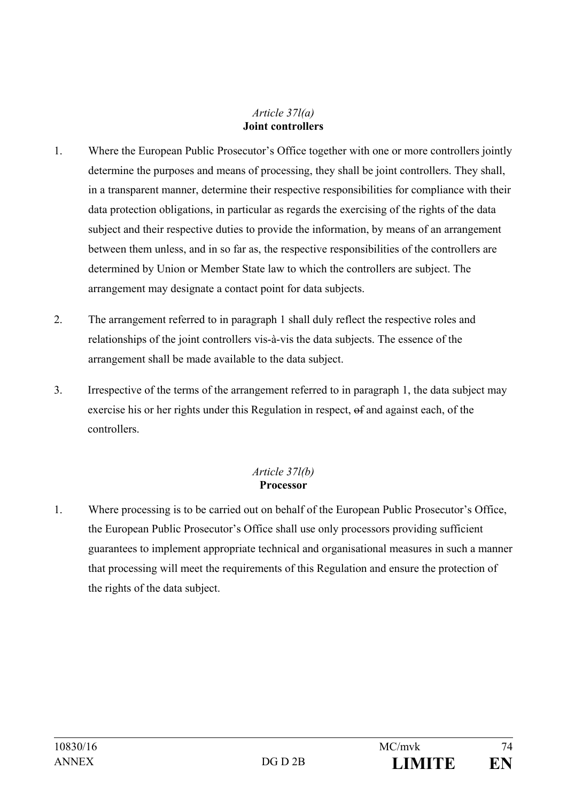#### *Article 37l(a)*  **Joint controllers**

- 1. Where the European Public Prosecutor's Office together with one or more controllers jointly determine the purposes and means of processing, they shall be joint controllers. They shall, in a transparent manner, determine their respective responsibilities for compliance with their data protection obligations, in particular as regards the exercising of the rights of the data subject and their respective duties to provide the information, by means of an arrangement between them unless, and in so far as, the respective responsibilities of the controllers are determined by Union or Member State law to which the controllers are subject. The arrangement may designate a contact point for data subjects.
- 2. The arrangement referred to in paragraph 1 shall duly reflect the respective roles and relationships of the joint controllers vis-à-vis the data subjects. The essence of the arrangement shall be made available to the data subject.
- 3. Irrespective of the terms of the arrangement referred to in paragraph 1, the data subject may exercise his or her rights under this Regulation in respect, of and against each, of the controllers.

## *Article 37l(b)*  **Processor**

1. Where processing is to be carried out on behalf of the European Public Prosecutor's Office, the European Public Prosecutor's Office shall use only processors providing sufficient guarantees to implement appropriate technical and organisational measures in such a manner that processing will meet the requirements of this Regulation and ensure the protection of the rights of the data subject.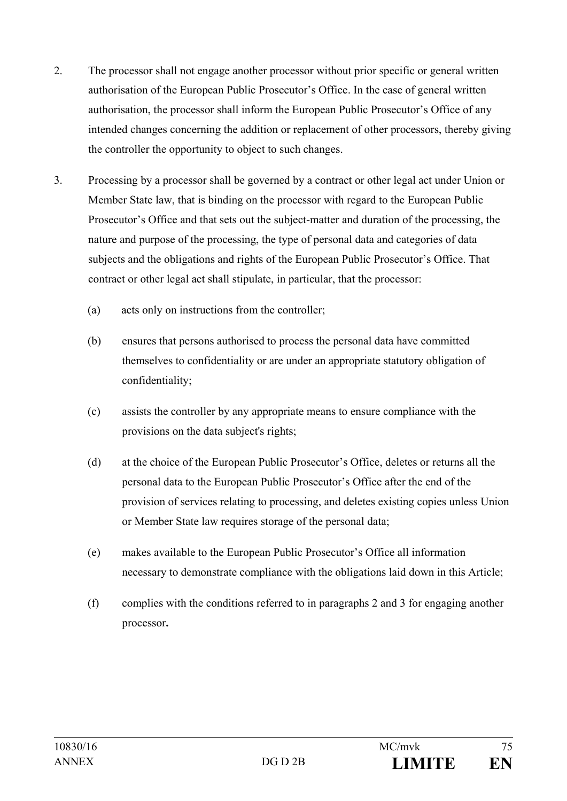- 2. The processor shall not engage another processor without prior specific or general written authorisation of the European Public Prosecutor's Office. In the case of general written authorisation, the processor shall inform the European Public Prosecutor's Office of any intended changes concerning the addition or replacement of other processors, thereby giving the controller the opportunity to object to such changes.
- 3. Processing by a processor shall be governed by a contract or other legal act under Union or Member State law, that is binding on the processor with regard to the European Public Prosecutor's Office and that sets out the subject-matter and duration of the processing, the nature and purpose of the processing, the type of personal data and categories of data subjects and the obligations and rights of the European Public Prosecutor's Office. That contract or other legal act shall stipulate, in particular, that the processor:
	- (a) acts only on instructions from the controller;
	- (b) ensures that persons authorised to process the personal data have committed themselves to confidentiality or are under an appropriate statutory obligation of confidentiality;
	- (c) assists the controller by any appropriate means to ensure compliance with the provisions on the data subject's rights;
	- (d) at the choice of the European Public Prosecutor's Office, deletes or returns all the personal data to the European Public Prosecutor's Office after the end of the provision of services relating to processing, and deletes existing copies unless Union or Member State law requires storage of the personal data;
	- (e) makes available to the European Public Prosecutor's Office all information necessary to demonstrate compliance with the obligations laid down in this Article;
	- (f) complies with the conditions referred to in paragraphs 2 and 3 for engaging another processor**.**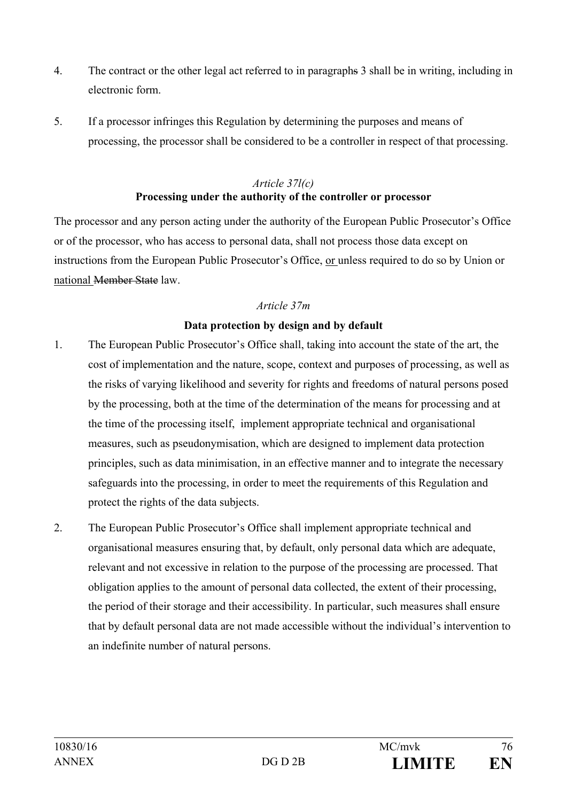- 4. The contract or the other legal act referred to in paragraphs 3 shall be in writing, including in electronic form.
- 5. If a processor infringes this Regulation by determining the purposes and means of processing, the processor shall be considered to be a controller in respect of that processing.

#### *Article 37l(c)*  **Processing under the authority of the controller or processor**

The processor and any person acting under the authority of the European Public Prosecutor's Office or of the processor, who has access to personal data, shall not process those data except on instructions from the European Public Prosecutor's Office, or unless required to do so by Union or national Member State law.

# *Article 37m*

# **Data protection by design and by default**

- 1. The European Public Prosecutor's Office shall, taking into account the state of the art, the cost of implementation and the nature, scope, context and purposes of processing, as well as the risks of varying likelihood and severity for rights and freedoms of natural persons posed by the processing, both at the time of the determination of the means for processing and at the time of the processing itself, implement appropriate technical and organisational measures, such as pseudonymisation, which are designed to implement data protection principles, such as data minimisation, in an effective manner and to integrate the necessary safeguards into the processing, in order to meet the requirements of this Regulation and protect the rights of the data subjects.
- 2. The European Public Prosecutor's Office shall implement appropriate technical and organisational measures ensuring that, by default, only personal data which are adequate, relevant and not excessive in relation to the purpose of the processing are processed. That obligation applies to the amount of personal data collected, the extent of their processing, the period of their storage and their accessibility. In particular, such measures shall ensure that by default personal data are not made accessible without the individual's intervention to an indefinite number of natural persons.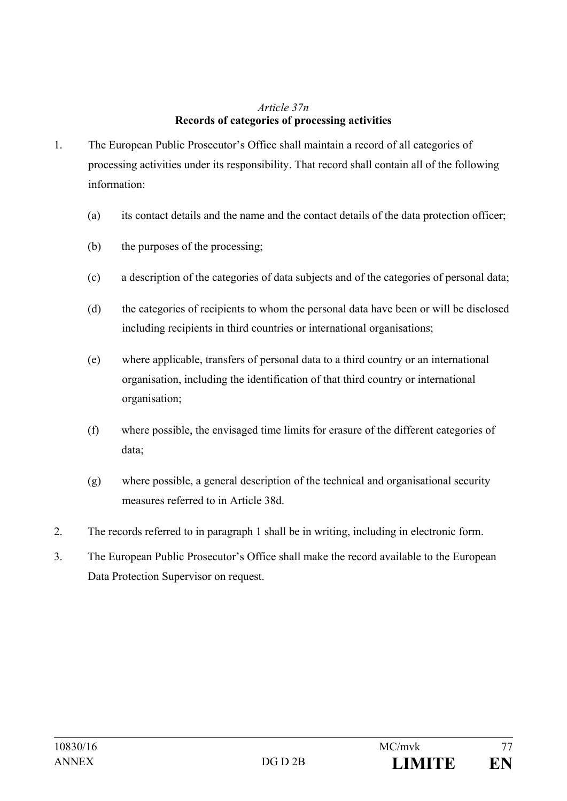#### *Article 37n*  **Records of categories of processing activities**

- 1. The European Public Prosecutor's Office shall maintain a record of all categories of processing activities under its responsibility. That record shall contain all of the following information:
	- (a) its contact details and the name and the contact details of the data protection officer;
	- (b) the purposes of the processing;
	- (c) a description of the categories of data subjects and of the categories of personal data;
	- (d) the categories of recipients to whom the personal data have been or will be disclosed including recipients in third countries or international organisations;
	- (e) where applicable, transfers of personal data to a third country or an international organisation, including the identification of that third country or international organisation;
	- (f) where possible, the envisaged time limits for erasure of the different categories of data;
	- (g) where possible, a general description of the technical and organisational security measures referred to in Article 38d.
- 2. The records referred to in paragraph 1 shall be in writing, including in electronic form.
- 3. The European Public Prosecutor's Office shall make the record available to the European Data Protection Supervisor on request.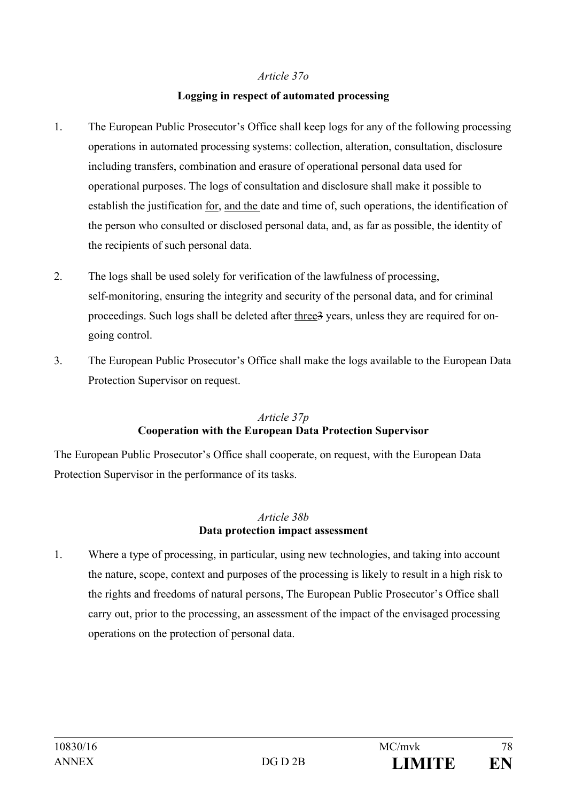#### *Article 37o*

## **Logging in respect of automated processing**

- 1. The European Public Prosecutor's Office shall keep logs for any of the following processing operations in automated processing systems: collection, alteration, consultation, disclosure including transfers, combination and erasure of operational personal data used for operational purposes. The logs of consultation and disclosure shall make it possible to establish the justification for, and the date and time of, such operations, the identification of the person who consulted or disclosed personal data, and, as far as possible, the identity of the recipients of such personal data.
- 2. The logs shall be used solely for verification of the lawfulness of processing, self-monitoring, ensuring the integrity and security of the personal data, and for criminal proceedings. Such logs shall be deleted after three3 years, unless they are required for ongoing control.
- 3. The European Public Prosecutor's Office shall make the logs available to the European Data Protection Supervisor on request.

# *Article 37p* **Cooperation with the European Data Protection Supervisor**

The European Public Prosecutor's Office shall cooperate, on request, with the European Data Protection Supervisor in the performance of its tasks.

# *Article 38b* **Data protection impact assessment**

1. Where a type of processing, in particular, using new technologies, and taking into account the nature, scope, context and purposes of the processing is likely to result in a high risk to the rights and freedoms of natural persons, The European Public Prosecutor's Office shall carry out, prior to the processing, an assessment of the impact of the envisaged processing operations on the protection of personal data.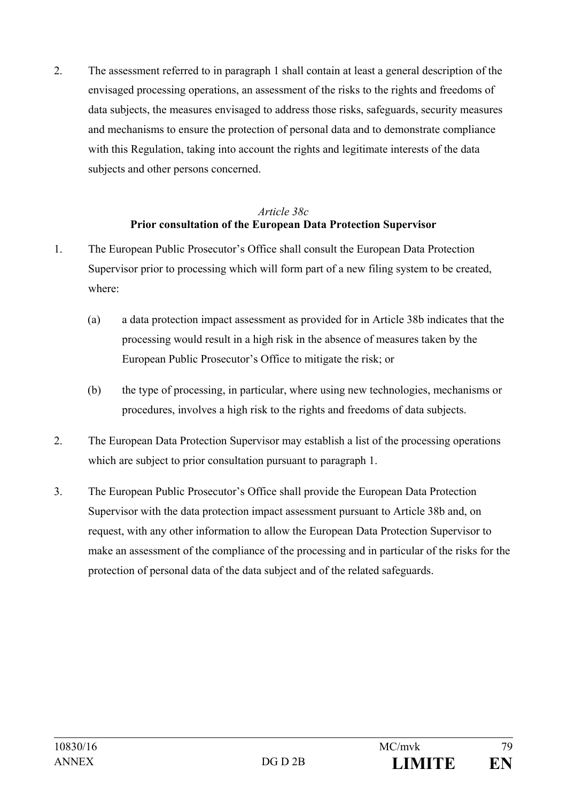2. The assessment referred to in paragraph 1 shall contain at least a general description of the envisaged processing operations, an assessment of the risks to the rights and freedoms of data subjects, the measures envisaged to address those risks, safeguards, security measures and mechanisms to ensure the protection of personal data and to demonstrate compliance with this Regulation, taking into account the rights and legitimate interests of the data subjects and other persons concerned.

#### *Article 38c* **Prior consultation of the European Data Protection Supervisor**

- 1. The European Public Prosecutor's Office shall consult the European Data Protection Supervisor prior to processing which will form part of a new filing system to be created, where:
	- (a) a data protection impact assessment as provided for in Article 38b indicates that the processing would result in a high risk in the absence of measures taken by the European Public Prosecutor's Office to mitigate the risk; or
	- (b) the type of processing, in particular, where using new technologies, mechanisms or procedures, involves a high risk to the rights and freedoms of data subjects.
- 2. The European Data Protection Supervisor may establish a list of the processing operations which are subject to prior consultation pursuant to paragraph 1.
- 3. The European Public Prosecutor's Office shall provide the European Data Protection Supervisor with the data protection impact assessment pursuant to Article 38b and, on request, with any other information to allow the European Data Protection Supervisor to make an assessment of the compliance of the processing and in particular of the risks for the protection of personal data of the data subject and of the related safeguards.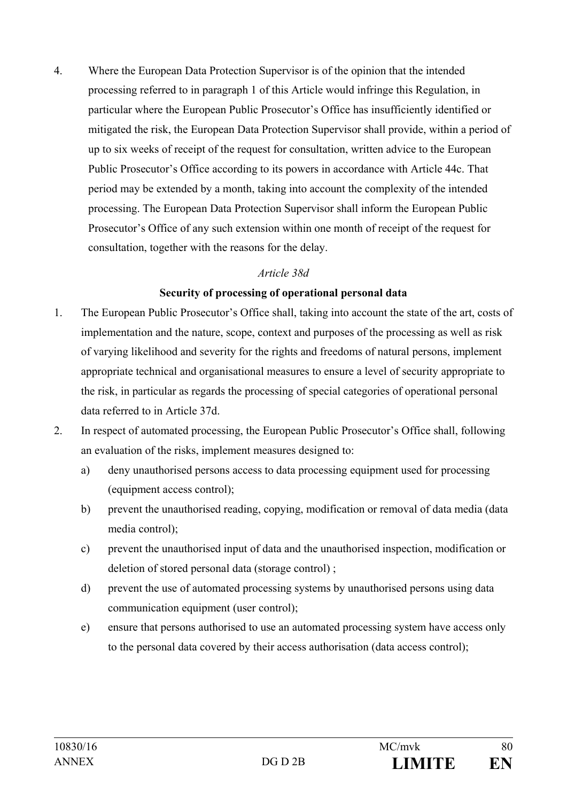4. Where the European Data Protection Supervisor is of the opinion that the intended processing referred to in paragraph 1 of this Article would infringe this Regulation, in particular where the European Public Prosecutor's Office has insufficiently identified or mitigated the risk, the European Data Protection Supervisor shall provide, within a period of up to six weeks of receipt of the request for consultation, written advice to the European Public Prosecutor's Office according to its powers in accordance with Article 44c. That period may be extended by a month, taking into account the complexity of the intended processing. The European Data Protection Supervisor shall inform the European Public Prosecutor's Office of any such extension within one month of receipt of the request for consultation, together with the reasons for the delay.

#### *Article 38d*

#### **Security of processing of operational personal data**

- 1. The European Public Prosecutor's Office shall, taking into account the state of the art, costs of implementation and the nature, scope, context and purposes of the processing as well as risk of varying likelihood and severity for the rights and freedoms of natural persons, implement appropriate technical and organisational measures to ensure a level of security appropriate to the risk, in particular as regards the processing of special categories of operational personal data referred to in Article 37d.
- 2. In respect of automated processing, the European Public Prosecutor's Office shall, following an evaluation of the risks, implement measures designed to:
	- a) deny unauthorised persons access to data processing equipment used for processing (equipment access control);
	- b) prevent the unauthorised reading, copying, modification or removal of data media (data media control);
	- c) prevent the unauthorised input of data and the unauthorised inspection, modification or deletion of stored personal data (storage control) ;
	- d) prevent the use of automated processing systems by unauthorised persons using data communication equipment (user control);
	- e) ensure that persons authorised to use an automated processing system have access only to the personal data covered by their access authorisation (data access control);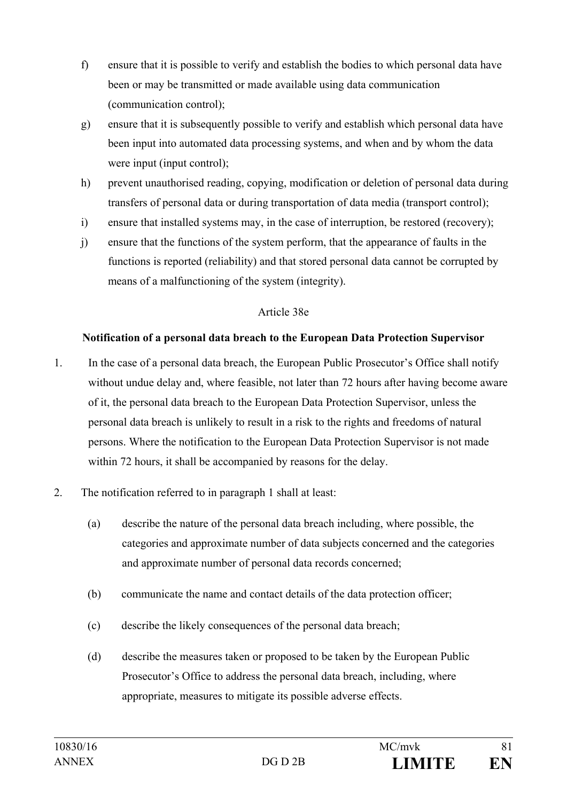- f) ensure that it is possible to verify and establish the bodies to which personal data have been or may be transmitted or made available using data communication (communication control);
- g) ensure that it is subsequently possible to verify and establish which personal data have been input into automated data processing systems, and when and by whom the data were input (input control);
- h) prevent unauthorised reading, copying, modification or deletion of personal data during transfers of personal data or during transportation of data media (transport control);
- i) ensure that installed systems may, in the case of interruption, be restored (recovery);
- j) ensure that the functions of the system perform, that the appearance of faults in the functions is reported (reliability) and that stored personal data cannot be corrupted by means of a malfunctioning of the system (integrity).

# Article 38e

# **Notification of a personal data breach to the European Data Protection Supervisor**

- 1. In the case of a personal data breach, the European Public Prosecutor's Office shall notify without undue delay and, where feasible, not later than 72 hours after having become aware of it, the personal data breach to the European Data Protection Supervisor, unless the personal data breach is unlikely to result in a risk to the rights and freedoms of natural persons. Where the notification to the European Data Protection Supervisor is not made within 72 hours, it shall be accompanied by reasons for the delay.
- 2. The notification referred to in paragraph 1 shall at least:
	- (a) describe the nature of the personal data breach including, where possible, the categories and approximate number of data subjects concerned and the categories and approximate number of personal data records concerned;
	- (b) communicate the name and contact details of the data protection officer;
	- (c) describe the likely consequences of the personal data breach;
	- (d) describe the measures taken or proposed to be taken by the European Public Prosecutor's Office to address the personal data breach, including, where appropriate, measures to mitigate its possible adverse effects.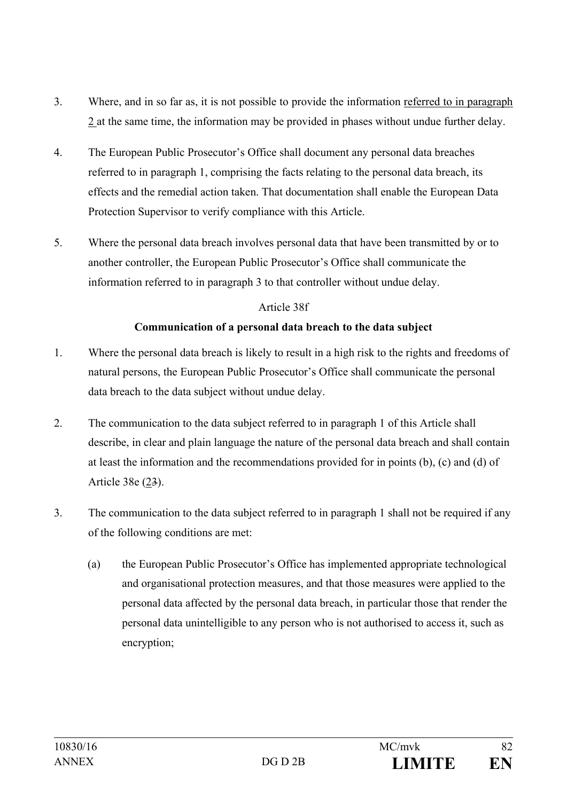- 3. Where, and in so far as, it is not possible to provide the information referred to in paragraph 2 at the same time, the information may be provided in phases without undue further delay.
- 4. The European Public Prosecutor's Office shall document any personal data breaches referred to in paragraph 1, comprising the facts relating to the personal data breach, its effects and the remedial action taken. That documentation shall enable the European Data Protection Supervisor to verify compliance with this Article.
- 5. Where the personal data breach involves personal data that have been transmitted by or to another controller, the European Public Prosecutor's Office shall communicate the information referred to in paragraph 3 to that controller without undue delay.

## Article 38f

# **Communication of a personal data breach to the data subject**

- 1. Where the personal data breach is likely to result in a high risk to the rights and freedoms of natural persons, the European Public Prosecutor's Office shall communicate the personal data breach to the data subject without undue delay.
- 2. The communication to the data subject referred to in paragraph 1 of this Article shall describe, in clear and plain language the nature of the personal data breach and shall contain at least the information and the recommendations provided for in points (b), (c) and (d) of Article 38e (23).
- 3. The communication to the data subject referred to in paragraph 1 shall not be required if any of the following conditions are met:
	- (a) the European Public Prosecutor's Office has implemented appropriate technological and organisational protection measures, and that those measures were applied to the personal data affected by the personal data breach, in particular those that render the personal data unintelligible to any person who is not authorised to access it, such as encryption;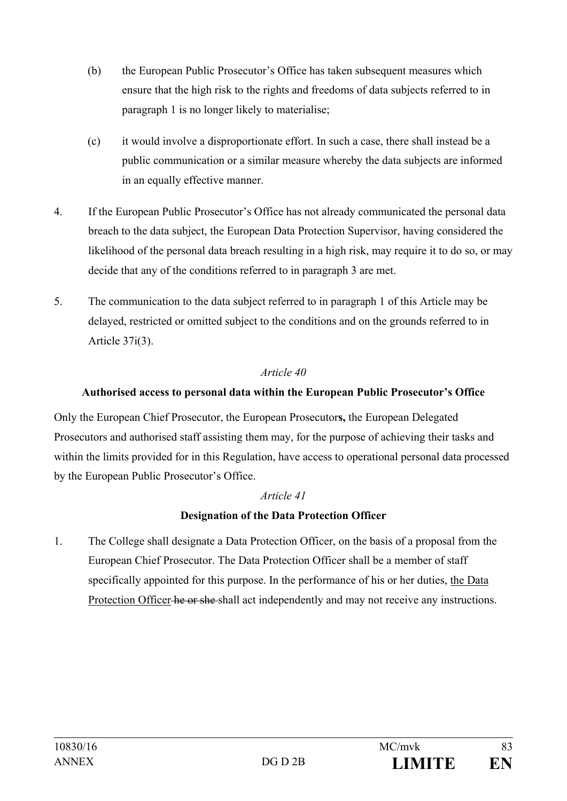- (b) the European Public Prosecutor's Office has taken subsequent measures which ensure that the high risk to the rights and freedoms of data subjects referred to in paragraph 1 is no longer likely to materialise;
- (c) it would involve a disproportionate effort. In such a case, there shall instead be a public communication or a similar measure whereby the data subjects are informed in an equally effective manner.
- 4. If the European Public Prosecutor's Office has not already communicated the personal data breach to the data subject, the European Data Protection Supervisor, having considered the likelihood of the personal data breach resulting in a high risk, may require it to do so, or may decide that any of the conditions referred to in paragraph 3 are met.
- 5. The communication to the data subject referred to in paragraph 1 of this Article may be delayed, restricted or omitted subject to the conditions and on the grounds referred to in Article 37i(3).

# **Authorised access to personal data within the European Public Prosecutor's Office**

Only the European Chief Prosecutor, the European Prosecutor**s,** the European Delegated Prosecutors and authorised staff assisting them may, for the purpose of achieving their tasks and within the limits provided for in this Regulation, have access to operational personal data processed by the European Public Prosecutor's Office.

## *Article 41*

# **Designation of the Data Protection Officer**

1. The College shall designate a Data Protection Officer, on the basis of a proposal from the European Chief Prosecutor. The Data Protection Officer shall be a member of staff specifically appointed for this purpose. In the performance of his or her duties, the Data Protection Officer he or she shall act independently and may not receive any instructions.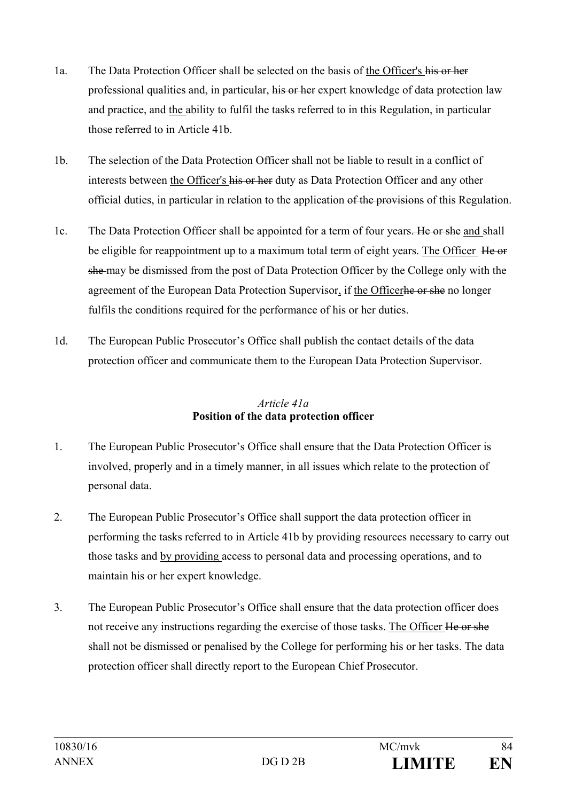- 1a. The Data Protection Officer shall be selected on the basis of the Officer's his or her professional qualities and, in particular, his or her expert knowledge of data protection law and practice, and the ability to fulfil the tasks referred to in this Regulation, in particular those referred to in Article 41b.
- 1b. The selection of the Data Protection Officer shall not be liable to result in a conflict of interests between the Officer's his or her duty as Data Protection Officer and any other official duties, in particular in relation to the application of the provisions of this Regulation.
- 1c. The Data Protection Officer shall be appointed for a term of four years. He or she and shall be eligible for reappointment up to a maximum total term of eight years. The Officer He or she may be dismissed from the post of Data Protection Officer by the College only with the agreement of the European Data Protection Supervisor, if the Officerhe or she no longer fulfils the conditions required for the performance of his or her duties.
- 1d. The European Public Prosecutor's Office shall publish the contact details of the data protection officer and communicate them to the European Data Protection Supervisor.

# *Article 41a*  **Position of the data protection officer**

- 1. The European Public Prosecutor's Office shall ensure that the Data Protection Officer is involved, properly and in a timely manner, in all issues which relate to the protection of personal data.
- 2. The European Public Prosecutor's Office shall support the data protection officer in performing the tasks referred to in Article 41b by providing resources necessary to carry out those tasks and by providing access to personal data and processing operations, and to maintain his or her expert knowledge.
- 3. The European Public Prosecutor's Office shall ensure that the data protection officer does not receive any instructions regarding the exercise of those tasks. The Officer He or she shall not be dismissed or penalised by the College for performing his or her tasks. The data protection officer shall directly report to the European Chief Prosecutor.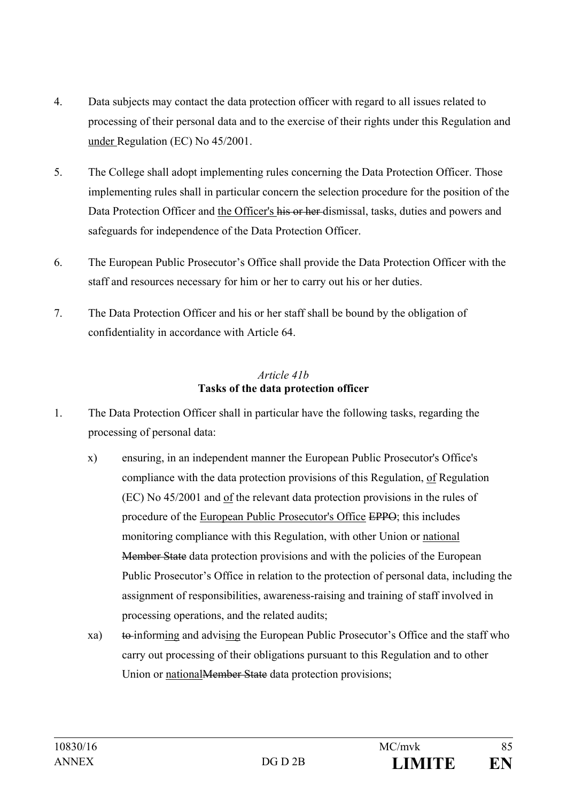- 4. Data subjects may contact the data protection officer with regard to all issues related to processing of their personal data and to the exercise of their rights under this Regulation and under Regulation (EC) No 45/2001.
- 5. The College shall adopt implementing rules concerning the Data Protection Officer. Those implementing rules shall in particular concern the selection procedure for the position of the Data Protection Officer and the Officer's his or her dismissal, tasks, duties and powers and safeguards for independence of the Data Protection Officer.
- 6. The European Public Prosecutor's Office shall provide the Data Protection Officer with the staff and resources necessary for him or her to carry out his or her duties.
- 7. The Data Protection Officer and his or her staff shall be bound by the obligation of confidentiality in accordance with Article 64.

## *Article 41b* **Tasks of the data protection officer**

- 1. The Data Protection Officer shall in particular have the following tasks, regarding the processing of personal data:
	- x) ensuring, in an independent manner the European Public Prosecutor's Office's compliance with the data protection provisions of this Regulation, of Regulation (EC) No 45/2001 and of the relevant data protection provisions in the rules of procedure of the European Public Prosecutor's Office EPPO; this includes monitoring compliance with this Regulation, with other Union or national Member State data protection provisions and with the policies of the European Public Prosecutor's Office in relation to the protection of personal data, including the assignment of responsibilities, awareness-raising and training of staff involved in processing operations, and the related audits;
	- xa) to informing and advising the European Public Prosecutor's Office and the staff who carry out processing of their obligations pursuant to this Regulation and to other Union or national Member State data protection provisions;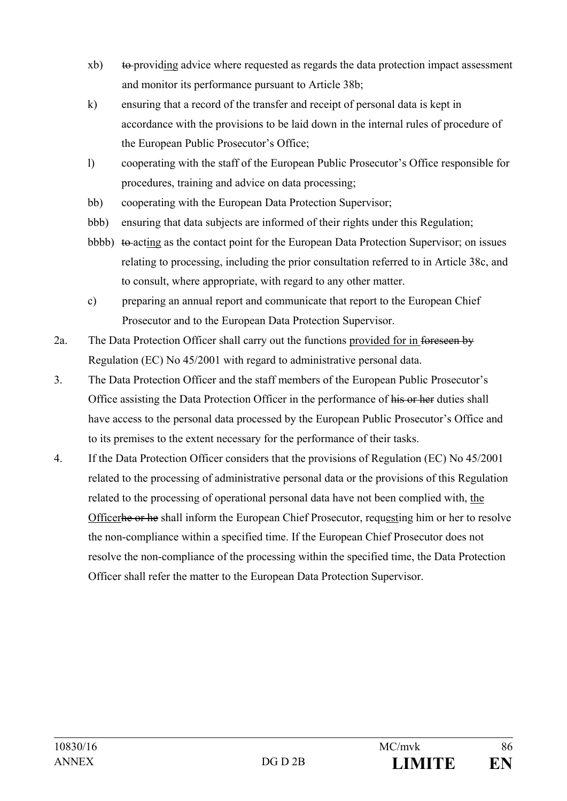- $xb)$  to providing advice where requested as regards the data protection impact assessment and monitor its performance pursuant to Article 38b;
- k) ensuring that a record of the transfer and receipt of personal data is kept in accordance with the provisions to be laid down in the internal rules of procedure of the European Public Prosecutor's Office;
- l) cooperating with the staff of the European Public Prosecutor's Office responsible for procedures, training and advice on data processing;
- bb) cooperating with the European Data Protection Supervisor;
- bbb) ensuring that data subjects are informed of their rights under this Regulation;
- bbbb)  $\theta$  to acting as the contact point for the European Data Protection Supervisor; on issues relating to processing, including the prior consultation referred to in Article 38c, and to consult, where appropriate, with regard to any other matter.
- c) preparing an annual report and communicate that report to the European Chief Prosecutor and to the European Data Protection Supervisor.
- 2a. The Data Protection Officer shall carry out the functions provided for in foreseen by Regulation (EC) No 45/2001 with regard to administrative personal data.
- 3. The Data Protection Officer and the staff members of the European Public Prosecutor's Office assisting the Data Protection Officer in the performance of his or her duties shall have access to the personal data processed by the European Public Prosecutor's Office and to its premises to the extent necessary for the performance of their tasks.
- 4. If the Data Protection Officer considers that the provisions of Regulation (EC) No 45/2001 related to the processing of administrative personal data or the provisions of this Regulation related to the processing of operational personal data have not been complied with, the Officerhe or he shall inform the European Chief Prosecutor, requesting him or her to resolve the non-compliance within a specified time. If the European Chief Prosecutor does not resolve the non-compliance of the processing within the specified time, the Data Protection Officer shall refer the matter to the European Data Protection Supervisor.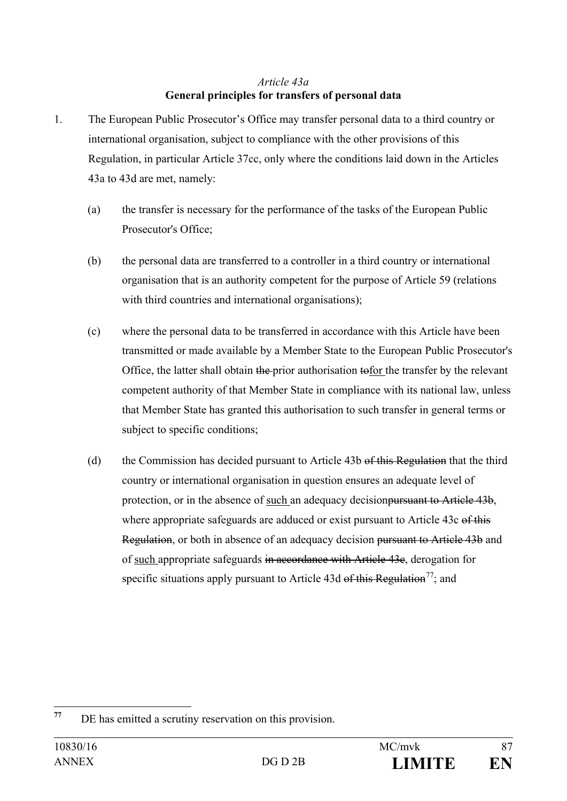# *Article 43a*  **General principles for transfers of personal data**

- 1. The European Public Prosecutor's Office may transfer personal data to a third country or international organisation, subject to compliance with the other provisions of this Regulation, in particular Article 37cc, only where the conditions laid down in the Articles 43a to 43d are met, namely:
	- (a) the transfer is necessary for the performance of the tasks of the European Public Prosecutor's Office;
	- (b) the personal data are transferred to a controller in a third country or international organisation that is an authority competent for the purpose of Article 59 (relations with third countries and international organisations);
	- (c) where the personal data to be transferred in accordance with this Article have been transmitted or made available by a Member State to the European Public Prosecutor's Office, the latter shall obtain the prior authorisation tofor the transfer by the relevant competent authority of that Member State in compliance with its national law, unless that Member State has granted this authorisation to such transfer in general terms or subject to specific conditions;
	- (d) the Commission has decided pursuant to Article 43b of this Regulation that the third country or international organisation in question ensures an adequate level of protection, or in the absence of such an adequacy decisionpursuant to Article 43b, where appropriate safeguards are adduced or exist pursuant to Article 43c of this Regulation, or both in absence of an adequacy decision pursuant to Article 43b and of such appropriate safeguards in accordance with Article 43c, derogation for specific situations apply pursuant to Article 43d of this Regulation<sup>77</sup>; and

<span id="page-86-0"></span>**<sup>77</sup>** DE has emitted a scrutiny reservation on this provision.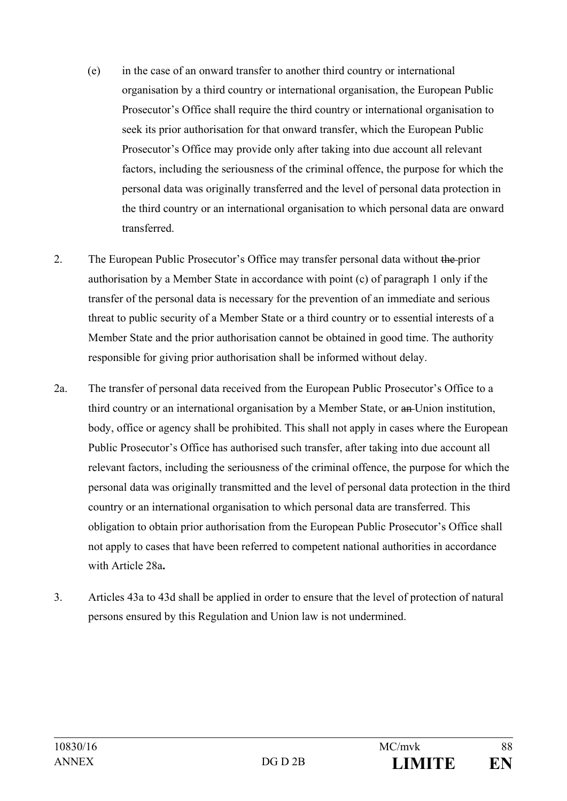- (e) in the case of an onward transfer to another third country or international organisation by a third country or international organisation, the European Public Prosecutor's Office shall require the third country or international organisation to seek its prior authorisation for that onward transfer, which the European Public Prosecutor's Office may provide only after taking into due account all relevant factors, including the seriousness of the criminal offence, the purpose for which the personal data was originally transferred and the level of personal data protection in the third country or an international organisation to which personal data are onward transferred.
- 2. The European Public Prosecutor's Office may transfer personal data without the prior authorisation by a Member State in accordance with point (c) of paragraph 1 only if the transfer of the personal data is necessary for the prevention of an immediate and serious threat to public security of a Member State or a third country or to essential interests of a Member State and the prior authorisation cannot be obtained in good time. The authority responsible for giving prior authorisation shall be informed without delay.
- 2a. The transfer of personal data received from the European Public Prosecutor's Office to a third country or an international organisation by a Member State, or an Union institution, body, office or agency shall be prohibited. This shall not apply in cases where the European Public Prosecutor's Office has authorised such transfer, after taking into due account all relevant factors, including the seriousness of the criminal offence, the purpose for which the personal data was originally transmitted and the level of personal data protection in the third country or an international organisation to which personal data are transferred. This obligation to obtain prior authorisation from the European Public Prosecutor's Office shall not apply to cases that have been referred to competent national authorities in accordance with Article 28a**.**
- 3. Articles 43a to 43d shall be applied in order to ensure that the level of protection of natural persons ensured by this Regulation and Union law is not undermined.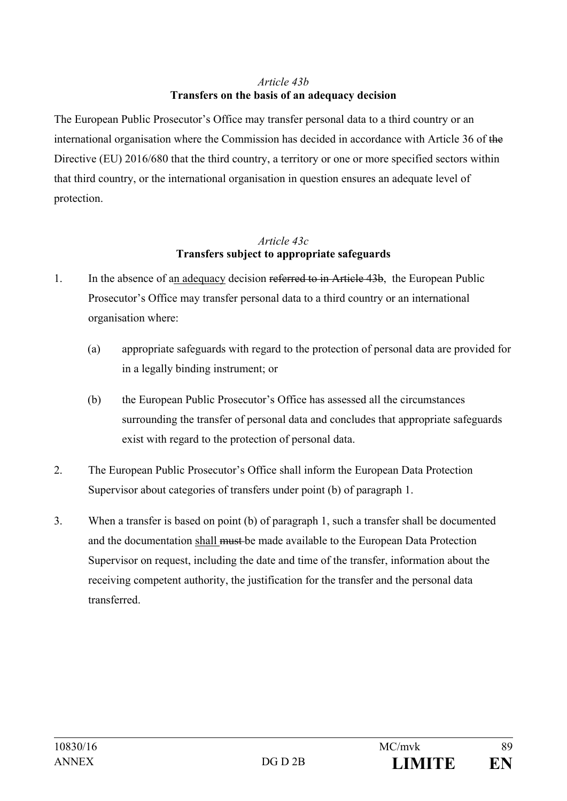# *Article 43b* **Transfers on the basis of an adequacy decision**

The European Public Prosecutor's Office may transfer personal data to a third country or an international organisation where the Commission has decided in accordance with Article 36 of the Directive (EU) 2016/680 that the third country, a territory or one or more specified sectors within that third country, or the international organisation in question ensures an adequate level of protection.

#### *Article 43c*  **Transfers subject to appropriate safeguards**

- 1. In the absence of an adequacy decision referred to in Article 43b, the European Public Prosecutor's Office may transfer personal data to a third country or an international organisation where:
	- (a) appropriate safeguards with regard to the protection of personal data are provided for in a legally binding instrument; or
	- (b) the European Public Prosecutor's Office has assessed all the circumstances surrounding the transfer of personal data and concludes that appropriate safeguards exist with regard to the protection of personal data.
- 2. The European Public Prosecutor's Office shall inform the European Data Protection Supervisor about categories of transfers under point (b) of paragraph 1.
- 3. When a transfer is based on point (b) of paragraph 1, such a transfer shall be documented and the documentation shall must be made available to the European Data Protection Supervisor on request, including the date and time of the transfer, information about the receiving competent authority, the justification for the transfer and the personal data transferred.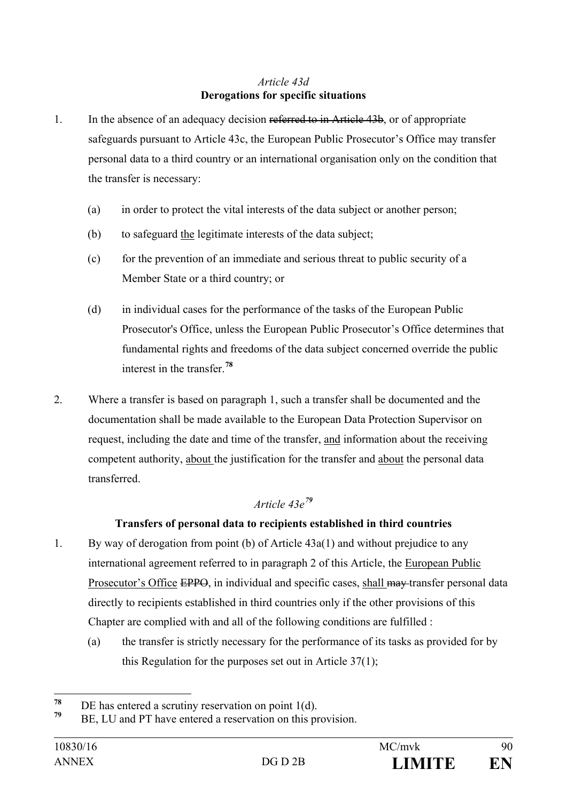# *Article 43d* **Derogations for specific situations**

- 1. In the absence of an adequacy decision referred to in Article 43b, or of appropriate safeguards pursuant to Article 43c, the European Public Prosecutor's Office may transfer personal data to a third country or an international organisation only on the condition that the transfer is necessary:
	- (a) in order to protect the vital interests of the data subject or another person;
	- (b) to safeguard the legitimate interests of the data subject;
	- (c) for the prevention of an immediate and serious threat to public security of a Member State or a third country; or
	- (d) in individual cases for the performance of the tasks of the European Public Prosecutor's Office, unless the European Public Prosecutor's Office determines that fundamental rights and freedoms of the data subject concerned override the public interest in the transfer.**[78](#page-89-0)**
- 2. Where a transfer is based on paragraph 1, such a transfer shall be documented and the documentation shall be made available to the European Data Protection Supervisor on request, including the date and time of the transfer, and information about the receiving competent authority, about the justification for the transfer and about the personal data transferred.

# *Article 43e[79](#page-89-1)*

# **Transfers of personal data to recipients established in third countries**

- 1. By way of derogation from point (b) of Article 43a(1) and without prejudice to any international agreement referred to in paragraph 2 of this Article, the European Public Prosecutor's Office EPPO, in individual and specific cases, shall may transfer personal data directly to recipients established in third countries only if the other provisions of this Chapter are complied with and all of the following conditions are fulfilled :
	- (a) the transfer is strictly necessary for the performance of its tasks as provided for by this Regulation for the purposes set out in Article 37(1);

<span id="page-89-0"></span><sup>&</sup>lt;sup>78</sup> DE has entered a scrutiny reservation on point 1(d).<br> $\frac{79}{72}$  DE LU<sub>1</sub> 1 DE 1

<span id="page-89-1"></span>BE, LU and PT have entered a reservation on this provision.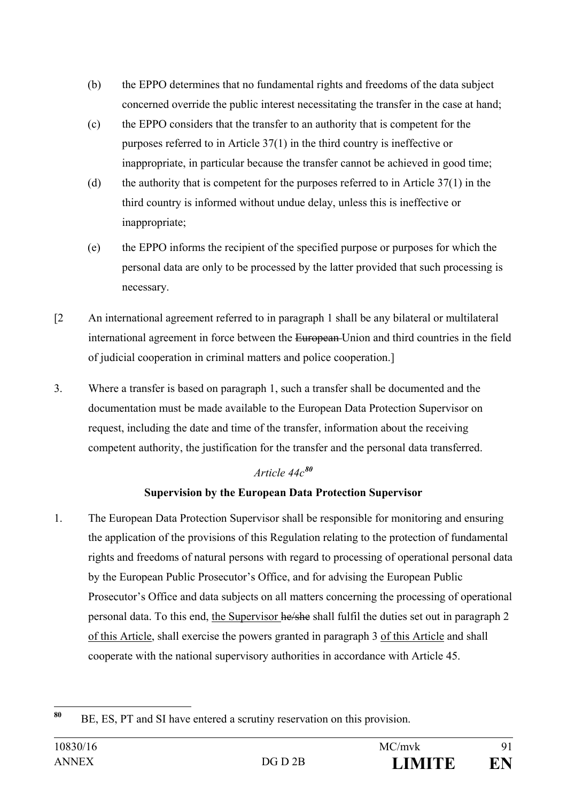- (b) the EPPO determines that no fundamental rights and freedoms of the data subject concerned override the public interest necessitating the transfer in the case at hand;
- (c) the EPPO considers that the transfer to an authority that is competent for the purposes referred to in Article 37(1) in the third country is ineffective or inappropriate, in particular because the transfer cannot be achieved in good time;
- (d) the authority that is competent for the purposes referred to in Article 37(1) in the third country is informed without undue delay, unless this is ineffective or inappropriate;
- (e) the EPPO informs the recipient of the specified purpose or purposes for which the personal data are only to be processed by the latter provided that such processing is necessary.
- [2 An international agreement referred to in paragraph 1 shall be any bilateral or multilateral international agreement in force between the European Union and third countries in the field of judicial cooperation in criminal matters and police cooperation.]
- 3. Where a transfer is based on paragraph 1, such a transfer shall be documented and the documentation must be made available to the European Data Protection Supervisor on request, including the date and time of the transfer, information about the receiving competent authority, the justification for the transfer and the personal data transferred.

# *Article 44c[80](#page-90-0)*

# **Supervision by the European Data Protection Supervisor**

1. The European Data Protection Supervisor shall be responsible for monitoring and ensuring the application of the provisions of this Regulation relating to the protection of fundamental rights and freedoms of natural persons with regard to processing of operational personal data by the European Public Prosecutor's Office, and for advising the European Public Prosecutor's Office and data subjects on all matters concerning the processing of operational personal data. To this end, the Supervisor he/she shall fulfil the duties set out in paragraph 2 of this Article, shall exercise the powers granted in paragraph 3 of this Article and shall cooperate with the national supervisory authorities in accordance with Article 45.

<span id="page-90-0"></span>**<sup>80</sup>** BE, ES, PT and SI have entered a scrutiny reservation on this provision.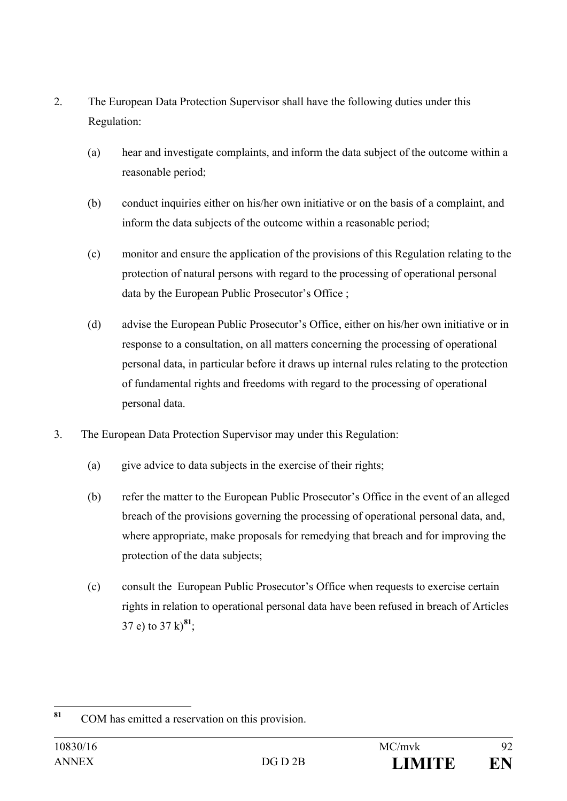- 2. The European Data Protection Supervisor shall have the following duties under this Regulation:
	- (a) hear and investigate complaints, and inform the data subject of the outcome within a reasonable period;
	- (b) conduct inquiries either on his/her own initiative or on the basis of a complaint, and inform the data subjects of the outcome within a reasonable period;
	- (c) monitor and ensure the application of the provisions of this Regulation relating to the protection of natural persons with regard to the processing of operational personal data by the European Public Prosecutor's Office ;
	- (d) advise the European Public Prosecutor's Office, either on his/her own initiative or in response to a consultation, on all matters concerning the processing of operational personal data, in particular before it draws up internal rules relating to the protection of fundamental rights and freedoms with regard to the processing of operational personal data.
- 3. The European Data Protection Supervisor may under this Regulation:
	- (a) give advice to data subjects in the exercise of their rights;
	- (b) refer the matter to the European Public Prosecutor's Office in the event of an alleged breach of the provisions governing the processing of operational personal data, and, where appropriate, make proposals for remedying that breach and for improving the protection of the data subjects;
	- (c) consult the European Public Prosecutor's Office when requests to exercise certain rights in relation to operational personal data have been refused in breach of Articles 37 e) to  $37 \text{ k})^{81}$  $37 \text{ k})^{81}$  $37 \text{ k})^{81}$ ;

<span id="page-91-0"></span>**<sup>81</sup>** COM has emitted a reservation on this provision.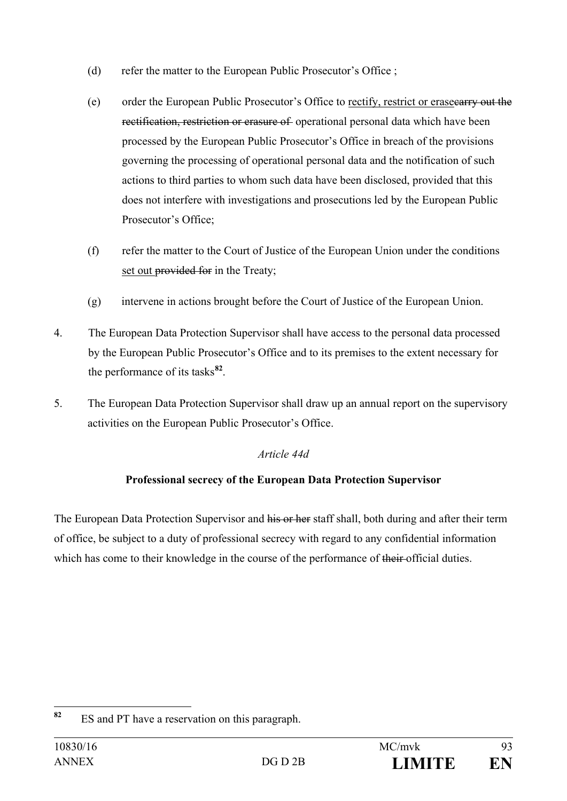- (d) refer the matter to the European Public Prosecutor's Office ;
- (e) order the European Public Prosecutor's Office to rectify, restrict or erasecarry out the rectification, restriction or erasure of operational personal data which have been processed by the European Public Prosecutor's Office in breach of the provisions governing the processing of operational personal data and the notification of such actions to third parties to whom such data have been disclosed, provided that this does not interfere with investigations and prosecutions led by the European Public Prosecutor's Office;
- (f) refer the matter to the Court of Justice of the European Union under the conditions set out provided for in the Treaty;
- (g) intervene in actions brought before the Court of Justice of the European Union.
- 4. The European Data Protection Supervisor shall have access to the personal data processed by the European Public Prosecutor's Office and to its premises to the extent necessary for the performance of its tasks**[82](#page-92-0)**.
- 5. The European Data Protection Supervisor shall draw up an annual report on the supervisory activities on the European Public Prosecutor's Office.

# *Article 44d*

# **Professional secrecy of the European Data Protection Supervisor**

The European Data Protection Supervisor and his or her staff shall, both during and after their term of office, be subject to a duty of professional secrecy with regard to any confidential information which has come to their knowledge in the course of the performance of their official duties.

<span id="page-92-0"></span>**<sup>82</sup>** ES and PT have a reservation on this paragraph.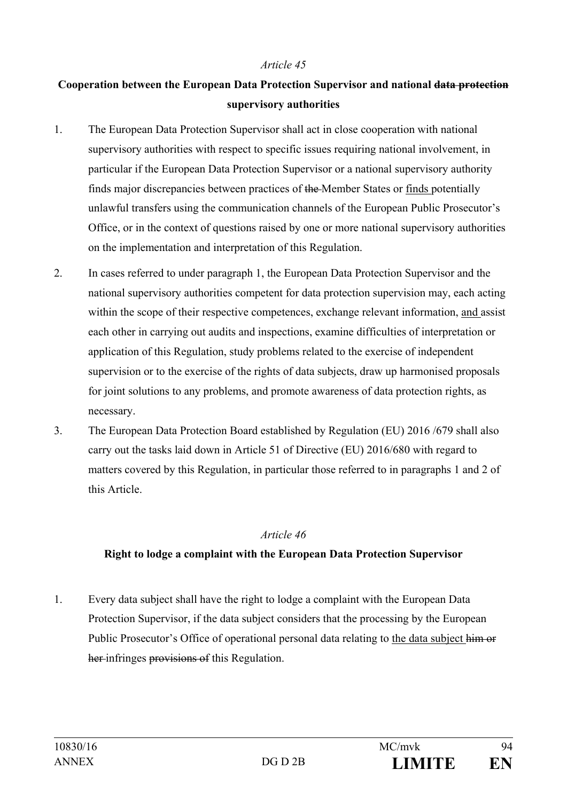# **Cooperation between the European Data Protection Supervisor and national data protection supervisory authorities**

- 1. The European Data Protection Supervisor shall act in close cooperation with national supervisory authorities with respect to specific issues requiring national involvement, in particular if the European Data Protection Supervisor or a national supervisory authority finds major discrepancies between practices of the Member States or finds potentially unlawful transfers using the communication channels of the European Public Prosecutor's Office, or in the context of questions raised by one or more national supervisory authorities on the implementation and interpretation of this Regulation.
- 2. In cases referred to under paragraph 1, the European Data Protection Supervisor and the national supervisory authorities competent for data protection supervision may, each acting within the scope of their respective competences, exchange relevant information, and assist each other in carrying out audits and inspections, examine difficulties of interpretation or application of this Regulation, study problems related to the exercise of independent supervision or to the exercise of the rights of data subjects, draw up harmonised proposals for joint solutions to any problems, and promote awareness of data protection rights, as necessary.
- 3. The European Data Protection Board established by Regulation (EU) 2016 /679 shall also carry out the tasks laid down in Article 51 of Directive (EU) 2016/680 with regard to matters covered by this Regulation, in particular those referred to in paragraphs 1 and 2 of this Article.

#### *Article 46*

## **Right to lodge a complaint with the European Data Protection Supervisor**

1. Every data subject shall have the right to lodge a complaint with the European Data Protection Supervisor, if the data subject considers that the processing by the European Public Prosecutor's Office of operational personal data relating to the data subject him or her infringes provisions of this Regulation.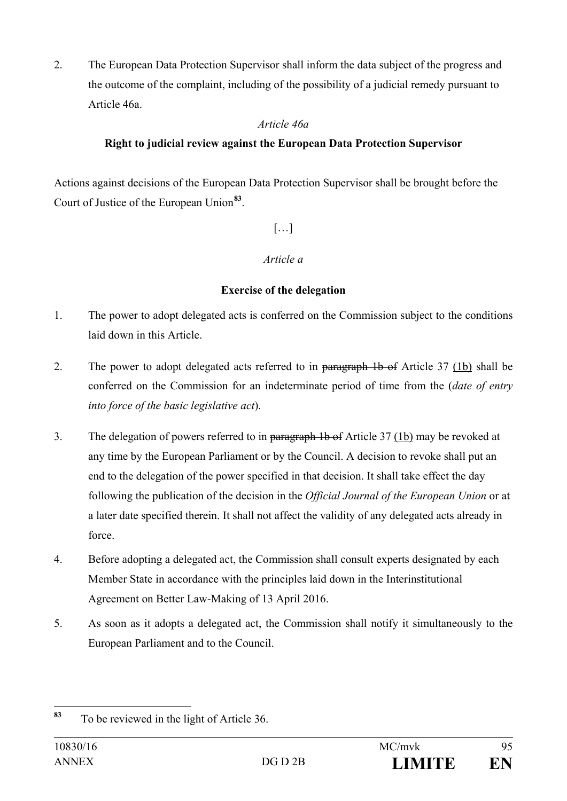2. The European Data Protection Supervisor shall inform the data subject of the progress and the outcome of the complaint, including of the possibility of a judicial remedy pursuant to Article 46a.

# *Article 46a*

# **Right to judicial review against the European Data Protection Supervisor**

Actions against decisions of the European Data Protection Supervisor shall be brought before the Court of Justice of the European Union**[83](#page-94-0)**.

# […]

# *Article a*

# **Exercise of the delegation**

- 1. The power to adopt delegated acts is conferred on the Commission subject to the conditions laid down in this Article.
- 2. The power to adopt delegated acts referred to in paragraph 1b of Article 37 (1b) shall be conferred on the Commission for an indeterminate period of time from the (*date of entry into force of the basic legislative act*).
- 3. The delegation of powers referred to in paragraph 1b of Article 37 (1b) may be revoked at any time by the European Parliament or by the Council. A decision to revoke shall put an end to the delegation of the power specified in that decision. It shall take effect the day following the publication of the decision in the *Official Journal of the European Union* or at a later date specified therein. It shall not affect the validity of any delegated acts already in force.
- 4. Before adopting a delegated act, the Commission shall consult experts designated by each Member State in accordance with the principles laid down in the Interinstitutional Agreement on Better Law-Making of 13 April 2016.
- 5. As soon as it adopts a delegated act, the Commission shall notify it simultaneously to the European Parliament and to the Council.

<span id="page-94-0"></span>**<sup>83</sup>** To be reviewed in the light of Article 36.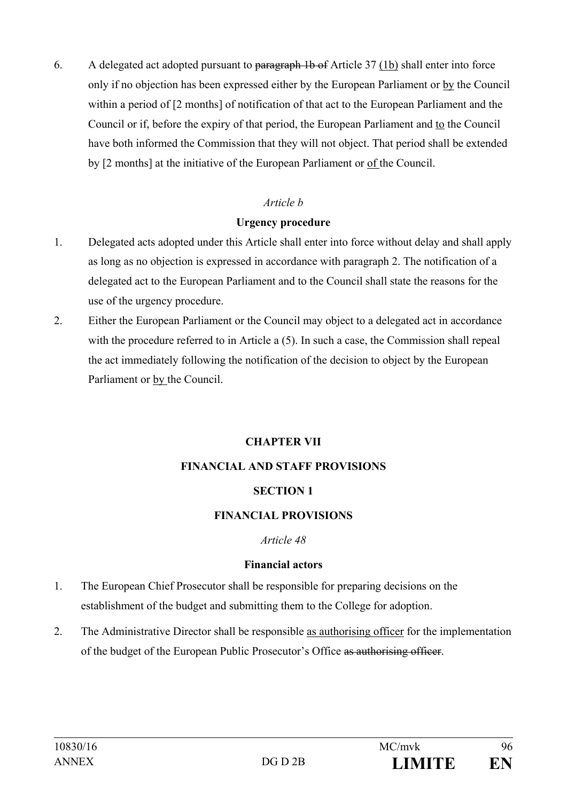6. A delegated act adopted pursuant to paragraph 1b of Article 37 (1b) shall enter into force only if no objection has been expressed either by the European Parliament or by the Council within a period of [2 months] of notification of that act to the European Parliament and the Council or if, before the expiry of that period, the European Parliament and to the Council have both informed the Commission that they will not object. That period shall be extended by [2 months] at the initiative of the European Parliament or of the Council.

## *Article b*

## **Urgency procedure**

- 1. Delegated acts adopted under this Article shall enter into force without delay and shall apply as long as no objection is expressed in accordance with paragraph 2. The notification of a delegated act to the European Parliament and to the Council shall state the reasons for the use of the urgency procedure.
- 2. Either the European Parliament or the Council may object to a delegated act in accordance with the procedure referred to in Article a  $(5)$ . In such a case, the Commission shall repeal the act immediately following the notification of the decision to object by the European Parliament or by the Council.

## **CHAPTER VII**

## **FINANCIAL AND STAFF PROVISIONS**

## **SECTION 1**

## **FINANCIAL PROVISIONS**

#### *Article 48*

## **Financial actors**

- 1. The European Chief Prosecutor shall be responsible for preparing decisions on the establishment of the budget and submitting them to the College for adoption.
- 2. The Administrative Director shall be responsible as authorising officer for the implementation of the budget of the European Public Prosecutor's Office as authorising officer.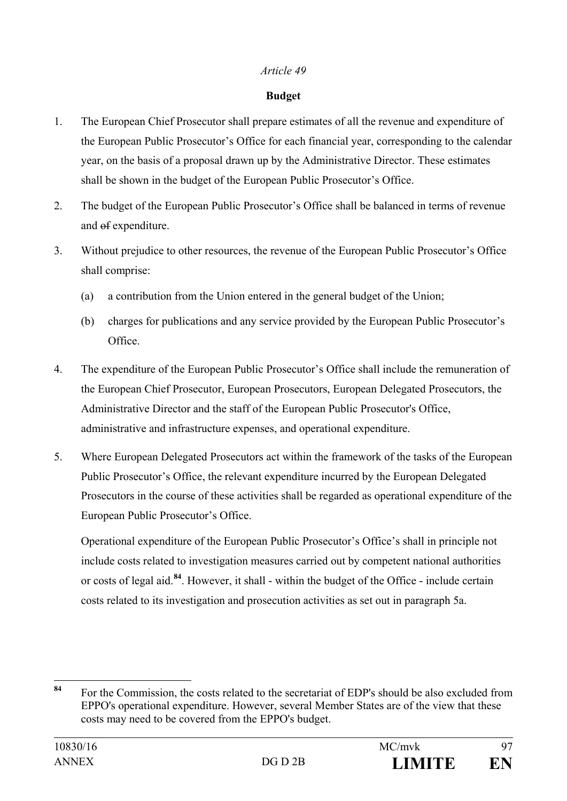#### **Budget**

- 1. The European Chief Prosecutor shall prepare estimates of all the revenue and expenditure of the European Public Prosecutor's Office for each financial year, corresponding to the calendar year, on the basis of a proposal drawn up by the Administrative Director. These estimates shall be shown in the budget of the European Public Prosecutor's Office.
- 2. The budget of the European Public Prosecutor's Office shall be balanced in terms of revenue and of expenditure.
- 3. Without prejudice to other resources, the revenue of the European Public Prosecutor's Office shall comprise:
	- (a) a contribution from the Union entered in the general budget of the Union;
	- (b) charges for publications and any service provided by the European Public Prosecutor's Office.
- 4. The expenditure of the European Public Prosecutor's Office shall include the remuneration of the European Chief Prosecutor, European Prosecutors, European Delegated Prosecutors, the Administrative Director and the staff of the European Public Prosecutor's Office, administrative and infrastructure expenses, and operational expenditure.
- 5. Where European Delegated Prosecutors act within the framework of the tasks of the European Public Prosecutor's Office, the relevant expenditure incurred by the European Delegated Prosecutors in the course of these activities shall be regarded as operational expenditure of the European Public Prosecutor's Office.

Operational expenditure of the European Public Prosecutor's Office's shall in principle not include costs related to investigation measures carried out by competent national authorities or costs of legal aid.**[84](#page-96-0)**. However, it shall - within the budget of the Office - include certain costs related to its investigation and prosecution activities as set out in paragraph 5a.

<span id="page-96-0"></span>**<sup>84</sup>** For the Commission, the costs related to the secretariat of EDP's should be also excluded from EPPO's operational expenditure. However, several Member States are of the view that these costs may need to be covered from the EPPO's budget.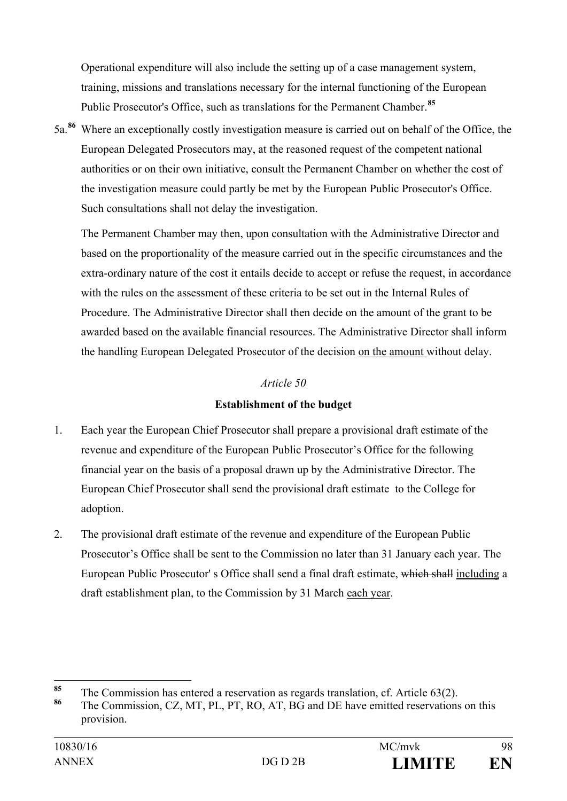Operational expenditure will also include the setting up of a case management system, training, missions and translations necessary for the internal functioning of the European Public Prosecutor's Office, such as translations for the Permanent Chamber.**[85](#page-97-0)**

5a.**[86](#page-97-1)** Where an exceptionally costly investigation measure is carried out on behalf of the Office, the European Delegated Prosecutors may, at the reasoned request of the competent national authorities or on their own initiative, consult the Permanent Chamber on whether the cost of the investigation measure could partly be met by the European Public Prosecutor's Office. Such consultations shall not delay the investigation.

The Permanent Chamber may then, upon consultation with the Administrative Director and based on the proportionality of the measure carried out in the specific circumstances and the extra-ordinary nature of the cost it entails decide to accept or refuse the request, in accordance with the rules on the assessment of these criteria to be set out in the Internal Rules of Procedure. The Administrative Director shall then decide on the amount of the grant to be awarded based on the available financial resources. The Administrative Director shall inform the handling European Delegated Prosecutor of the decision on the amount without delay.

## *Article 50*

# **Establishment of the budget**

- 1. Each year the European Chief Prosecutor shall prepare a provisional draft estimate of the revenue and expenditure of the European Public Prosecutor's Office for the following financial year on the basis of a proposal drawn up by the Administrative Director. The European Chief Prosecutor shall send the provisional draft estimate to the College for adoption.
- 2. The provisional draft estimate of the revenue and expenditure of the European Public Prosecutor's Office shall be sent to the Commission no later than 31 January each year. The European Public Prosecutor' s Office shall send a final draft estimate, which shall including a draft establishment plan, to the Commission by 31 March each year.

<span id="page-97-0"></span><sup>&</sup>lt;sup>85</sup> The Commission has entered a reservation as regards translation, cf. Article 63(2).

<span id="page-97-1"></span>**<sup>86</sup>** The Commission, CZ, MT, PL, PT, RO, AT, BG and DE have emitted reservations on this provision.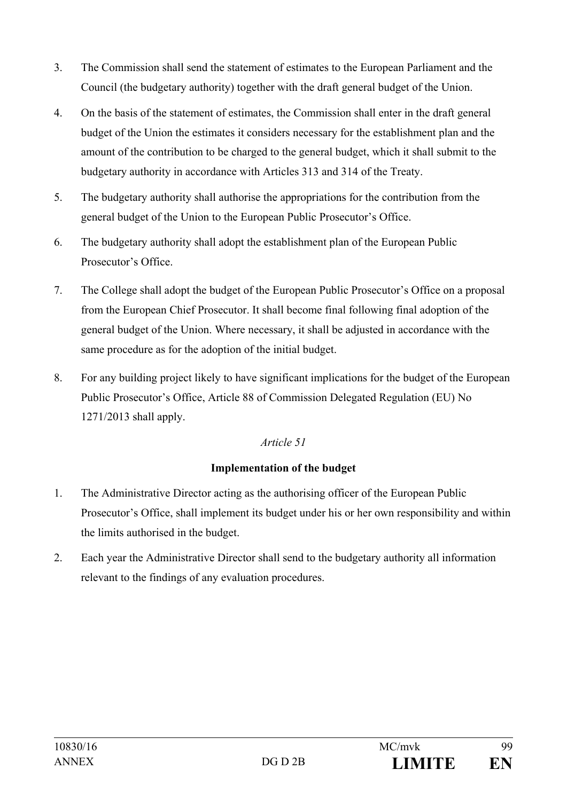- 3. The Commission shall send the statement of estimates to the European Parliament and the Council (the budgetary authority) together with the draft general budget of the Union.
- 4. On the basis of the statement of estimates, the Commission shall enter in the draft general budget of the Union the estimates it considers necessary for the establishment plan and the amount of the contribution to be charged to the general budget, which it shall submit to the budgetary authority in accordance with Articles 313 and 314 of the Treaty.
- 5. The budgetary authority shall authorise the appropriations for the contribution from the general budget of the Union to the European Public Prosecutor's Office.
- 6. The budgetary authority shall adopt the establishment plan of the European Public Prosecutor's Office.
- 7. The College shall adopt the budget of the European Public Prosecutor's Office on a proposal from the European Chief Prosecutor. It shall become final following final adoption of the general budget of the Union. Where necessary, it shall be adjusted in accordance with the same procedure as for the adoption of the initial budget.
- 8. For any building project likely to have significant implications for the budget of the European Public Prosecutor's Office, Article 88 of Commission Delegated Regulation (EU) No 1271/2013 shall apply.

# **Implementation of the budget**

- 1. The Administrative Director acting as the authorising officer of the European Public Prosecutor's Office, shall implement its budget under his or her own responsibility and within the limits authorised in the budget.
- 2. Each year the Administrative Director shall send to the budgetary authority all information relevant to the findings of any evaluation procedures.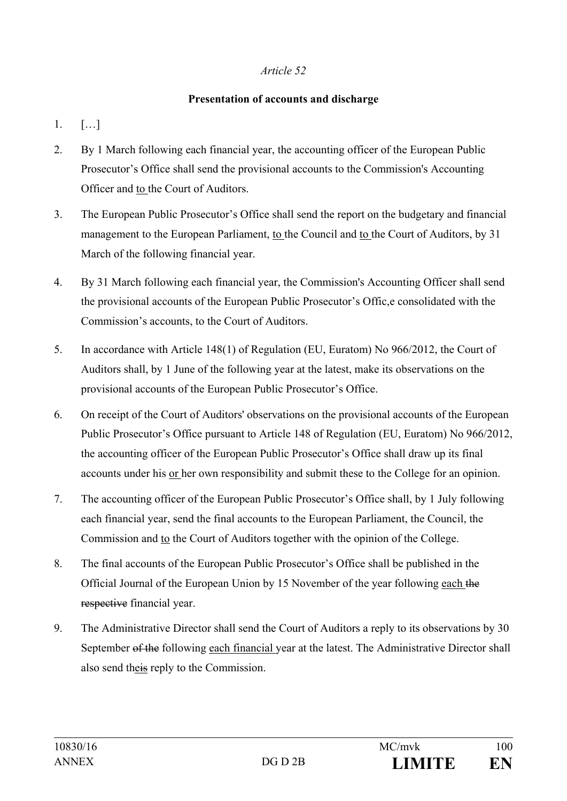#### **Presentation of accounts and discharge**

- 1. […]
- 2. By 1 March following each financial year, the accounting officer of the European Public Prosecutor's Office shall send the provisional accounts to the Commission's Accounting Officer and to the Court of Auditors.
- 3. The European Public Prosecutor's Office shall send the report on the budgetary and financial management to the European Parliament, to the Council and to the Court of Auditors, by 31 March of the following financial year.
- 4. By 31 March following each financial year, the Commission's Accounting Officer shall send the provisional accounts of the European Public Prosecutor's Offic,e consolidated with the Commission's accounts, to the Court of Auditors.
- 5. In accordance with Article 148(1) of Regulation (EU, Euratom) No 966/2012, the Court of Auditors shall, by 1 June of the following year at the latest, make its observations on the provisional accounts of the European Public Prosecutor's Office.
- 6. On receipt of the Court of Auditors' observations on the provisional accounts of the European Public Prosecutor's Office pursuant to Article 148 of Regulation (EU, Euratom) No 966/2012, the accounting officer of the European Public Prosecutor's Office shall draw up its final accounts under his or her own responsibility and submit these to the College for an opinion.
- 7. The accounting officer of the European Public Prosecutor's Office shall, by 1 July following each financial year, send the final accounts to the European Parliament, the Council, the Commission and to the Court of Auditors together with the opinion of the College.
- 8. The final accounts of the European Public Prosecutor's Office shall be published in the Official Journal of the European Union by 15 November of the year following each the respective financial year.
- 9. The Administrative Director shall send the Court of Auditors a reply to its observations by 30 September of the following each financial year at the latest. The Administrative Director shall also send theis reply to the Commission.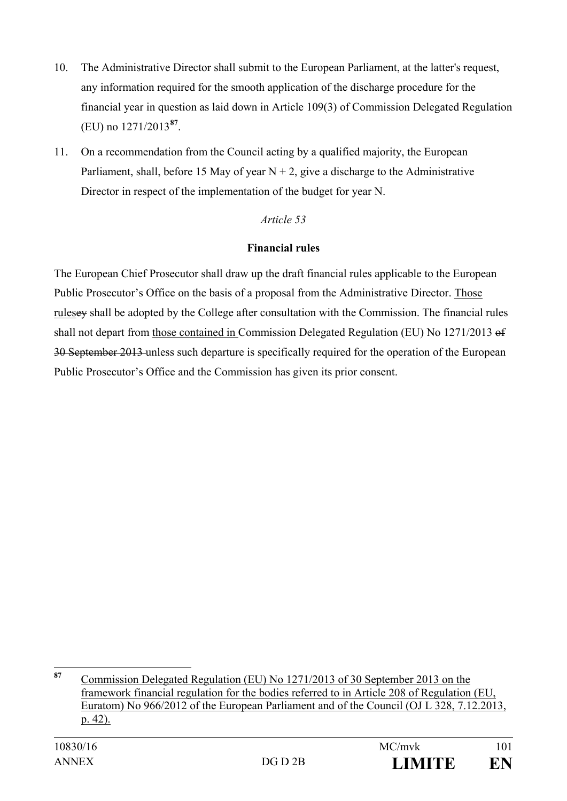- 10. The Administrative Director shall submit to the European Parliament, at the latter's request, any information required for the smooth application of the discharge procedure for the financial year in question as laid down in Article 109(3) of Commission Delegated Regulation (EU) no 1271/2013**[87](#page-100-0)**.
- 11. On a recommendation from the Council acting by a qualified majority, the European Parliament, shall, before 15 May of year  $N + 2$ , give a discharge to the Administrative Director in respect of the implementation of the budget for year N.

#### **Financial rules**

The European Chief Prosecutor shall draw up the draft financial rules applicable to the European Public Prosecutor's Office on the basis of a proposal from the Administrative Director. Those rulesey shall be adopted by the College after consultation with the Commission. The financial rules shall not depart from those contained in Commission Delegated Regulation (EU) No 1271/2013 of 30 September 2013 unless such departure is specifically required for the operation of the European Public Prosecutor's Office and the Commission has given its prior consent.

<span id="page-100-0"></span>**<sup>87</sup>** Commission Delegated Regulation (EU) No 1271/2013 of 30 September 2013 on the framework financial regulation for the bodies referred to in Article 208 of Regulation (EU, Euratom) No 966/2012 of the European Parliament and of the Council (OJ L 328, 7.12.2013, p. 42).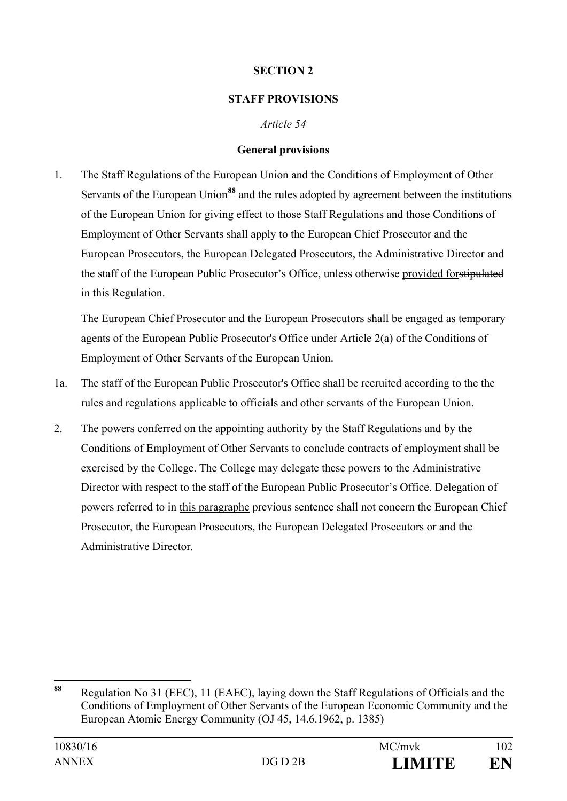## **SECTION 2**

# **STAFF PROVISIONS**

# *Article 54*

## **General provisions**

1. The Staff Regulations of the European Union and the Conditions of Employment of Other Servants of the European Union**[88](#page-101-0)** and the rules adopted by agreement between the institutions of the European Union for giving effect to those Staff Regulations and those Conditions of Employment of Other Servants shall apply to the European Chief Prosecutor and the European Prosecutors, the European Delegated Prosecutors, the Administrative Director and the staff of the European Public Prosecutor's Office, unless otherwise provided forstipulated in this Regulation.

The European Chief Prosecutor and the European Prosecutors shall be engaged as temporary agents of the European Public Prosecutor's Office under Article 2(a) of the Conditions of Employment of Other Servants of the European Union.

- 1a. The staff of the European Public Prosecutor's Office shall be recruited according to the the rules and regulations applicable to officials and other servants of the European Union.
- 2. The powers conferred on the appointing authority by the Staff Regulations and by the Conditions of Employment of Other Servants to conclude contracts of employment shall be exercised by the College. The College may delegate these powers to the Administrative Director with respect to the staff of the European Public Prosecutor's Office. Delegation of powers referred to in this paragraphe previous sentence shall not concern the European Chief Prosecutor, the European Prosecutors, the European Delegated Prosecutors or and the Administrative Director.

<span id="page-101-0"></span>**<sup>88</sup>** Regulation No 31 (EEC), 11 (EAEC), laying down the Staff Regulations of Officials and the Conditions of Employment of Other Servants of the European Economic Community and the European Atomic Energy Community (OJ 45, 14.6.1962, p. 1385)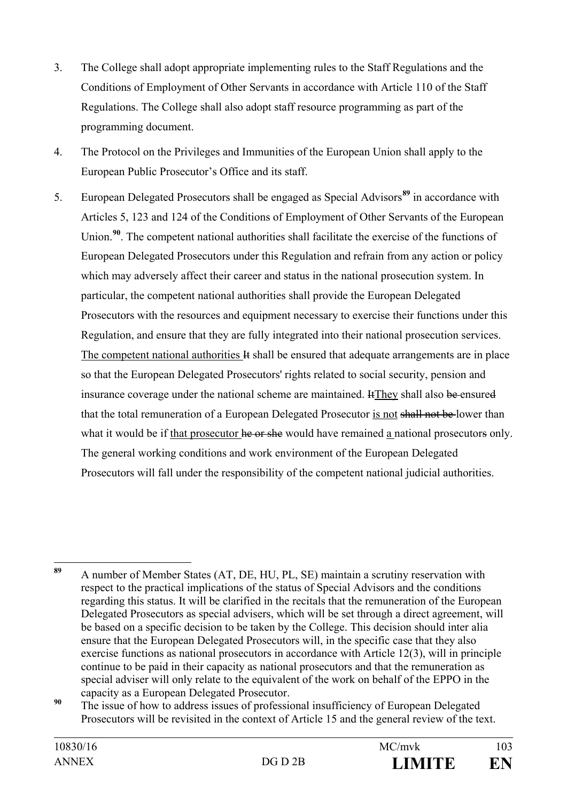- 3. The College shall adopt appropriate implementing rules to the Staff Regulations and the Conditions of Employment of Other Servants in accordance with Article 110 of the Staff Regulations. The College shall also adopt staff resource programming as part of the programming document.
- 4. The Protocol on the Privileges and Immunities of the European Union shall apply to the European Public Prosecutor's Office and its staff.
- 5. European Delegated Prosecutors shall be engaged as Special Advisors**[89](#page-102-0)** in accordance with Articles 5, 123 and 124 of the Conditions of Employment of Other Servants of the European Union.<sup>[90](#page-102-1)</sup>. The competent national authorities shall facilitate the exercise of the functions of European Delegated Prosecutors under this Regulation and refrain from any action or policy which may adversely affect their career and status in the national prosecution system. In particular, the competent national authorities shall provide the European Delegated Prosecutors with the resources and equipment necessary to exercise their functions under this Regulation, and ensure that they are fully integrated into their national prosecution services. The competent national authorities  $\bf{H}$  shall be ensured that adequate arrangements are in place so that the European Delegated Prosecutors' rights related to social security, pension and insurance coverage under the national scheme are maintained. Henry shall also be ensured that the total remuneration of a European Delegated Prosecutor is not shall not be lower than what it would be if that prosecutor he or she would have remained a national prosecutors only. The general working conditions and work environment of the European Delegated Prosecutors will fall under the responsibility of the competent national judicial authorities.

<span id="page-102-0"></span>**<sup>89</sup>** A number of Member States (AT, DE, HU, PL, SE) maintain a scrutiny reservation with respect to the practical implications of the status of Special Advisors and the conditions regarding this status. It will be clarified in the recitals that the remuneration of the European Delegated Prosecutors as special advisers, which will be set through a direct agreement, will be based on a specific decision to be taken by the College. This decision should inter alia ensure that the European Delegated Prosecutors will, in the specific case that they also exercise functions as national prosecutors in accordance with Article 12(3), will in principle continue to be paid in their capacity as national prosecutors and that the remuneration as special adviser will only relate to the equivalent of the work on behalf of the EPPO in the capacity as a European Delegated Prosecutor.

<span id="page-102-1"></span><sup>&</sup>lt;sup>90</sup> The issue of how to address issues of professional insufficiency of European Delegated Prosecutors will be revisited in the context of Article 15 and the general review of the text.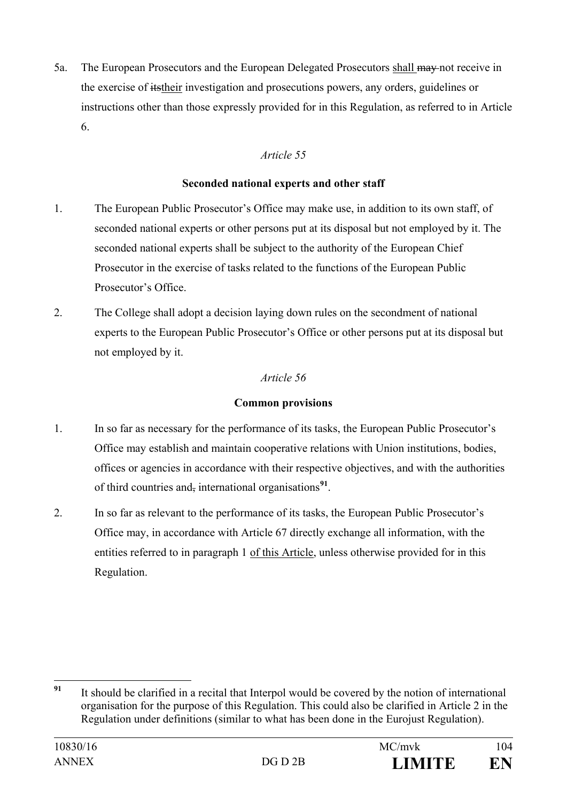5a. The European Prosecutors and the European Delegated Prosecutors shall may not receive in the exercise of itstheir investigation and prosecutions powers, any orders, guidelines or instructions other than those expressly provided for in this Regulation, as referred to in Article 6.

# *Article 55*

#### **Seconded national experts and other staff**

- 1. The European Public Prosecutor's Office may make use, in addition to its own staff, of seconded national experts or other persons put at its disposal but not employed by it. The seconded national experts shall be subject to the authority of the European Chief Prosecutor in the exercise of tasks related to the functions of the European Public Prosecutor's Office.
- 2. The College shall adopt a decision laying down rules on the secondment of national experts to the European Public Prosecutor's Office or other persons put at its disposal but not employed by it.

# *Article 56*

## **Common provisions**

- 1. In so far as necessary for the performance of its tasks, the European Public Prosecutor's Office may establish and maintain cooperative relations with Union institutions, bodies, offices or agencies in accordance with their respective objectives, and with the authorities of third countries and, international organisations**[91](#page-103-0)**.
- 2. In so far as relevant to the performance of its tasks, the European Public Prosecutor's Office may, in accordance with Article 67 directly exchange all information, with the entities referred to in paragraph 1 of this Article, unless otherwise provided for in this Regulation.

<span id="page-103-0"></span>**<sup>91</sup>** It should be clarified in a recital that Interpol would be covered by the notion of international organisation for the purpose of this Regulation. This could also be clarified in Article 2 in the Regulation under definitions (similar to what has been done in the Eurojust Regulation).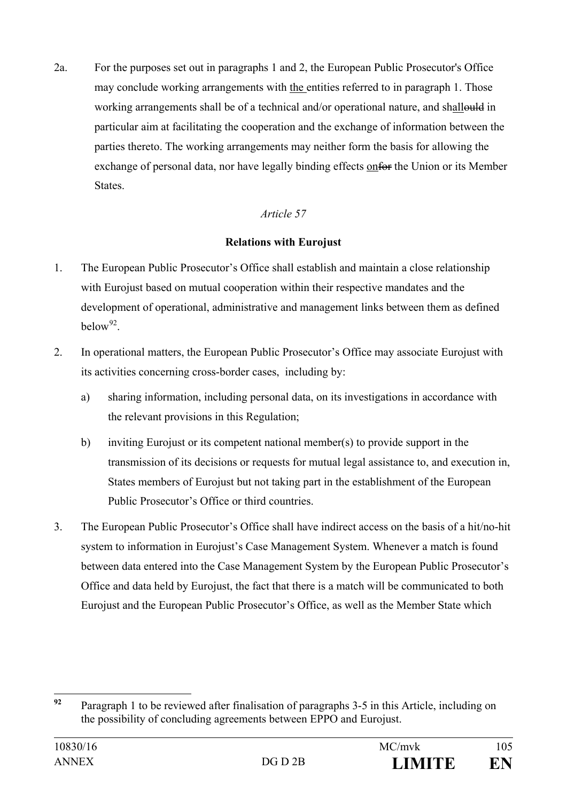2a. For the purposes set out in paragraphs 1 and 2, the European Public Prosecutor's Office may conclude working arrangements with the entities referred to in paragraph 1. Those working arrangements shall be of a technical and/or operational nature, and shallould in particular aim at facilitating the cooperation and the exchange of information between the parties thereto. The working arrangements may neither form the basis for allowing the exchange of personal data, nor have legally binding effects onfor the Union or its Member States.

# *Article 57*

## **Relations with Eurojust**

- 1. The European Public Prosecutor's Office shall establish and maintain a close relationship with Eurojust based on mutual cooperation within their respective mandates and the development of operational, administrative and management links between them as defined  $helow<sup>92</sup>$
- 2. In operational matters, the European Public Prosecutor's Office may associate Eurojust with its activities concerning cross-border cases, including by:
	- a) sharing information, including personal data, on its investigations in accordance with the relevant provisions in this Regulation;
	- b) inviting Eurojust or its competent national member(s) to provide support in the transmission of its decisions or requests for mutual legal assistance to, and execution in, States members of Eurojust but not taking part in the establishment of the European Public Prosecutor's Office or third countries.
- 3. The European Public Prosecutor's Office shall have indirect access on the basis of a hit/no-hit system to information in Eurojust's Case Management System. Whenever a match is found between data entered into the Case Management System by the European Public Prosecutor's Office and data held by Eurojust, the fact that there is a match will be communicated to both Eurojust and the European Public Prosecutor's Office, as well as the Member State which

<span id="page-104-0"></span>**<sup>92</sup>** Paragraph 1 to be reviewed after finalisation of paragraphs 3-5 in this Article, including on the possibility of concluding agreements between EPPO and Eurojust.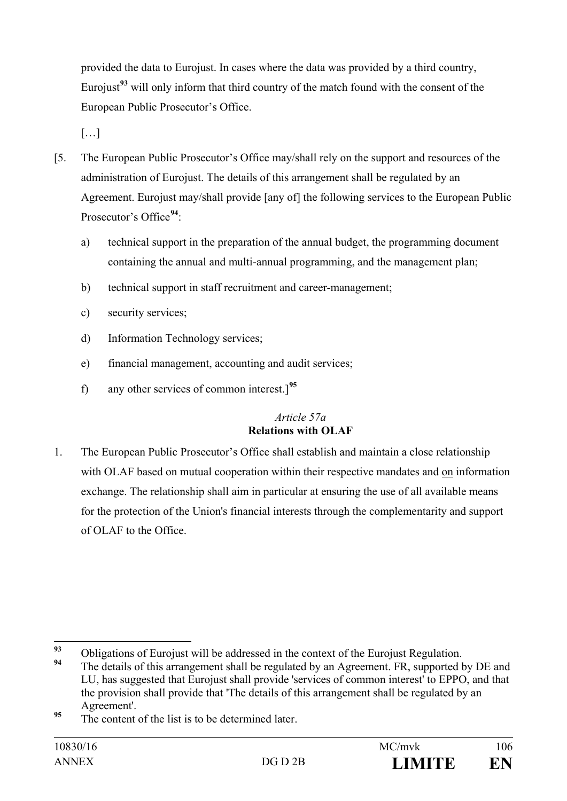provided the data to Eurojust. In cases where the data was provided by a third country, Eurojust**[93](#page-105-0)** will only inform that third country of the match found with the consent of the European Public Prosecutor's Office.

 $[...]$ 

- [5. The European Public Prosecutor's Office may/shall rely on the support and resources of the administration of Eurojust. The details of this arrangement shall be regulated by an Agreement. Eurojust may/shall provide [any of] the following services to the European Public Prosecutor's Office**[94](#page-105-1)**:
	- a) technical support in the preparation of the annual budget, the programming document containing the annual and multi-annual programming, and the management plan;
	- b) technical support in staff recruitment and career-management;
	- c) security services;
	- d) Information Technology services;
	- e) financial management, accounting and audit services;
	- f) any other services of common interest.]**[95](#page-105-2)**

# *Article 57a* **Relations with OLAF**

1. The European Public Prosecutor's Office shall establish and maintain a close relationship with OLAF based on mutual cooperation within their respective mandates and on information exchange. The relationship shall aim in particular at ensuring the use of all available means for the protection of the Union's financial interests through the complementarity and support of OLAF to the Office.

<span id="page-105-0"></span><sup>&</sup>lt;sup>93</sup> Obligations of Eurojust will be addressed in the context of the Eurojust Regulation.

<span id="page-105-1"></span>The details of this arrangement shall be regulated by an Agreement. FR, supported by DE and LU, has suggested that Eurojust shall provide 'services of common interest' to EPPO, and that the provision shall provide that 'The details of this arrangement shall be regulated by an Agreement'.

<span id="page-105-2"></span>**<sup>95</sup>** The content of the list is to be determined later.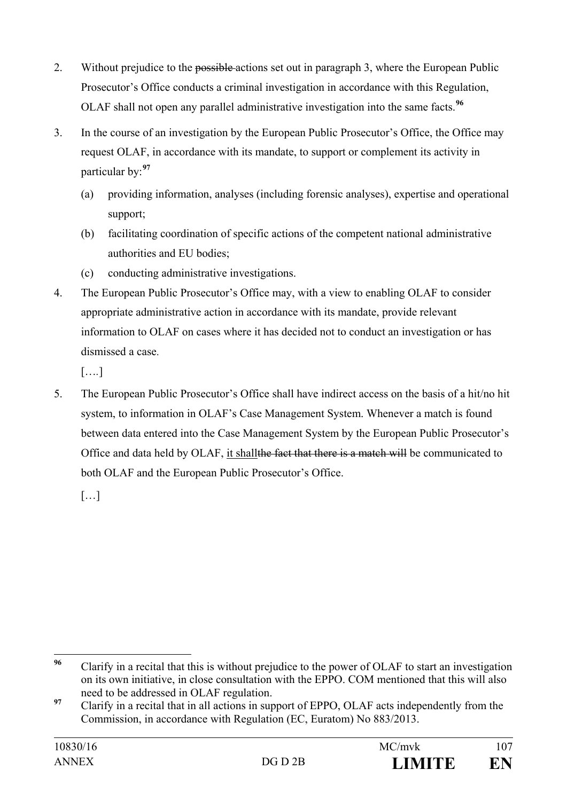- 2. Without prejudice to the possible actions set out in paragraph 3, where the European Public Prosecutor's Office conducts a criminal investigation in accordance with this Regulation, OLAF shall not open any parallel administrative investigation into the same facts.**[96](#page-106-0)**
- 3. In the course of an investigation by the European Public Prosecutor's Office, the Office may request OLAF, in accordance with its mandate, to support or complement its activity in particular by:**[97](#page-106-1)**
	- (a) providing information, analyses (including forensic analyses), expertise and operational support;
	- (b) facilitating coordination of specific actions of the competent national administrative authorities and EU bodies;
	- (c) conducting administrative investigations.
- 4. The European Public Prosecutor's Office may, with a view to enabling OLAF to consider appropriate administrative action in accordance with its mandate, provide relevant information to OLAF on cases where it has decided not to conduct an investigation or has dismissed a case.

[…*.*]

5. The European Public Prosecutor's Office shall have indirect access on the basis of a hit/no hit system, to information in OLAF's Case Management System. Whenever a match is found between data entered into the Case Management System by the European Public Prosecutor's Office and data held by OLAF, it shallthe fact that there is a match will be communicated to both OLAF and the European Public Prosecutor's Office.

 $[...]$ 

<span id="page-106-0"></span>**<sup>96</sup>** Clarify in a recital that this is without prejudice to the power of OLAF to start an investigation on its own initiative, in close consultation with the EPPO. COM mentioned that this will also need to be addressed in OLAF regulation.

<span id="page-106-1"></span><sup>&</sup>lt;sup>97</sup> Clarify in a recital that in all actions in support of EPPO, OLAF acts independently from the Commission, in accordance with Regulation (EC, Euratom) No 883/2013.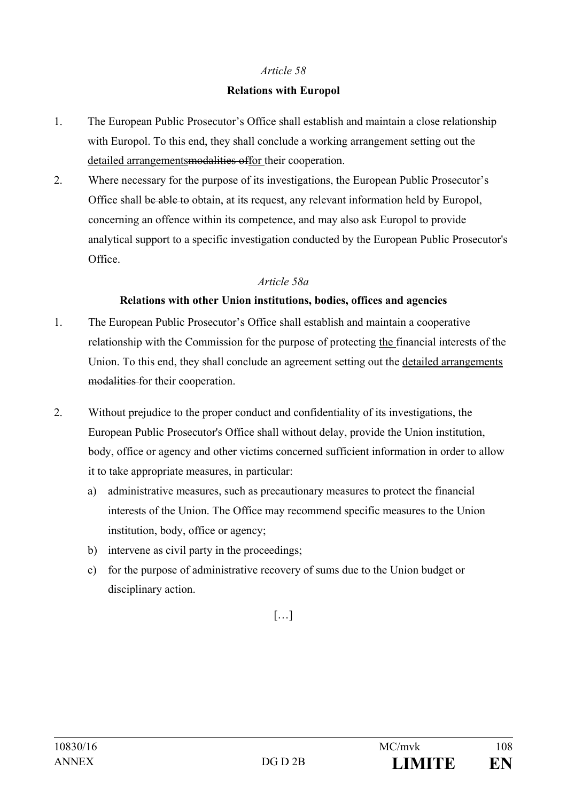#### **Relations with Europol**

- 1. The European Public Prosecutor's Office shall establish and maintain a close relationship with Europol. To this end, they shall conclude a working arrangement setting out the detailed arrangementsmodalities offor their cooperation.
- 2. Where necessary for the purpose of its investigations, the European Public Prosecutor's Office shall be able to obtain, at its request, any relevant information held by Europol, concerning an offence within its competence, and may also ask Europol to provide analytical support to a specific investigation conducted by the European Public Prosecutor's Office.

#### *Article 58a*

#### **Relations with other Union institutions, bodies, offices and agencies**

- 1. The European Public Prosecutor's Office shall establish and maintain a cooperative relationship with the Commission for the purpose of protecting the financial interests of the Union. To this end, they shall conclude an agreement setting out the detailed arrangements modalities for their cooperation.
- 2. Without prejudice to the proper conduct and confidentiality of its investigations, the European Public Prosecutor's Office shall without delay, provide the Union institution, body, office or agency and other victims concerned sufficient information in order to allow it to take appropriate measures, in particular:
	- a) administrative measures, such as precautionary measures to protect the financial interests of the Union. The Office may recommend specific measures to the Union institution, body, office or agency;
	- b) intervene as civil party in the proceedings;
	- c) for the purpose of administrative recovery of sums due to the Union budget or disciplinary action.

## […]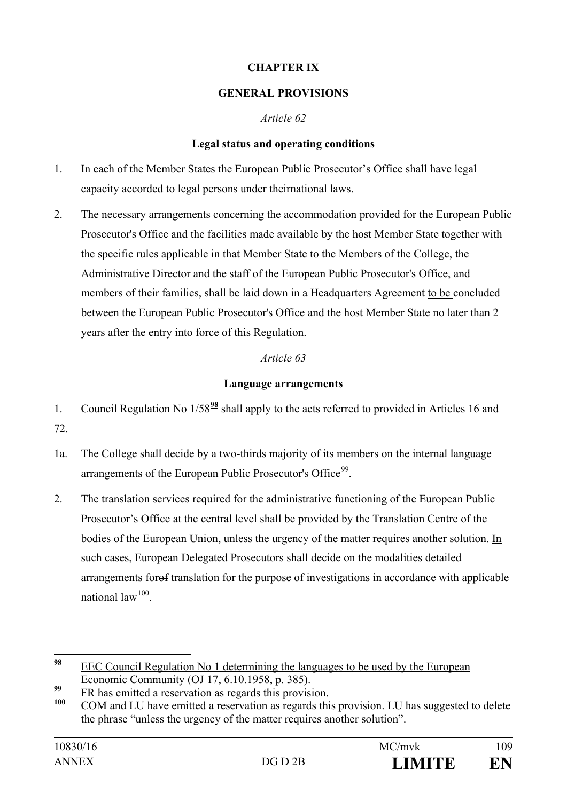#### **CHAPTER IX**

#### **GENERAL PROVISIONS**

#### *Article 62*

#### **Legal status and operating conditions**

- 1. In each of the Member States the European Public Prosecutor's Office shall have legal capacity accorded to legal persons under theirnational laws.
- 2. The necessary arrangements concerning the accommodation provided for the European Public Prosecutor's Office and the facilities made available by the host Member State together with the specific rules applicable in that Member State to the Members of the College, the Administrative Director and the staff of the European Public Prosecutor's Office, and members of their families, shall be laid down in a Headquarters Agreement to be concluded between the European Public Prosecutor's Office and the host Member State no later than 2 years after the entry into force of this Regulation.

# *Article 63*

# **Language arrangements**

- 1. Council Regulation No 1/58**[98](#page-108-0)** shall apply to the acts referred to provided in Articles 16 and 72.
- 1a. The College shall decide by a two-thirds majority of its members on the internal language arrangements of the European Public Prosecutor's Office<sup>[99](#page-108-1)</sup>.
- 2. The translation services required for the administrative functioning of the European Public Prosecutor's Office at the central level shall be provided by the Translation Centre of the bodies of the European Union, unless the urgency of the matter requires another solution. In such cases, European Delegated Prosecutors shall decide on the modalities detailed arrangements forof translation for the purpose of investigations in accordance with applicable national  $law^{100}$

<span id="page-108-0"></span>**<sup>98</sup>** EEC Council Regulation No 1 determining the languages to be used by the European Economic Community (OJ 17, 6.10.1958, p. 385).

<span id="page-108-1"></span>**<sup>99</sup>** FR has emitted a reservation as regards this provision.

<span id="page-108-2"></span>**<sup>100</sup>** COM and LU have emitted a reservation as regards this provision. LU has suggested to delete the phrase "unless the urgency of the matter requires another solution".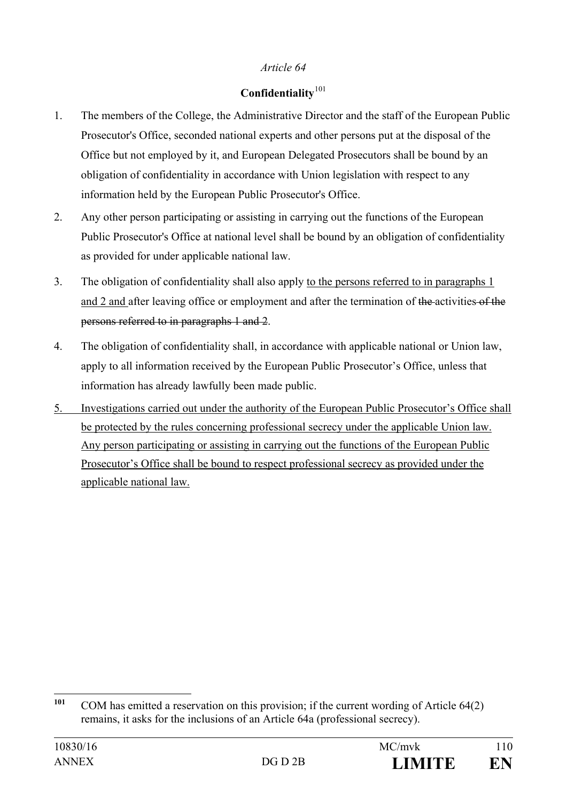# *Article 64*

# **Confidentiality**[101](#page-109-0)

- 1. The members of the College, the Administrative Director and the staff of the European Public Prosecutor's Office, seconded national experts and other persons put at the disposal of the Office but not employed by it, and European Delegated Prosecutors shall be bound by an obligation of confidentiality in accordance with Union legislation with respect to any information held by the European Public Prosecutor's Office.
- 2. Any other person participating or assisting in carrying out the functions of the European Public Prosecutor's Office at national level shall be bound by an obligation of confidentiality as provided for under applicable national law.
- 3. The obligation of confidentiality shall also apply to the persons referred to in paragraphs 1 and 2 and after leaving office or employment and after the termination of the activities of the persons referred to in paragraphs 1 and 2.
- 4. The obligation of confidentiality shall, in accordance with applicable national or Union law, apply to all information received by the European Public Prosecutor's Office, unless that information has already lawfully been made public.
- 5. Investigations carried out under the authority of the European Public Prosecutor's Office shall be protected by the rules concerning professional secrecy under the applicable Union law. Any person participating or assisting in carrying out the functions of the European Public Prosecutor's Office shall be bound to respect professional secrecy as provided under the applicable national law.

<span id="page-109-0"></span><sup>&</sup>lt;sup>101</sup> COM has emitted a reservation on this provision; if the current wording of Article 64(2) remains, it asks for the inclusions of an Article 64a (professional secrecy).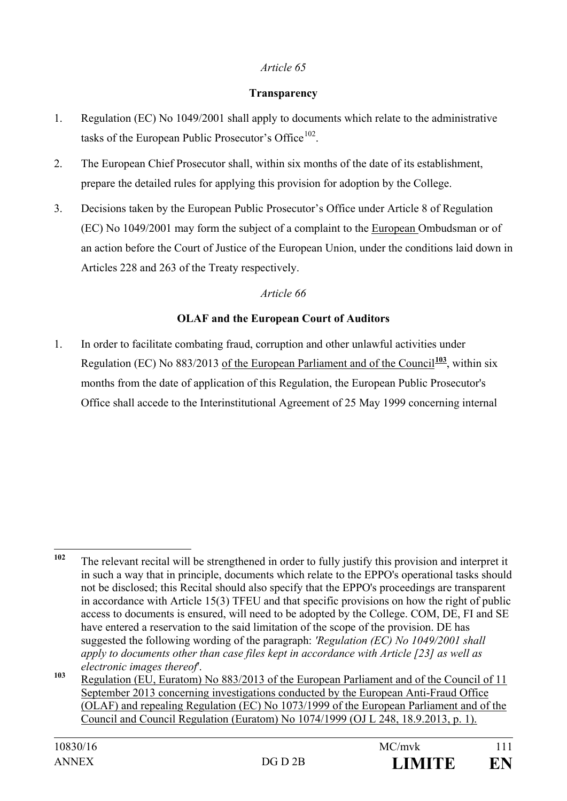# *Article 65*

#### **Transparency**

- 1. Regulation (EC) No 1049/2001 shall apply to documents which relate to the administrative tasks of the European Public Prosecutor's Office<sup>102</sup>.
- 2. The European Chief Prosecutor shall, within six months of the date of its establishment, prepare the detailed rules for applying this provision for adoption by the College.
- 3. Decisions taken by the European Public Prosecutor's Office under Article 8 of Regulation (EC) No 1049/2001 may form the subject of a complaint to the European Ombudsman or of an action before the Court of Justice of the European Union, under the conditions laid down in Articles 228 and 263 of the Treaty respectively.

# *Article 66*

# **OLAF and the European Court of Auditors**

1. In order to facilitate combating fraud, corruption and other unlawful activities under Regulation (EC) No  $883/2013$  of the European Parliament and of the Council<sup>[103](#page-110-1)</sup>, within six months from the date of application of this Regulation, the European Public Prosecutor's Office shall accede to the Interinstitutional Agreement of 25 May 1999 concerning internal

<span id="page-110-0"></span>**<sup>102</sup>** The relevant recital will be strengthened in order to fully justify this provision and interpret it in such a way that in principle, documents which relate to the EPPO's operational tasks should not be disclosed; this Recital should also specify that the EPPO's proceedings are transparent in accordance with Article 15(3) TFEU and that specific provisions on how the right of public access to documents is ensured, will need to be adopted by the College. COM, DE, FI and SE have entered a reservation to the said limitation of the scope of the provision. DE has suggested the following wording of the paragraph: *'Regulation (EC) No 1049/2001 shall apply to documents other than case files kept in accordance with Article [23] as well as electronic images thereof*'.

<span id="page-110-1"></span>**<sup>103</sup>** Regulation (EU, Euratom) No 883/2013 of the European Parliament and of the Council of 11 September 2013 concerning investigations conducted by the European Anti-Fraud Office (OLAF) and repealing Regulation (EC) No 1073/1999 of the European Parliament and of the Council and Council Regulation (Euratom) No 1074/1999 (OJ L 248, 18.9.2013, p. 1).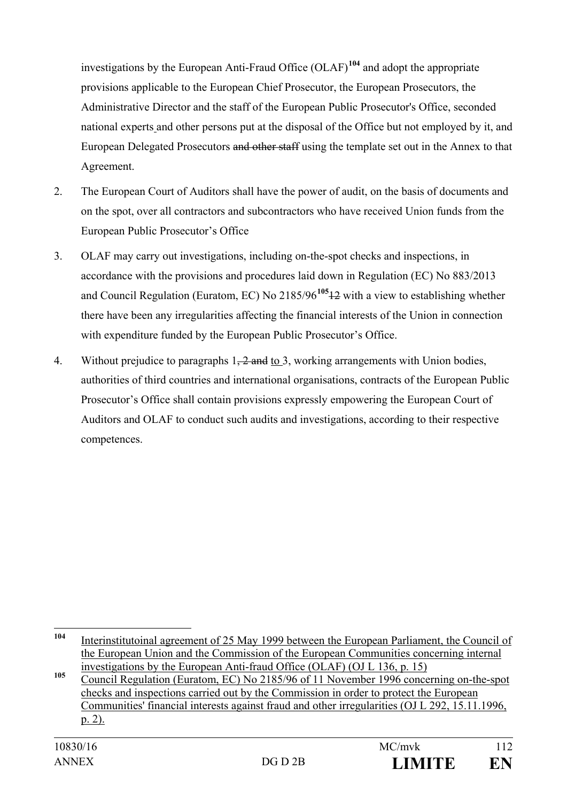investigations by the European Anti-Fraud Office (OLAF)**[104](#page-111-0)** and adopt the appropriate provisions applicable to the European Chief Prosecutor, the European Prosecutors, the Administrative Director and the staff of the European Public Prosecutor's Office, seconded national experts and other persons put at the disposal of the Office but not employed by it, and European Delegated Prosecutors and other staff using the template set out in the Annex to that Agreement.

- 2. The European Court of Auditors shall have the power of audit, on the basis of documents and on the spot, over all contractors and subcontractors who have received Union funds from the European Public Prosecutor's Office
- 3. OLAF may carry out investigations, including on-the-spot checks and inspections, in accordance with the provisions and procedures laid down in Regulation (EC) No 883/2013 and Council Regulation (Euratom, EC) No 2185/96**[105](#page-111-1)**12 with a view to establishing whether there have been any irregularities affecting the financial interests of the Union in connection with expenditure funded by the European Public Prosecutor's Office.
- 4. Without prejudice to paragraphs 1, 2 and to 3, working arrangements with Union bodies, authorities of third countries and international organisations, contracts of the European Public Prosecutor's Office shall contain provisions expressly empowering the European Court of Auditors and OLAF to conduct such audits and investigations, according to their respective competences.

<span id="page-111-0"></span>**<sup>104</sup>** Interinstitutoinal agreement of 25 May 1999 between the European Parliament, the Council of the European Union and the Commission of the European Communities concerning internal investigations by the European Anti-fraud Office (OLAF) (OJ L 136, p. 15)

<span id="page-111-1"></span>**<sup>105</sup>** Council Regulation (Euratom, EC) No 2185/96 of 11 November 1996 concerning on-the-spot checks and inspections carried out by the Commission in order to protect the European Communities' financial interests against fraud and other irregularities (OJ L 292, 15.11.1996, p. 2).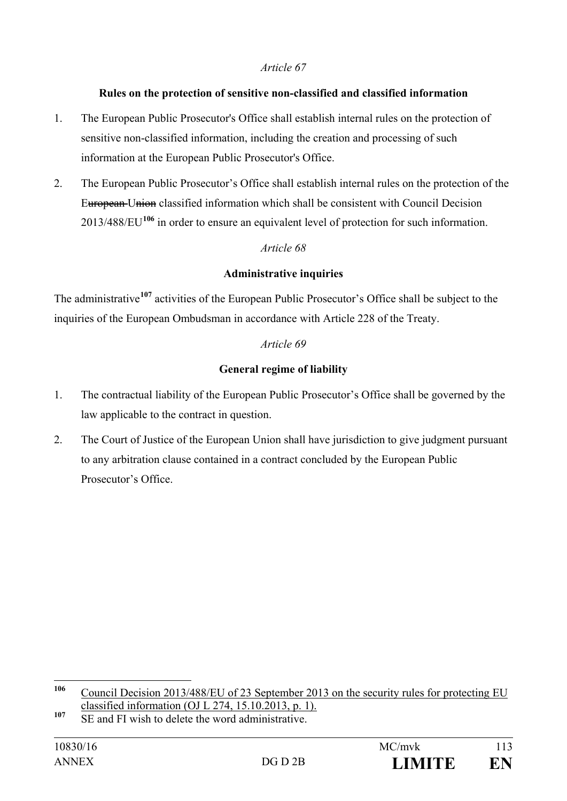#### *Article 67*

#### **Rules on the protection of sensitive non-classified and classified information**

- 1. The European Public Prosecutor's Office shall establish internal rules on the protection of sensitive non-classified information, including the creation and processing of such information at the European Public Prosecutor's Office.
- 2. The European Public Prosecutor's Office shall establish internal rules on the protection of the European Union classified information which shall be consistent with Council Decision 2013/488/EU**[106](#page-112-0)** in order to ensure an equivalent level of protection for such information.

# *Article 68*

# **Administrative inquiries**

The administrative**[107](#page-112-1)** activities of the European Public Prosecutor's Office shall be subject to the inquiries of the European Ombudsman in accordance with Article 228 of the Treaty.

# *Article 69*

# **General regime of liability**

- 1. The contractual liability of the European Public Prosecutor's Office shall be governed by the law applicable to the contract in question.
- 2. The Court of Justice of the European Union shall have jurisdiction to give judgment pursuant to any arbitration clause contained in a contract concluded by the European Public Prosecutor's Office.

<span id="page-112-0"></span>**<sup>106</sup>** Council Decision 2013/488/EU of 23 September 2013 on the security rules for protecting EU classified information (OJ L 274, 15.10.2013, p. 1).

<span id="page-112-1"></span><sup>107</sup> SE and FI wish to delete the word administrative.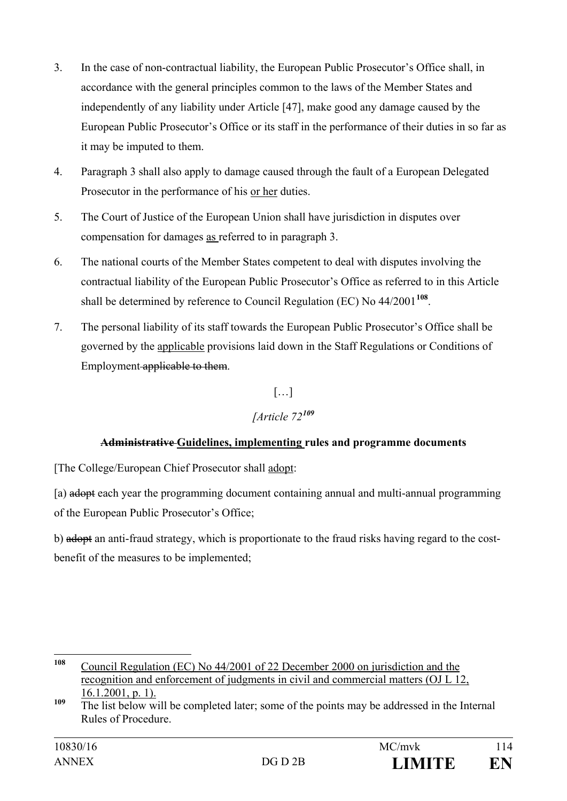- 3. In the case of non-contractual liability, the European Public Prosecutor's Office shall, in accordance with the general principles common to the laws of the Member States and independently of any liability under Article [47], make good any damage caused by the European Public Prosecutor's Office or its staff in the performance of their duties in so far as it may be imputed to them.
- 4. Paragraph 3 shall also apply to damage caused through the fault of a European Delegated Prosecutor in the performance of his or her duties.
- 5. The Court of Justice of the European Union shall have jurisdiction in disputes over compensation for damages as referred to in paragraph 3.
- 6. The national courts of the Member States competent to deal with disputes involving the contractual liability of the European Public Prosecutor's Office as referred to in this Article shall be determined by reference to Council Regulation (EC) No 44/2001**[108](#page-113-0)**.
- 7. The personal liability of its staff towards the European Public Prosecutor's Office shall be governed by the applicable provisions laid down in the Staff Regulations or Conditions of Employment applicable to them.

 $[\ldots]$ 

# *[Article 72[109](#page-113-1)*

# **Administrative Guidelines, implementing rules and programme documents**

[The College/European Chief Prosecutor shall adopt:

[a) adopt each year the programming document containing annual and multi-annual programming of the European Public Prosecutor's Office;

b) adopt an anti-fraud strategy, which is proportionate to the fraud risks having regard to the costbenefit of the measures to be implemented;

<span id="page-113-0"></span>**<sup>108</sup>** Council Regulation (EC) No 44/2001 of 22 December 2000 on jurisdiction and the recognition and enforcement of judgments in civil and commercial matters (OJ L 12, 16.1.2001, p. 1).

<span id="page-113-1"></span><sup>&</sup>lt;sup>109</sup> The list below will be completed later; some of the points may be addressed in the Internal Rules of Procedure.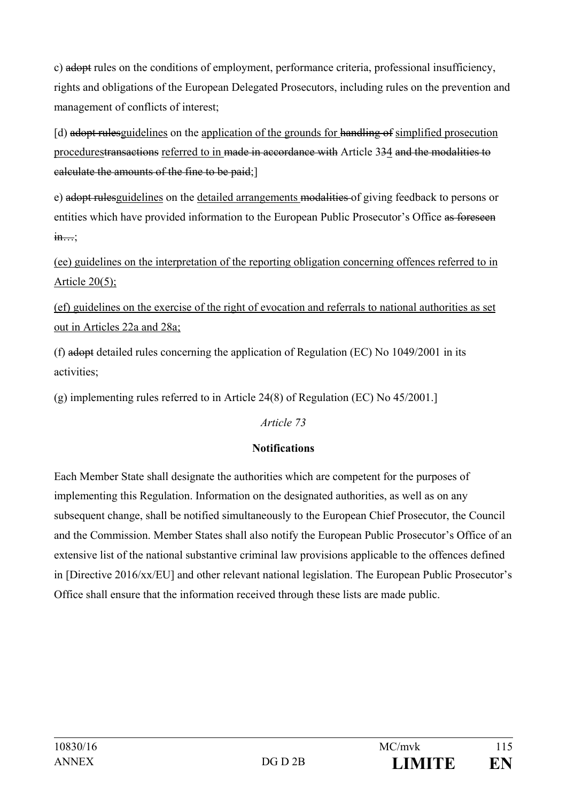c) adopt rules on the conditions of employment, performance criteria, professional insufficiency, rights and obligations of the European Delegated Prosecutors, including rules on the prevention and management of conflicts of interest;

[d) adopt rulesguidelines on the application of the grounds for handling of simplified prosecution procedurestransactions referred to in made in accordance with Article 334 and the modalities to calculate the amounts of the fine to be paid;]

e) adopt rulesguidelines on the detailed arrangements modalities of giving feedback to persons or entities which have provided information to the European Public Prosecutor's Office as foreseen  $\frac{\text{in...}}{\text{in...}}$ 

# (ee) guidelines on the interpretation of the reporting obligation concerning offences referred to in Article 20(5);

(ef) guidelines on the exercise of the right of evocation and referrals to national authorities as set out in Articles 22a and 28a;

(f) adopt detailed rules concerning the application of Regulation (EC) No 1049/2001 in its activities;

(g) implementing rules referred to in Article 24(8) of Regulation (EC) No 45/2001.]

# *Article 73*

# **Notifications**

Each Member State shall designate the authorities which are competent for the purposes of implementing this Regulation. Information on the designated authorities, as well as on any subsequent change, shall be notified simultaneously to the European Chief Prosecutor, the Council and the Commission. Member States shall also notify the European Public Prosecutor's Office of an extensive list of the national substantive criminal law provisions applicable to the offences defined in [Directive 2016/xx/EU] and other relevant national legislation. The European Public Prosecutor's Office shall ensure that the information received through these lists are made public.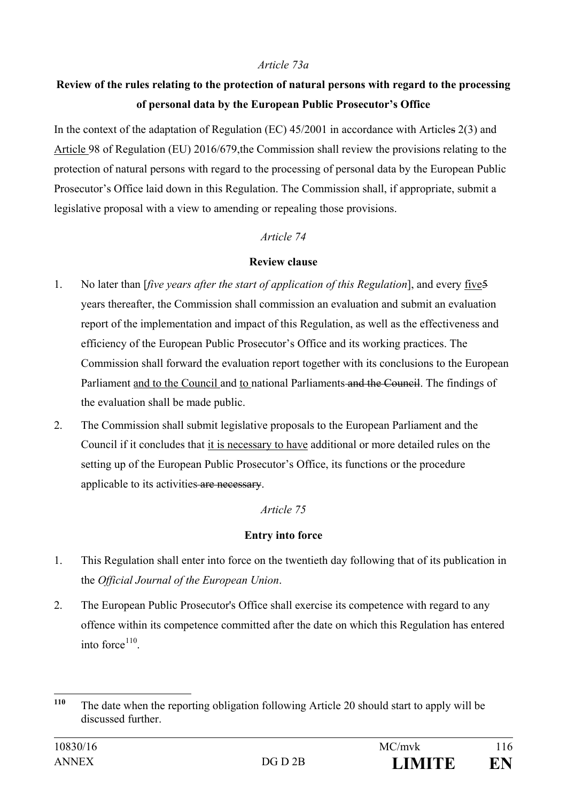# *Article 73a*

# **Review of the rules relating to the protection of natural persons with regard to the processing of personal data by the European Public Prosecutor's Office**

In the context of the adaptation of Regulation (EC) 45/2001 in accordance with Articles 2(3) and Article 98 of Regulation (EU) 2016/679,the Commission shall review the provisions relating to the protection of natural persons with regard to the processing of personal data by the European Public Prosecutor's Office laid down in this Regulation. The Commission shall, if appropriate, submit a legislative proposal with a view to amending or repealing those provisions.

#### *Article 74*

#### **Review clause**

- 1. No later than [*five years after the start of application of this Regulation*], and every five5 years thereafter, the Commission shall commission an evaluation and submit an evaluation report of the implementation and impact of this Regulation, as well as the effectiveness and efficiency of the European Public Prosecutor's Office and its working practices. The Commission shall forward the evaluation report together with its conclusions to the European Parliament and to the Council and to national Parliaments and the Council. The findings of the evaluation shall be made public.
- 2. The Commission shall submit legislative proposals to the European Parliament and the Council if it concludes that it is necessary to have additional or more detailed rules on the setting up of the European Public Prosecutor's Office, its functions or the procedure applicable to its activities are necessary.

# *Article 75*

# **Entry into force**

- 1. This Regulation shall enter into force on the twentieth day following that of its publication in the *Official Journal of the European Union*.
- 2. The European Public Prosecutor's Office shall exercise its competence with regard to any offence within its competence committed after the date on which this Regulation has entered into force $110$ .

<span id="page-115-0"></span>**<sup>110</sup>** The date when the reporting obligation following Article 20 should start to apply will be discussed further.